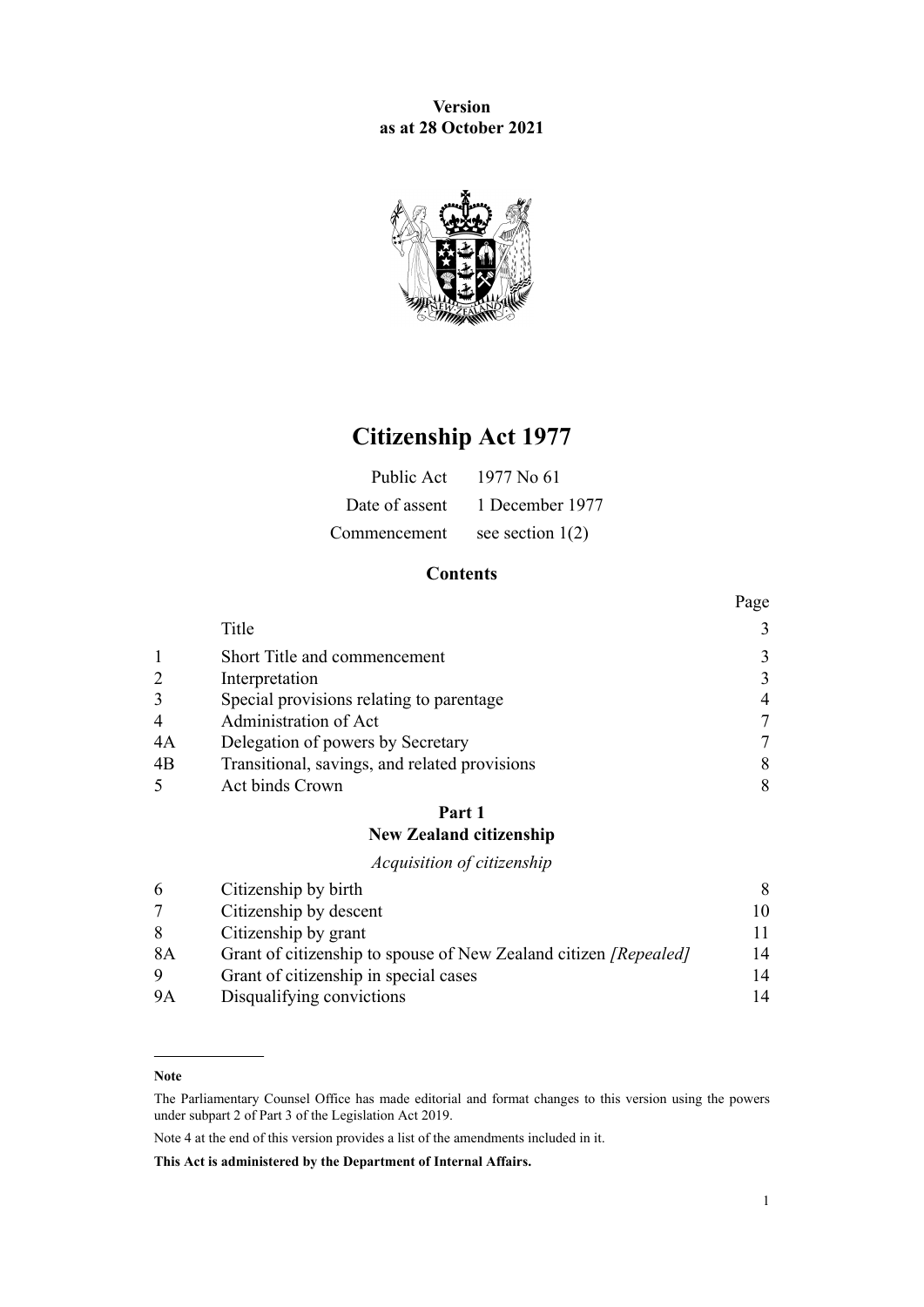**Version as at 28 October 2021**



# **Citizenship Act 1977**

| Public Act   | 1977 No 61                     |
|--------------|--------------------------------|
|              | Date of assent 1 December 1977 |
| Commencement | see section $1(2)$             |

# **Contents**

|                |                                               | Page           |
|----------------|-----------------------------------------------|----------------|
|                | Title                                         | 3              |
|                | Short Title and commencement                  | 3              |
| $\overline{2}$ | Interpretation                                | 3              |
| $\overline{3}$ | Special provisions relating to parentage      | $\overline{4}$ |
| $\overline{4}$ | Administration of Act                         |                |
| 4A             | Delegation of powers by Secretary             |                |
| 4B             | Transitional, savings, and related provisions | 8              |
|                | Act binds Crown                               | 8              |

# **[Part 1](#page-7-0) [New Zealand citizenship](#page-7-0)**

# *[Acquisition of citizenship](#page-7-0)*

|                           | 8                                                                                                                                                                                   |
|---------------------------|-------------------------------------------------------------------------------------------------------------------------------------------------------------------------------------|
|                           | 10                                                                                                                                                                                  |
|                           |                                                                                                                                                                                     |
|                           | 14                                                                                                                                                                                  |
|                           | 14                                                                                                                                                                                  |
| Disqualifying convictions | 14                                                                                                                                                                                  |
|                           | Citizenship by birth<br>Citizenship by descent<br>Citizenship by grant<br>Grant of citizenship to spouse of New Zealand citizen [Repealed]<br>Grant of citizenship in special cases |

**Note**

The Parliamentary Counsel Office has made editorial and format changes to this version using the powers under [subpart 2](http://legislation.govt.nz/pdflink.aspx?id=DLM7298371) of Part 3 of the Legislation Act 2019.

Note 4 at the end of this version provides a list of the amendments included in it.

**This Act is administered by the Department of Internal Affairs.**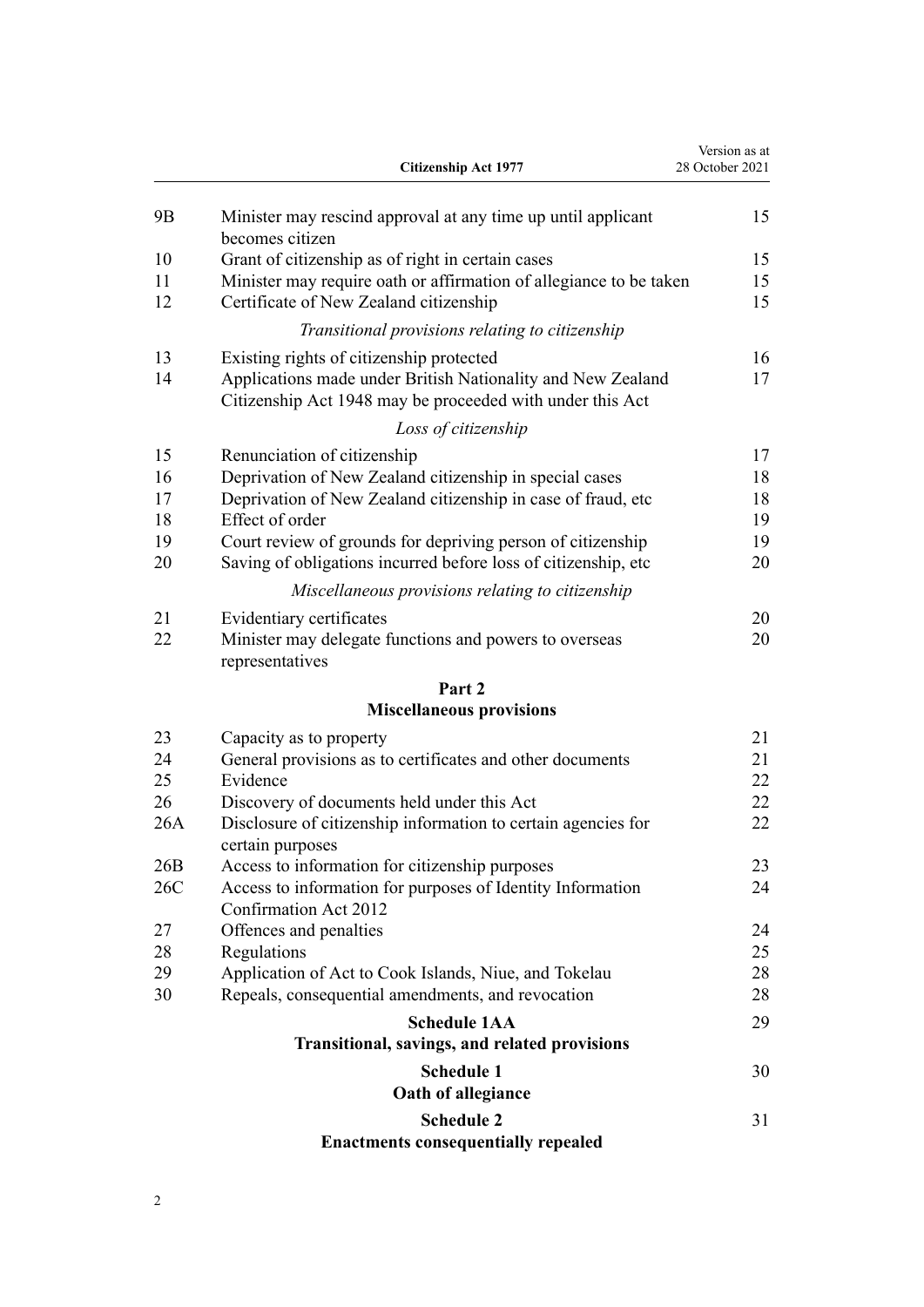|                | <b>Citizenship Act 1977</b>                                                                                              | Version as at<br>28 October 2021 |
|----------------|--------------------------------------------------------------------------------------------------------------------------|----------------------------------|
| 9 <sub>B</sub> | Minister may rescind approval at any time up until applicant<br>becomes citizen                                          | 15                               |
| 10             | Grant of citizenship as of right in certain cases                                                                        | 15                               |
| 11             | Minister may require oath or affirmation of allegiance to be taken                                                       | 15                               |
| 12             | Certificate of New Zealand citizenship                                                                                   | 15                               |
|                | Transitional provisions relating to citizenship                                                                          |                                  |
| 13             | Existing rights of citizenship protected                                                                                 | 16                               |
| 14             | Applications made under British Nationality and New Zealand<br>Citizenship Act 1948 may be proceeded with under this Act | 17                               |
|                | Loss of citizenship                                                                                                      |                                  |
| 15             | Renunciation of citizenship                                                                                              | 17                               |
| 16             | Deprivation of New Zealand citizenship in special cases                                                                  | 18                               |
| 17             | Deprivation of New Zealand citizenship in case of fraud, etc                                                             | 18                               |
| 18             | Effect of order                                                                                                          | 19                               |
| 19             | Court review of grounds for depriving person of citizenship                                                              | 19                               |
| 20             | Saving of obligations incurred before loss of citizenship, etc                                                           | 20                               |
|                | Miscellaneous provisions relating to citizenship                                                                         |                                  |
| 21             | Evidentiary certificates                                                                                                 | 20                               |
| 22             | Minister may delegate functions and powers to overseas<br>representatives                                                | 20                               |
|                | Part 2                                                                                                                   |                                  |
|                | <b>Miscellaneous provisions</b>                                                                                          |                                  |
| 23             | Capacity as to property                                                                                                  | 21                               |
| 24             | General provisions as to certificates and other documents                                                                | 21                               |
| 25             | Evidence                                                                                                                 | 22                               |
| 26             | Discovery of documents held under this Act                                                                               | 22                               |
| 26A            | Disclosure of citizenship information to certain agencies for<br>certain purposes                                        | 22                               |
| 26B            | Access to information for citizenship purposes                                                                           | 23                               |
| 26C            | Access to information for purposes of Identity Information<br>Confirmation Act 2012                                      | 24                               |
| 27             | Offences and penalties                                                                                                   | 24                               |
| 28             | Regulations                                                                                                              | 25                               |
| 29             | Application of Act to Cook Islands, Niue, and Tokelau                                                                    | 28                               |
| 30             | Repeals, consequential amendments, and revocation                                                                        | 28                               |
|                | <b>Schedule 1AA</b>                                                                                                      | 29                               |
|                | Transitional, savings, and related provisions                                                                            |                                  |
|                | <b>Schedule 1</b>                                                                                                        | 30                               |
|                | Oath of allegiance                                                                                                       |                                  |
|                | <b>Schedule 2</b>                                                                                                        | 31                               |
|                | <b>Enactments consequentially repealed</b>                                                                               |                                  |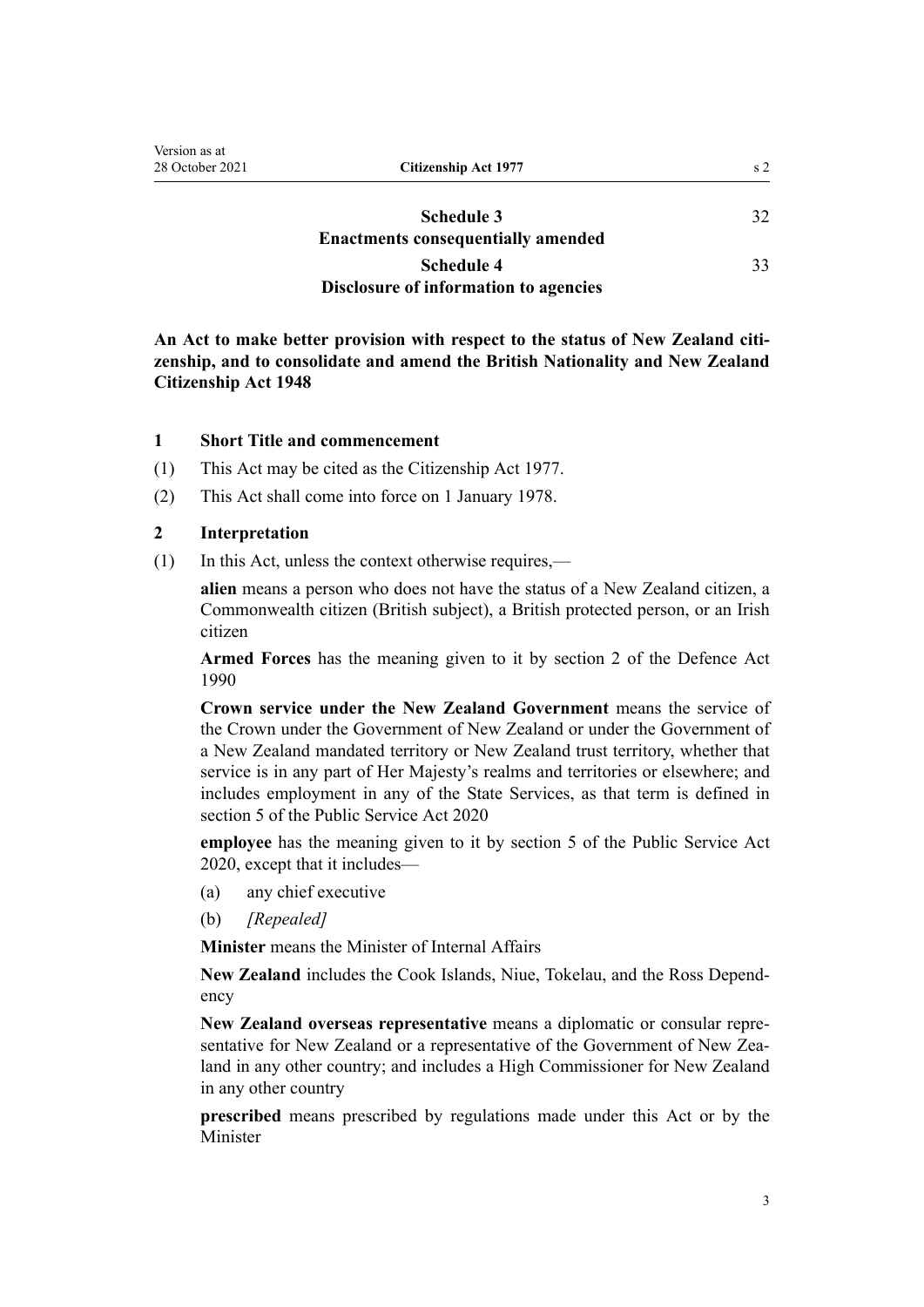<span id="page-2-0"></span>

| Version as at<br>28 October 2021 | Citizenship Act 1977                                           | s <sub>2</sub> |
|----------------------------------|----------------------------------------------------------------|----------------|
|                                  | <b>Schedule 3</b><br><b>Enactments consequentially amended</b> | 32             |
|                                  | <b>Schedule 4</b>                                              | 33             |
|                                  | Disclosure of information to agencies                          |                |

**An Act to make better provision with respect to the status of New Zealand citi‐ zenship, and to consolidate and amend the British Nationality and New Zealand Citizenship Act 1948**

#### **1 Short Title and commencement**

- (1) This Act may be cited as the Citizenship Act 1977.
- (2) This Act shall come into force on 1 January 1978.

# **2 Interpretation**

(1) In this Act, unless the context otherwise requires,—

**alien** means a person who does not have the status of a New Zealand citizen, a Commonwealth citizen (British subject), a British protected person, or an Irish citizen

**Armed Forces** has the meaning given to it by [section 2](http://legislation.govt.nz/pdflink.aspx?id=DLM204978) of the Defence Act 1990

**Crown service under the New Zealand Government** means the service of the Crown under the Government of New Zealand or under the Government of a New Zealand mandated territory or New Zealand trust territory, whether that service is in any part of Her Majesty's realms and territories or elsewhere; and includes employment in any of the State Services, as that term is defined in [section 5](http://legislation.govt.nz/pdflink.aspx?id=LMS356868) of the Public Service Act 2020

**employee** has the meaning given to it by [section 5](http://legislation.govt.nz/pdflink.aspx?id=LMS356868) of the Public Service Act 2020, except that it includes—

- (a) any chief executive
- (b) *[Repealed]*

**Minister** means the Minister of Internal Affairs

**New Zealand** includes the Cook Islands, Niue, Tokelau, and the Ross Depend‐ ency

**New Zealand overseas representative** means a diplomatic or consular repre‐ sentative for New Zealand or a representative of the Government of New Zealand in any other country; and includes a High Commissioner for New Zealand in any other country

**prescribed** means prescribed by regulations made under this Act or by the Minister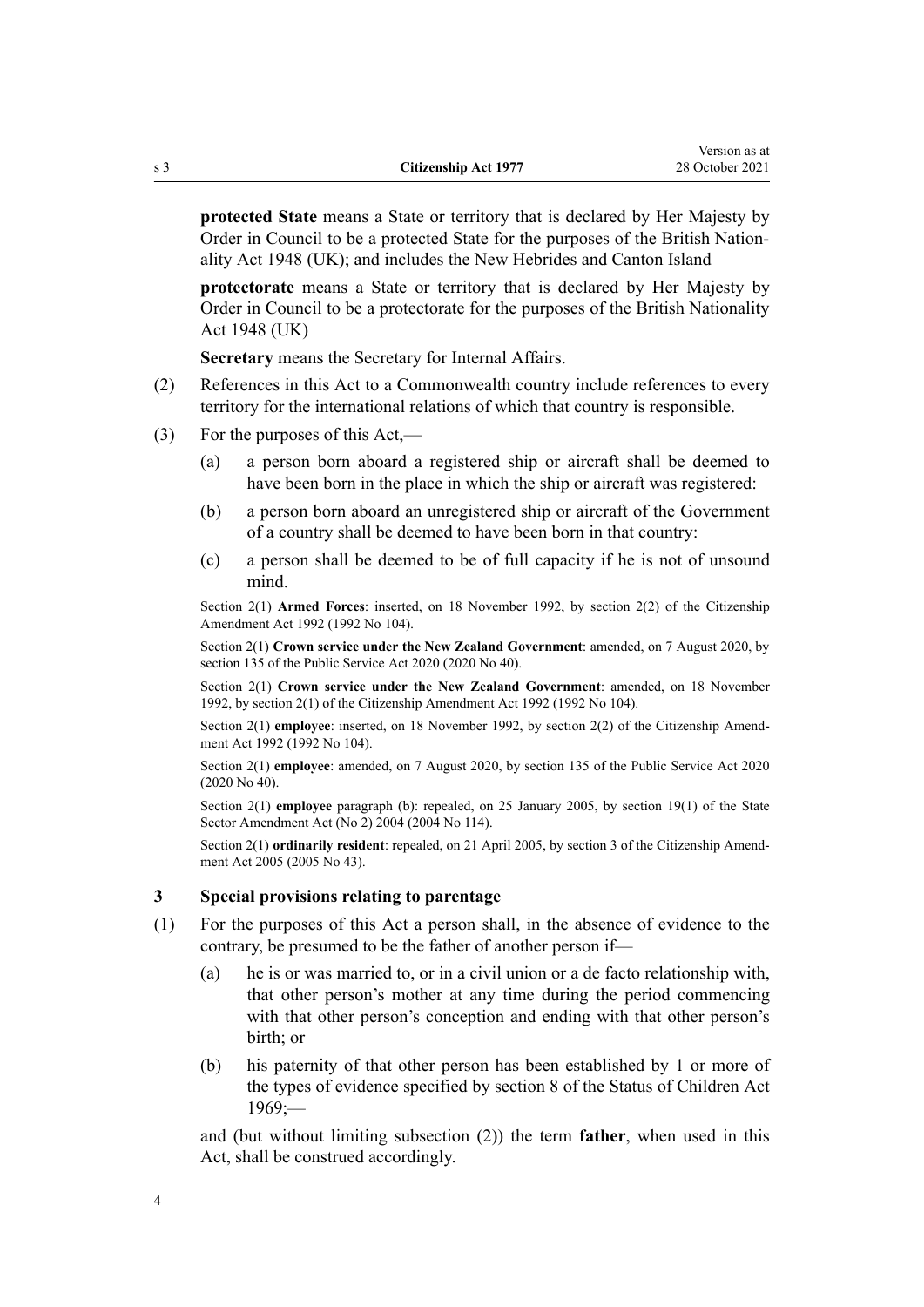**protected State** means a State or territory that is declared by Her Majesty by Order in Council to be a protected State for the purposes of the British Nation‐ ality Act 1948 (UK); and includes the New Hebrides and Canton Island

**protectorate** means a State or territory that is declared by Her Majesty by Order in Council to be a protectorate for the purposes of the British Nationality Act 1948 (UK)

**Secretary** means the Secretary for Internal Affairs.

- (2) References in this Act to a Commonwealth country include references to every territory for the international relations of which that country is responsible.
- (3) For the purposes of this Act,—
	- (a) a person born aboard a registered ship or aircraft shall be deemed to have been born in the place in which the ship or aircraft was registered:
	- (b) a person born aboard an unregistered ship or aircraft of the Government of a country shall be deemed to have been born in that country:
	- (c) a person shall be deemed to be of full capacity if he is not of unsound mind.

Section 2(1) **Armed Forces**: inserted, on 18 November 1992, by [section 2\(2\)](http://legislation.govt.nz/pdflink.aspx?id=DLM280673) of the Citizenship Amendment Act 1992 (1992 No 104).

Section 2(1) **Crown service under the New Zealand Government**: amended, on 7 August 2020, by [section 135](http://legislation.govt.nz/pdflink.aspx?id=LMS176959) of the Public Service Act 2020 (2020 No 40).

Section 2(1) **Crown service under the New Zealand Government**: amended, on 18 November 1992, by [section 2\(1\)](http://legislation.govt.nz/pdflink.aspx?id=DLM280673) of the Citizenship Amendment Act 1992 (1992 No 104).

Section 2(1) **employee**: inserted, on 18 November 1992, by [section 2\(2\)](http://legislation.govt.nz/pdflink.aspx?id=DLM280673) of the Citizenship Amendment Act 1992 (1992 No 104).

Section 2(1) **employee**: amended, on 7 August 2020, by [section 135](http://legislation.govt.nz/pdflink.aspx?id=LMS176959) of the Public Service Act 2020 (2020 No 40).

Section 2(1) **employee** paragraph (b): repealed, on 25 January 2005, by [section 19\(1\)](http://legislation.govt.nz/pdflink.aspx?id=DLM329600) of the State Sector Amendment Act (No 2) 2004 (2004 No 114).

Section 2(1) **ordinarily resident**: repealed, on 21 April 2005, by [section 3](http://legislation.govt.nz/pdflink.aspx?id=DLM346739) of the Citizenship Amendment Act 2005 (2005 No 43).

#### **3 Special provisions relating to parentage**

- (1) For the purposes of this Act a person shall, in the absence of evidence to the contrary, be presumed to be the father of another person if—
	- (a) he is or was married to, or in a civil union or a de facto relationship with, that other person's mother at any time during the period commencing with that other person's conception and ending with that other person's birth; or
	- (b) his paternity of that other person has been established by 1 or more of the types of evidence specified by [section 8](http://legislation.govt.nz/pdflink.aspx?id=DLM391005) of the Status of Children Act  $1969$ ;

and (but without limiting subsection (2)) the term **father**, when used in this Act, shall be construed accordingly.

<span id="page-3-0"></span>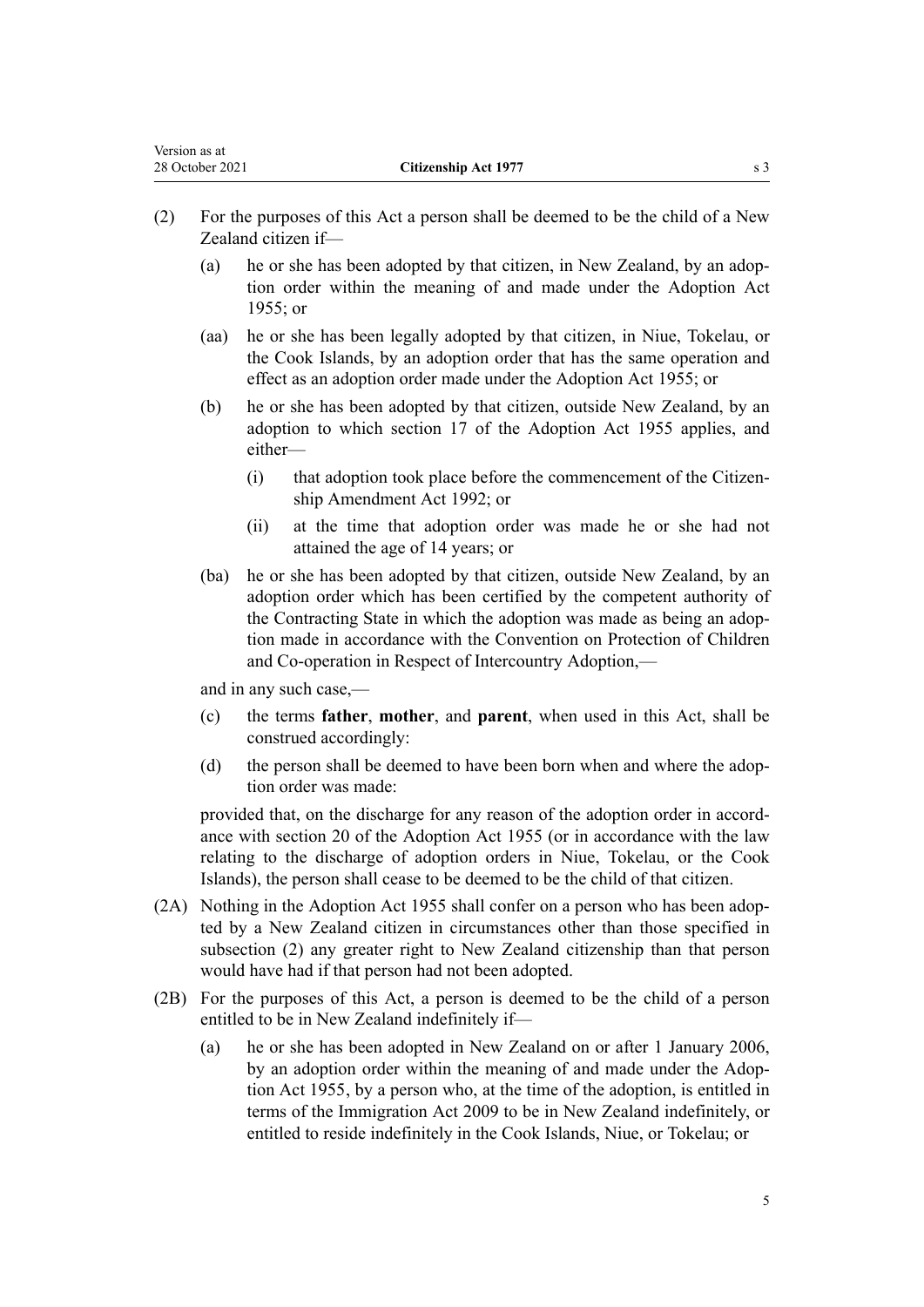- (2) For the purposes of this Act a person shall be deemed to be the child of a New Zealand citizen if—
	- (a) he or she has been adopted by that citizen, in New Zealand, by an adoption order within the meaning of and made under the [Adoption Act](http://legislation.govt.nz/pdflink.aspx?id=DLM292660) [1955](http://legislation.govt.nz/pdflink.aspx?id=DLM292660); or
	- (aa) he or she has been legally adopted by that citizen, in Niue, Tokelau, or the Cook Islands, by an adoption order that has the same operation and effect as an adoption order made under the [Adoption Act 1955](http://legislation.govt.nz/pdflink.aspx?id=DLM292660); or
	- (b) he or she has been adopted by that citizen, outside New Zealand, by an adoption to which [section 17](http://legislation.govt.nz/pdflink.aspx?id=DLM293196) of the Adoption Act 1955 applies, and either—
		- (i) that adoption took place before the commencement of the Citizen[ship Amendment Act 1992](http://legislation.govt.nz/pdflink.aspx?id=DLM280667); or
		- (ii) at the time that adoption order was made he or she had not attained the age of 14 years; or
	- (ba) he or she has been adopted by that citizen, outside New Zealand, by an adoption order which has been certified by the competent authority of the Contracting State in which the adoption was made as being an adop‐ tion made in accordance with the Convention on Protection of Children and Co-operation in Respect of Intercountry Adoption,—

and in any such case,—

- (c) the terms **father**, **mother**, and **parent**, when used in this Act, shall be construed accordingly:
- (d) the person shall be deemed to have been born when and where the adoption order was made:

provided that, on the discharge for any reason of the adoption order in accordance with [section 20](http://legislation.govt.nz/pdflink.aspx?id=DLM293308) of the Adoption Act 1955 (or in accordance with the law relating to the discharge of adoption orders in Niue, Tokelau, or the Cook Islands), the person shall cease to be deemed to be the child of that citizen.

- (2A) Nothing in the [Adoption Act 1955](http://legislation.govt.nz/pdflink.aspx?id=DLM292660) shall confer on a person who has been adopted by a New Zealand citizen in circumstances other than those specified in subsection (2) any greater right to New Zealand citizenship than that person would have had if that person had not been adopted.
- (2B) For the purposes of this Act, a person is deemed to be the child of a person entitled to be in New Zealand indefinitely if—
	- (a) he or she has been adopted in New Zealand on or after 1 January 2006, by an adoption order within the meaning of and made under the Adop[tion Act 1955,](http://legislation.govt.nz/pdflink.aspx?id=DLM292660) by a person who, at the time of the adoption, is entitled in terms of the [Immigration Act 2009](http://legislation.govt.nz/pdflink.aspx?id=DLM1440300) to be in New Zealand indefinitely, or entitled to reside indefinitely in the Cook Islands, Niue, or Tokelau; or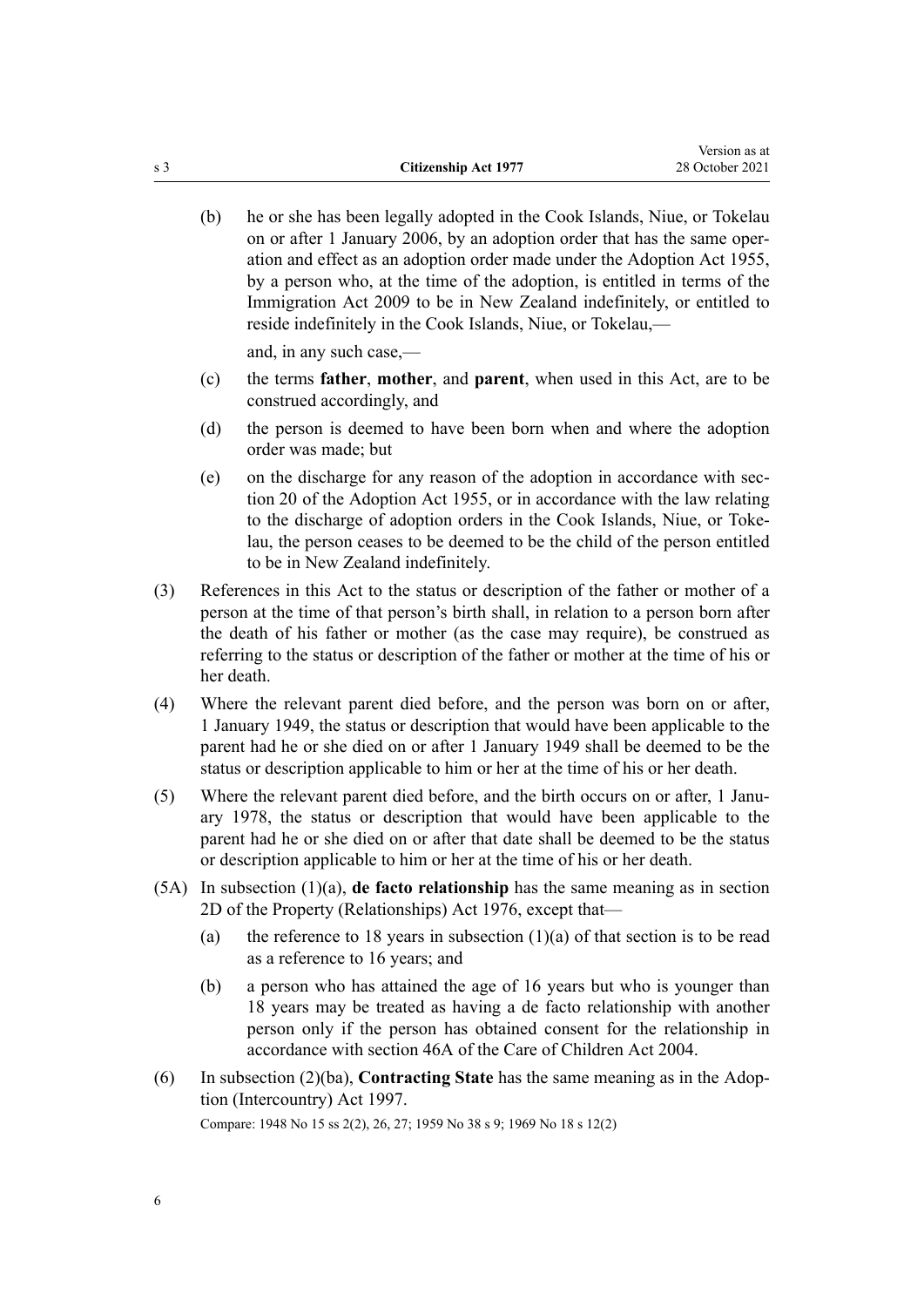(b) he or she has been legally adopted in the Cook Islands, Niue, or Tokelau on or after 1 January 2006, by an adoption order that has the same oper‐ ation and effect as an adoption order made under the [Adoption Act 1955](http://legislation.govt.nz/pdflink.aspx?id=DLM292660), by a person who, at the time of the adoption, is entitled in terms of the [Immigration Act 2009](http://legislation.govt.nz/pdflink.aspx?id=DLM1440300) to be in New Zealand indefinitely, or entitled to reside indefinitely in the Cook Islands, Niue, or Tokelau,—

and, in any such case,—

- (c) the terms **father**, **mother**, and **parent**, when used in this Act, are to be construed accordingly, and
- (d) the person is deemed to have been born when and where the adoption order was made; but
- (e) on the discharge for any reason of the adoption in accordance with [sec‐](http://legislation.govt.nz/pdflink.aspx?id=DLM293308) [tion 20](http://legislation.govt.nz/pdflink.aspx?id=DLM293308) of the Adoption Act 1955, or in accordance with the law relating to the discharge of adoption orders in the Cook Islands, Niue, or Toke‐ lau, the person ceases to be deemed to be the child of the person entitled to be in New Zealand indefinitely.
- (3) References in this Act to the status or description of the father or mother of a person at the time of that person's birth shall, in relation to a person born after the death of his father or mother (as the case may require), be construed as referring to the status or description of the father or mother at the time of his or her death.
- (4) Where the relevant parent died before, and the person was born on or after, 1 January 1949, the status or description that would have been applicable to the parent had he or she died on or after 1 January 1949 shall be deemed to be the status or description applicable to him or her at the time of his or her death.
- (5) Where the relevant parent died before, and the birth occurs on or after, 1 Janu‐ ary 1978, the status or description that would have been applicable to the parent had he or she died on or after that date shall be deemed to be the status or description applicable to him or her at the time of his or her death.
- (5A) In subsection (1)(a), **de facto relationship** has the same meaning as in [section](http://legislation.govt.nz/pdflink.aspx?id=DLM441113) [2D](http://legislation.govt.nz/pdflink.aspx?id=DLM441113) of the Property (Relationships) Act 1976, except that—
	- (a) the reference to 18 years in subsection  $(1)(a)$  of that section is to be read as a reference to 16 years; and
	- (b) a person who has attained the age of 16 years but who is younger than 18 years may be treated as having a de facto relationship with another person only if the person has obtained consent for the relationship in accordance with [section 46A](http://legislation.govt.nz/pdflink.aspx?id=DLM317601) of the Care of Children Act 2004.
- (6) In subsection (2)(ba), **Contracting State** has the same meaning as in the [Adop‐](http://legislation.govt.nz/pdflink.aspx?id=DLM422493) [tion \(Intercountry\) Act 1997.](http://legislation.govt.nz/pdflink.aspx?id=DLM422493)

Compare: 1948 No 15 ss 2(2), 26, 27; 1959 No 38 s 9; 1969 No 18 [s 12\(2\)](http://legislation.govt.nz/pdflink.aspx?id=DLM391030)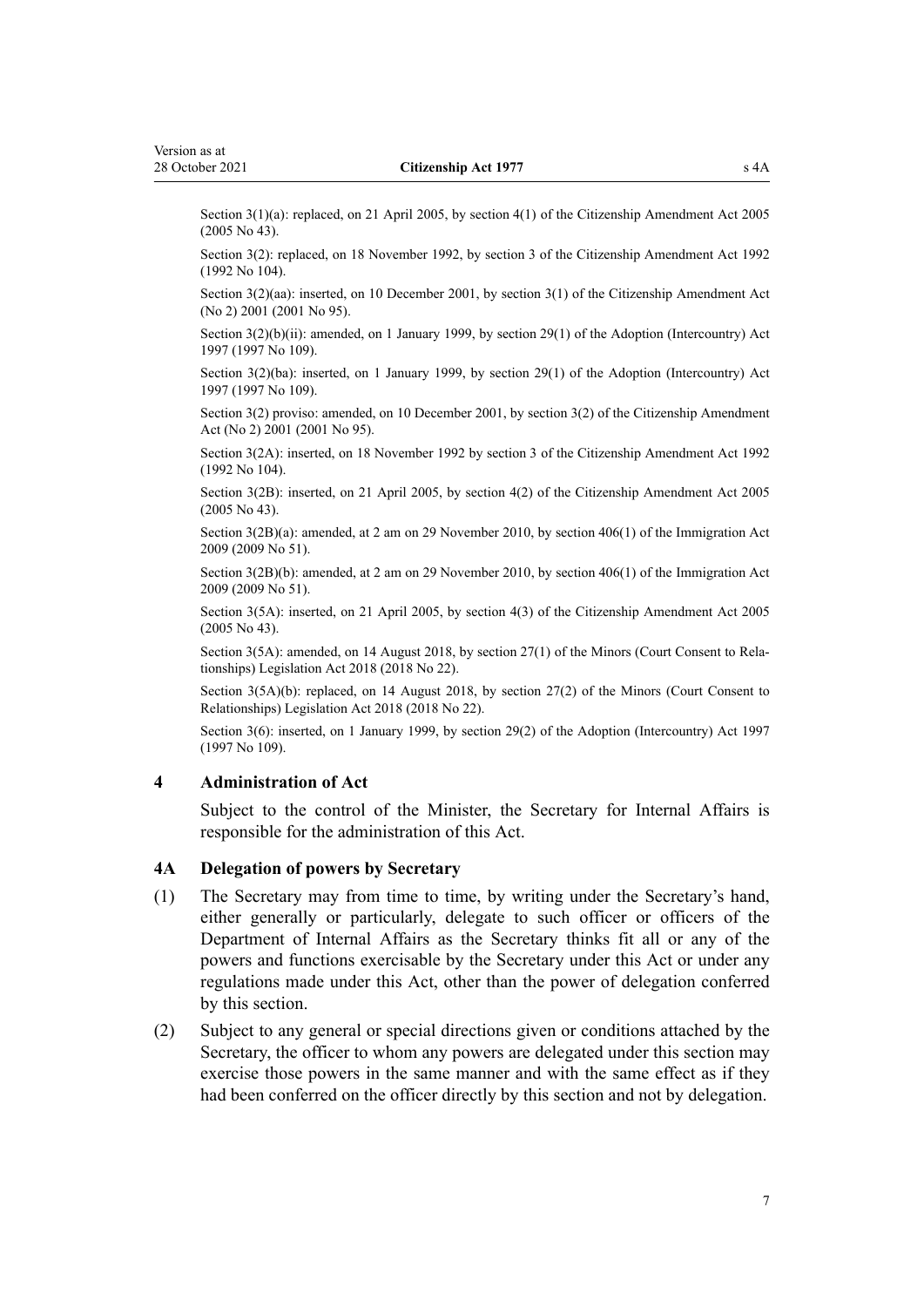<span id="page-6-0"></span>Section 3(1)(a): replaced, on 21 April 2005, by [section 4\(1\)](http://legislation.govt.nz/pdflink.aspx?id=DLM346740) of the Citizenship Amendment Act 2005 (2005 No 43).

Section 3(2): replaced, on 18 November 1992, by [section 3](http://legislation.govt.nz/pdflink.aspx?id=DLM280674) of the Citizenship Amendment Act 1992 (1992 No 104).

Section 3(2)(aa): inserted, on 10 December 2001, by [section 3\(1\)](http://legislation.govt.nz/pdflink.aspx?id=DLM121273) of the Citizenship Amendment Act (No 2) 2001 (2001 No 95).

Section 3(2)(b)(ii): amended, on 1 January 1999, by [section 29\(1\)](http://legislation.govt.nz/pdflink.aspx?id=DLM423065) of the Adoption (Intercountry) Act 1997 (1997 No 109).

Section 3(2)(ba): inserted, on 1 January 1999, by [section 29\(1\)](http://legislation.govt.nz/pdflink.aspx?id=DLM423065) of the Adoption (Intercountry) Act 1997 (1997 No 109).

Section 3(2) proviso: amended, on 10 December 2001, by [section 3\(2\)](http://legislation.govt.nz/pdflink.aspx?id=DLM121273) of the Citizenship Amendment Act (No 2) 2001 (2001 No 95).

Section 3(2A): inserted, on 18 November 1992 by [section 3](http://legislation.govt.nz/pdflink.aspx?id=DLM280674) of the Citizenship Amendment Act 1992 (1992 No 104).

Section 3(2B): inserted, on 21 April 2005, by [section 4\(2\)](http://legislation.govt.nz/pdflink.aspx?id=DLM346740) of the Citizenship Amendment Act 2005 (2005 No 43).

Section 3(2B)(a): amended, at 2 am on 29 November 2010, by [section 406\(1\)](http://legislation.govt.nz/pdflink.aspx?id=DLM1441347) of the Immigration Act 2009 (2009 No 51).

Section 3(2B)(b): amended, at 2 am on 29 November 2010, by [section 406\(1\)](http://legislation.govt.nz/pdflink.aspx?id=DLM1441347) of the Immigration Act 2009 (2009 No 51).

Section 3(5A): inserted, on 21 April 2005, by [section 4\(3\)](http://legislation.govt.nz/pdflink.aspx?id=DLM346740) of the Citizenship Amendment Act 2005 (2005 No 43).

Section 3(5A): amended, on 14 August 2018, by [section 27\(1\)](http://legislation.govt.nz/pdflink.aspx?id=LMS25406) of the Minors (Court Consent to Relationships) Legislation Act 2018 (2018 No 22).

Section 3(5A)(b): replaced, on 14 August 2018, by [section 27\(2\)](http://legislation.govt.nz/pdflink.aspx?id=LMS25406) of the Minors (Court Consent to Relationships) Legislation Act 2018 (2018 No 22).

Section 3(6): inserted, on 1 January 1999, by [section 29\(2\)](http://legislation.govt.nz/pdflink.aspx?id=DLM423065) of the Adoption (Intercountry) Act 1997 (1997 No 109).

#### **4 Administration of Act**

Subject to the control of the Minister, the Secretary for Internal Affairs is responsible for the administration of this Act.

#### **4A Delegation of powers by Secretary**

- (1) The Secretary may from time to time, by writing under the Secretary's hand, either generally or particularly, delegate to such officer or officers of the Department of Internal Affairs as the Secretary thinks fit all or any of the powers and functions exercisable by the Secretary under this Act or under any regulations made under this Act, other than the power of delegation conferred by this section.
- (2) Subject to any general or special directions given or conditions attached by the Secretary, the officer to whom any powers are delegated under this section may exercise those powers in the same manner and with the same effect as if they had been conferred on the officer directly by this section and not by delegation.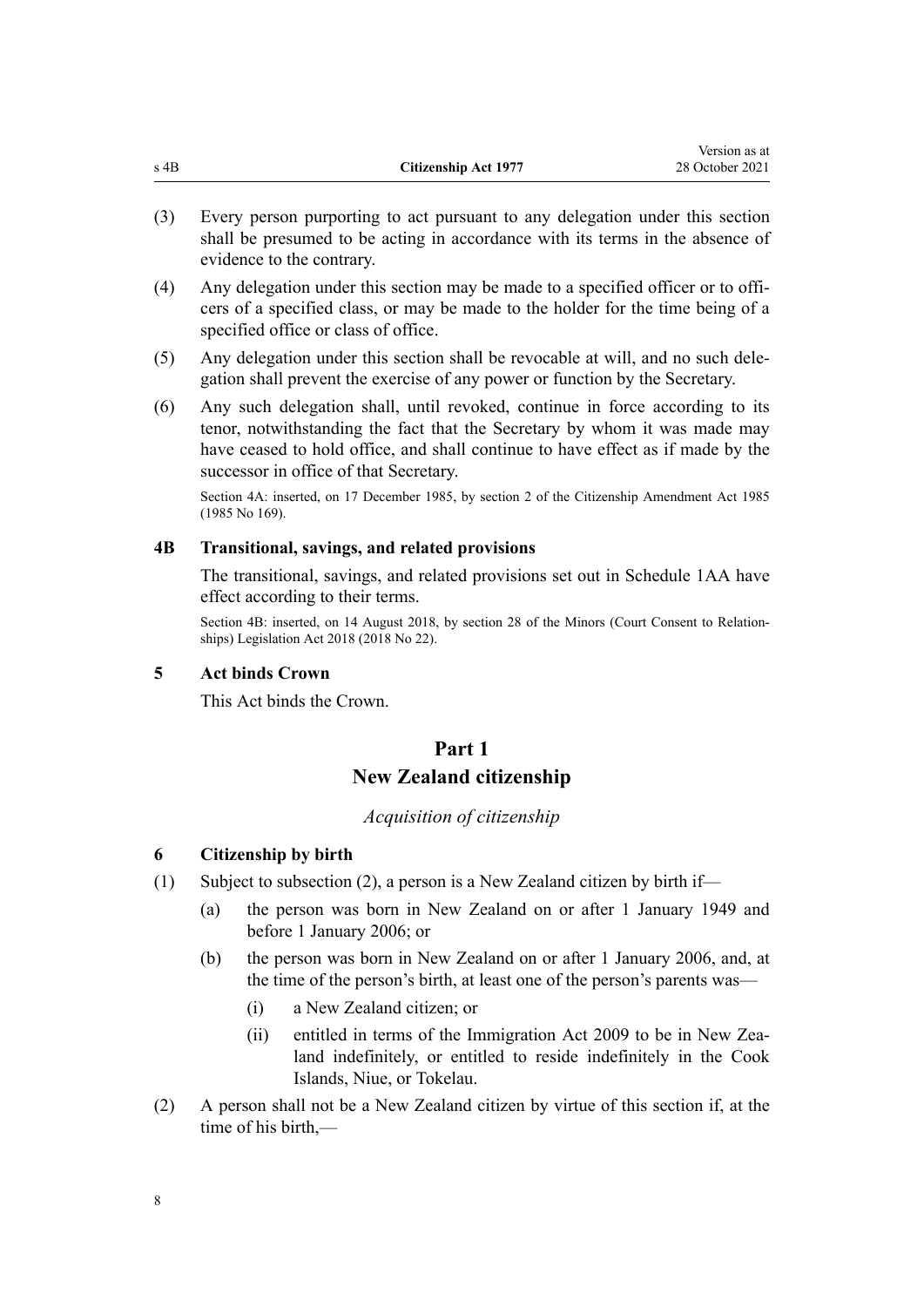<span id="page-7-0"></span>

| s 4B | <b>Citizenship Act 1977</b> | 28 October 2021 |
|------|-----------------------------|-----------------|

Version as at

- (3) Every person purporting to act pursuant to any delegation under this section shall be presumed to be acting in accordance with its terms in the absence of evidence to the contrary.
- (4) Any delegation under this section may be made to a specified officer or to offi‐ cers of a specified class, or may be made to the holder for the time being of a specified office or class of office.
- (5) Any delegation under this section shall be revocable at will, and no such dele‐ gation shall prevent the exercise of any power or function by the Secretary.
- (6) Any such delegation shall, until revoked, continue in force according to its tenor, notwithstanding the fact that the Secretary by whom it was made may have ceased to hold office, and shall continue to have effect as if made by the successor in office of that Secretary.

Section 4A: inserted, on 17 December 1985, by section 2 of the Citizenship Amendment Act 1985 (1985 No 169).

#### **4B Transitional, savings, and related provisions**

The transitional, savings, and related provisions set out in [Schedule 1AA](#page-28-0) have effect according to their terms.

Section 4B: inserted, on 14 August 2018, by [section 28](http://legislation.govt.nz/pdflink.aspx?id=LMS34373) of the Minors (Court Consent to Relationships) Legislation Act 2018 (2018 No 22).

### **5 Act binds Crown**

This Act binds the Crown.

# **Part 1 New Zealand citizenship**

# *Acquisition of citizenship*

## **6 Citizenship by birth**

- (1) Subject to subsection (2), a person is a New Zealand citizen by birth if—
	- (a) the person was born in New Zealand on or after 1 January 1949 and before 1 January 2006; or
	- (b) the person was born in New Zealand on or after 1 January 2006, and, at the time of the person's birth, at least one of the person's parents was—
		- (i) a New Zealand citizen; or
		- (ii) entitled in terms of the [Immigration Act 2009](http://legislation.govt.nz/pdflink.aspx?id=DLM1440300) to be in New Zealand indefinitely, or entitled to reside indefinitely in the Cook Islands, Niue, or Tokelau.
- (2) A person shall not be a New Zealand citizen by virtue of this section if, at the time of his birth,—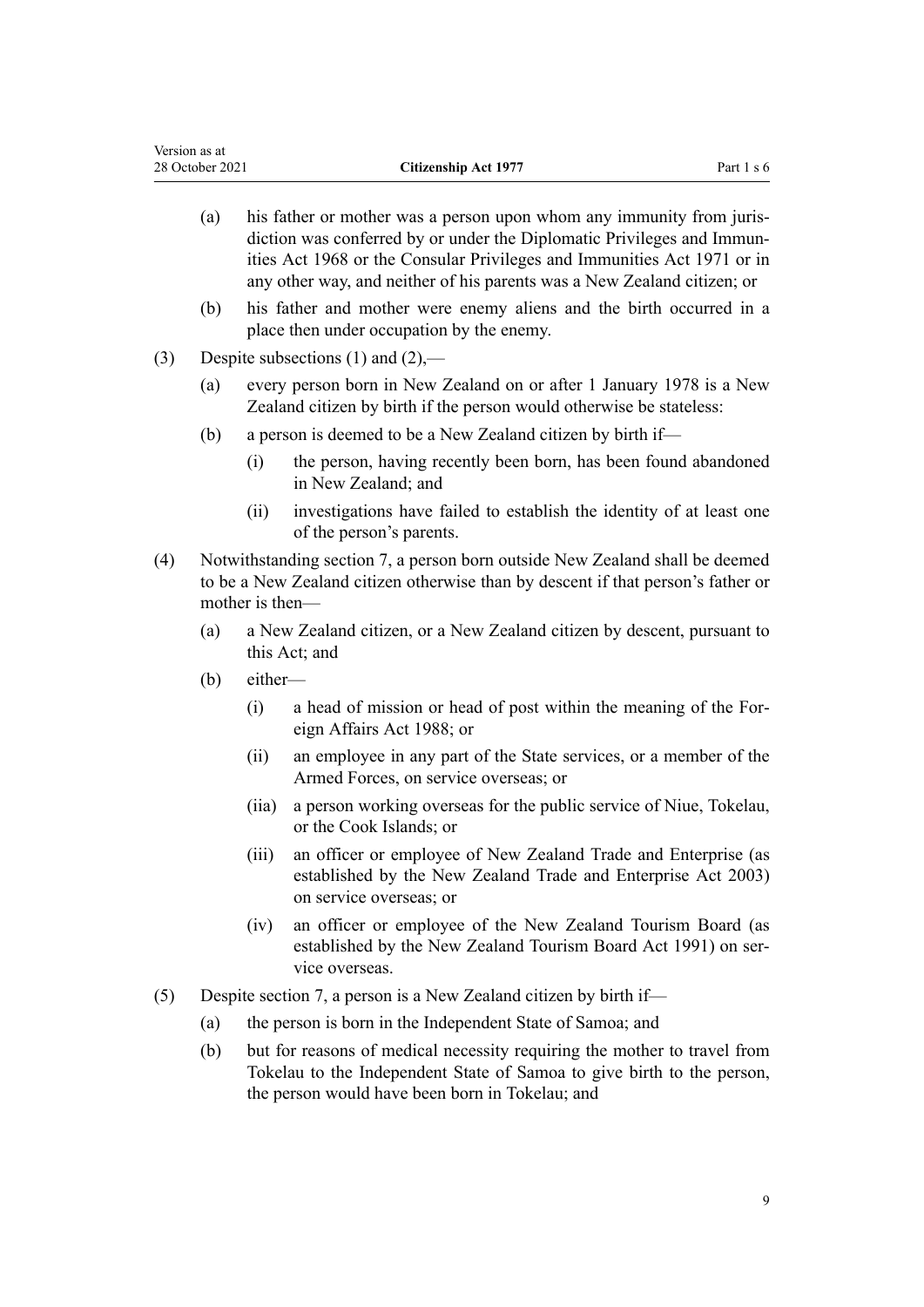- (a) his father or mother was a person upon whom any immunity from juris‐ diction was conferred by or under the [Diplomatic Privileges and Immun‐](http://legislation.govt.nz/pdflink.aspx?id=DLM387495) [ities Act 1968](http://legislation.govt.nz/pdflink.aspx?id=DLM387495) or the [Consular Privileges and Immunities Act 1971](http://legislation.govt.nz/pdflink.aspx?id=DLM397288) or in any other way, and neither of his parents was a New Zealand citizen; or
- (b) his father and mother were enemy aliens and the birth occurred in a place then under occupation by the enemy.
- (3) Despite subsections (1) and (2),—
	- (a) every person born in New Zealand on or after 1 January 1978 is a New Zealand citizen by birth if the person would otherwise be stateless:
	- (b) a person is deemed to be a New Zealand citizen by birth if—
		- (i) the person, having recently been born, has been found abandoned in New Zealand; and
		- (ii) investigations have failed to establish the identity of at least one of the person's parents.
- (4) Notwithstanding [section 7,](#page-9-0) a person born outside New Zealand shall be deemed to be a New Zealand citizen otherwise than by descent if that person's father or mother is then—
	- (a) a New Zealand citizen, or a New Zealand citizen by descent, pursuant to this Act; and
	- (b) either—
		- (i) a head of mission or head of post within the meaning of the [For‐](http://legislation.govt.nz/pdflink.aspx?id=DLM138397) [eign Affairs Act 1988;](http://legislation.govt.nz/pdflink.aspx?id=DLM138397) or
		- (ii) an employee in any part of the State services, or a member of the Armed Forces, on service overseas; or
		- (iia) a person working overseas for the public service of Niue, Tokelau, or the Cook Islands; or
		- (iii) an officer or employee of New Zealand Trade and Enterprise (as established by the [New Zealand Trade and Enterprise Act 2003](http://legislation.govt.nz/pdflink.aspx?id=DLM197075)) on service overseas; or
		- (iv) an officer or employee of the New Zealand Tourism Board (as established by the [New Zealand Tourism Board Act 1991\)](http://legislation.govt.nz/pdflink.aspx?id=DLM249324) on service overseas.
- (5) Despite [section 7](#page-9-0), a person is a New Zealand citizen by birth if—
	- (a) the person is born in the Independent State of Samoa; and
	- (b) but for reasons of medical necessity requiring the mother to travel from Tokelau to the Independent State of Samoa to give birth to the person, the person would have been born in Tokelau; and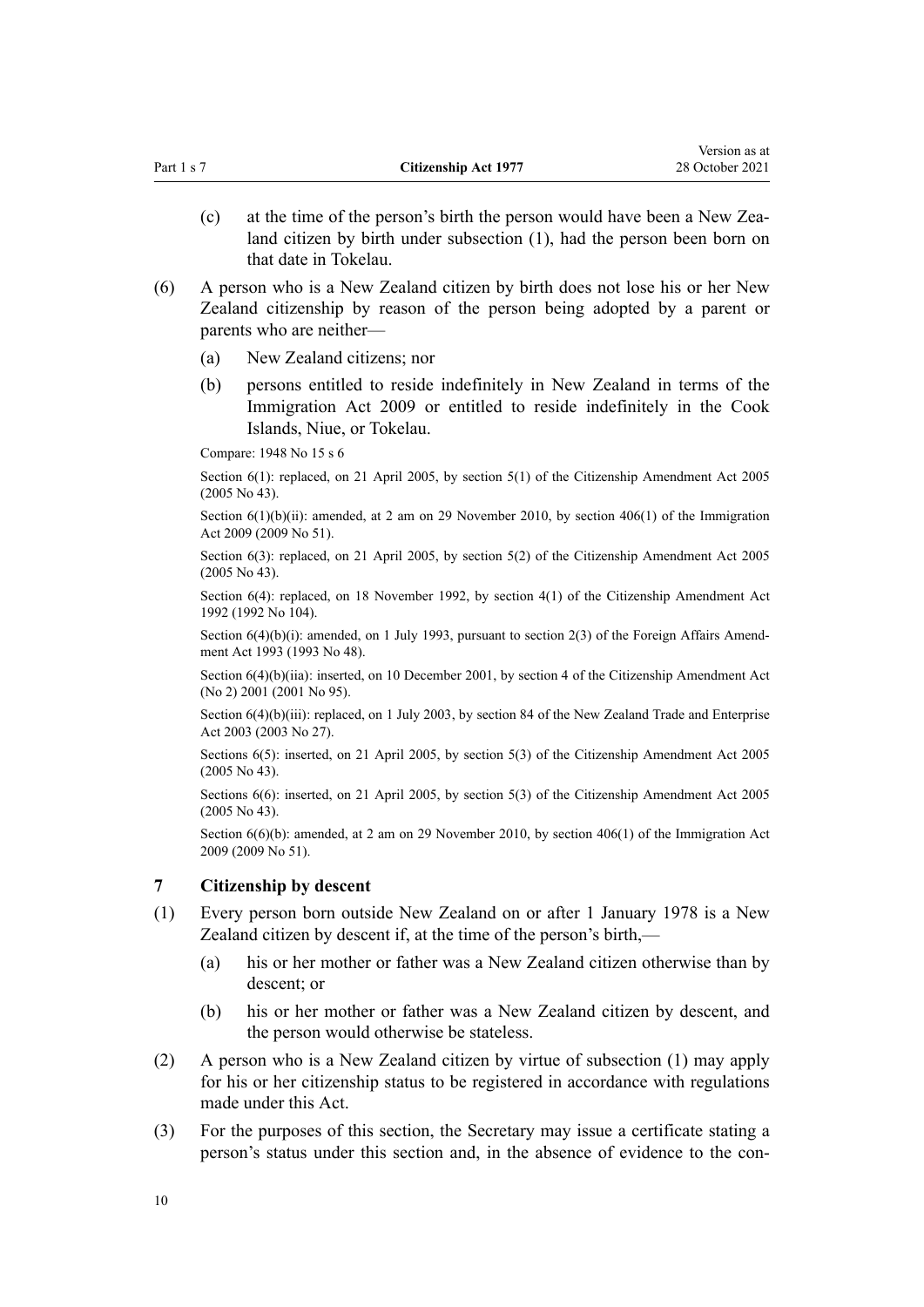<span id="page-9-0"></span>

| Part 1 s 7 |     | <b>Citizenship Act 1977</b>                                                                                                                                                              | 28 October 2021 |
|------------|-----|------------------------------------------------------------------------------------------------------------------------------------------------------------------------------------------|-----------------|
|            | (c) | at the time of the person's birth the person would have been a New Zea-<br>land citizen by birth under subsection (1), had the person been born on<br>that date in Tokelau.              |                 |
| (6)        |     | A person who is a New Zealand citizen by birth does not lose his or her New<br>Zealand citizenship by reason of the person being adopted by a parent or<br>parents who are neither-      |                 |
|            | (a) | New Zealand citizens; nor                                                                                                                                                                |                 |
|            | (b) | persons entitled to reside indefinitely in New Zealand in terms of the<br>Immigration Act 2009 or entitled to reside indefinitely in the Cook<br>Islands, Niue, or Tokelau.              |                 |
|            |     | Compare: 1948 No 15 s 6                                                                                                                                                                  |                 |
|            |     | Section 6(1): replaced, on 21 April 2005, by section 5(1) of the Citizenship Amendment Act 2005<br>$(2005$ No 43).                                                                       |                 |
|            |     | Section $6(1)(b)(ii)$ : amended, at 2 am on 29 November 2010, by section 406(1) of the Immigration<br>Act 2009 (2009 No 51).                                                             |                 |
|            |     | Section 6(3): replaced, on 21 April 2005, by section 5(2) of the Citizenship Amendment Act 2005<br>$(2005$ No 43).                                                                       |                 |
|            |     | Section 6(4): replaced, on 18 November 1992, by section 4(1) of the Citizenship Amendment Act<br>1992 (1992 No 104).                                                                     |                 |
|            |     | Section $6(4)(b)(i)$ : amended, on 1 July 1993, pursuant to section 2(3) of the Foreign Affairs Amend-<br>ment Act 1993 (1993 No 48).                                                    |                 |
|            |     | Section $6(4)(b)(iia)$ : inserted, on 10 December 2001, by section 4 of the Citizenship Amendment Act<br>(No 2) 2001 (2001 No 95).                                                       |                 |
|            |     | Section $6(4)(b)(iii)$ : replaced, on 1 July 2003, by section 84 of the New Zealand Trade and Enterprise<br>Act 2003 (2003 No 27).                                                       |                 |
|            |     | Sections 6(5): inserted, on 21 April 2005, by section 5(3) of the Citizenship Amendment Act 2005<br>$(2005$ No 43).                                                                      |                 |
|            |     | Sections 6(6): inserted, on 21 April 2005, by section 5(3) of the Citizenship Amendment Act 2005<br>$(2005$ No 43).                                                                      |                 |
|            |     | Section $6(6)(b)$ : amended, at 2 am on 29 November 2010, by section 406(1) of the Immigration Act<br>2009 (2009 No 51).                                                                 |                 |
| 7          |     | Citizenship by descent                                                                                                                                                                   |                 |
| (1)        |     | Every person born outside New Zealand on or after 1 January 1978 is a New<br>Zealand citizen by descent if, at the time of the person's birth,—                                          |                 |
|            | (a) | his or her mother or father was a New Zealand citizen otherwise than by<br>descent; or                                                                                                   |                 |
|            | (b) | his or her mother or father was a New Zealand citizen by descent, and<br>the person would otherwise be stateless.                                                                        |                 |
| (2)        |     | A person who is a New Zealand citizen by virtue of subsection (1) may apply<br>for his or her citizenship status to be registered in accordance with regulations<br>made under this Act. |                 |
| (3)        |     | For the purposes of this section, the Secretary may issue a certificate stating a<br>person's status under this section and, in the absence of evidence to the con-                      |                 |
| 10         |     |                                                                                                                                                                                          |                 |
|            |     |                                                                                                                                                                                          |                 |
|            |     |                                                                                                                                                                                          |                 |

Version as at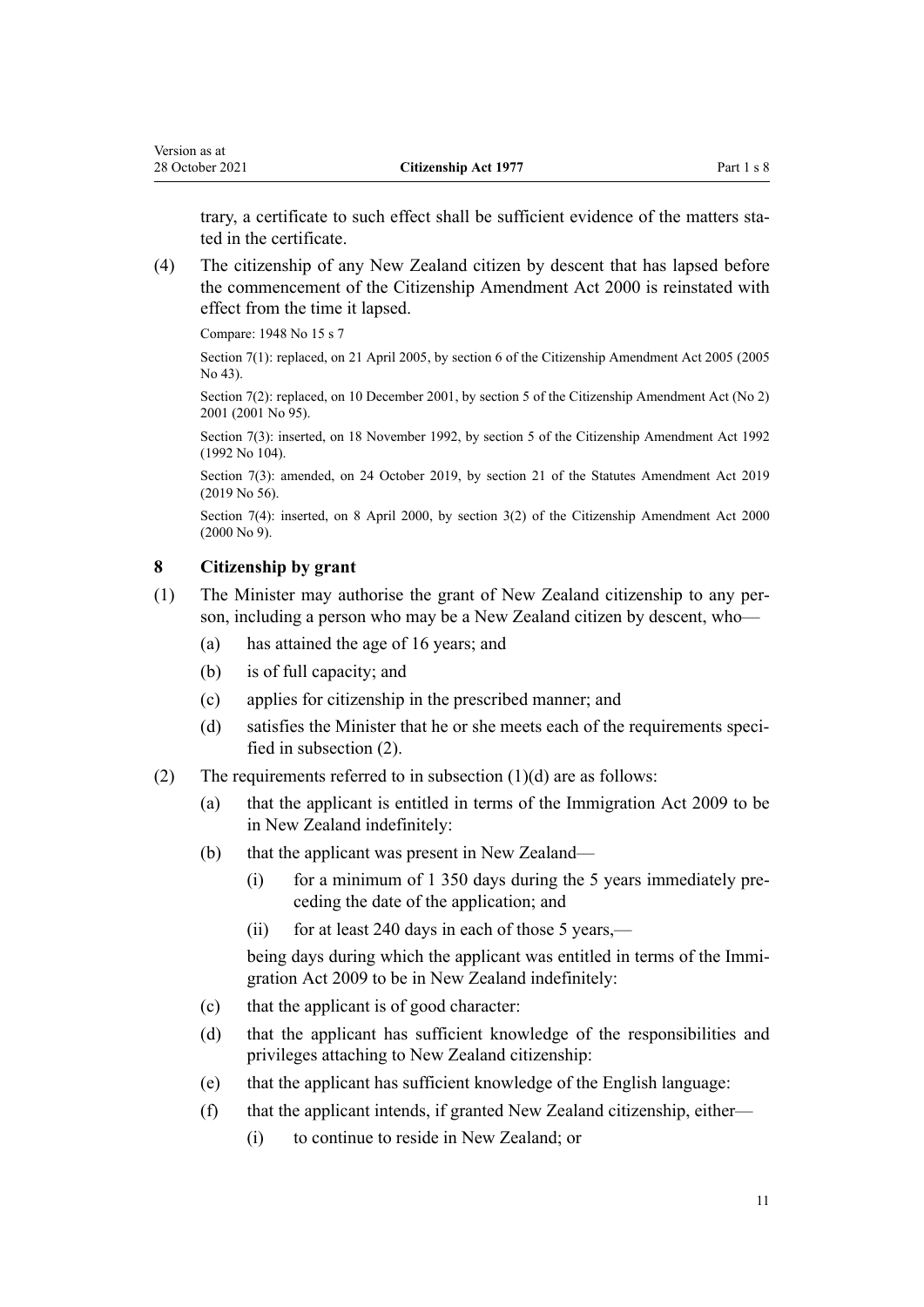<span id="page-10-0"></span>trary, a certificate to such effect shall be sufficient evidence of the matters stated in the certificate.

(4) The citizenship of any New Zealand citizen by descent that has lapsed before the commencement of the [Citizenship Amendment Act 2000](http://legislation.govt.nz/pdflink.aspx?id=DLM54921) is reinstated with effect from the time it lapsed.

Compare: 1948 No 15 s 7

Section 7(1): replaced, on 21 April 2005, by [section 6](http://legislation.govt.nz/pdflink.aspx?id=DLM346746) of the Citizenship Amendment Act 2005 (2005 No 43).

Section 7(2): replaced, on 10 December 2001, by [section 5](http://legislation.govt.nz/pdflink.aspx?id=DLM121275) of the Citizenship Amendment Act (No 2) 2001 (2001 No 95).

Section 7(3): inserted, on 18 November 1992, by [section 5](http://legislation.govt.nz/pdflink.aspx?id=DLM280676) of the Citizenship Amendment Act 1992 (1992 No 104).

Section 7(3): amended, on 24 October 2019, by [section 21](http://legislation.govt.nz/pdflink.aspx?id=LMS58907) of the Statutes Amendment Act 2019 (2019 No 56).

Section 7(4): inserted, on 8 April 2000, by [section 3\(2\)](http://legislation.govt.nz/pdflink.aspx?id=DLM54927) of the Citizenship Amendment Act 2000 (2000 No 9).

### **8 Citizenship by grant**

- (1) The Minister may authorise the grant of New Zealand citizenship to any per‐ son, including a person who may be a New Zealand citizen by descent, who—
	- (a) has attained the age of 16 years; and
	- (b) is of full capacity; and
	- (c) applies for citizenship in the prescribed manner; and
	- (d) satisfies the Minister that he or she meets each of the requirements specified in subsection (2).
- (2) The requirements referred to in subsection  $(1)(d)$  are as follows:
	- (a) that the applicant is entitled in terms of the [Immigration Act 2009](http://legislation.govt.nz/pdflink.aspx?id=DLM1440300) to be in New Zealand indefinitely:
	- (b) that the applicant was present in New Zealand—
		- (i) for a minimum of 1 350 days during the 5 years immediately preceding the date of the application; and
		- (ii) for at least 240 days in each of those 5 years,—

being days during which the applicant was entitled in terms of the Immi[gration Act 2009](http://legislation.govt.nz/pdflink.aspx?id=DLM1440300) to be in New Zealand indefinitely:

- (c) that the applicant is of good character:
- (d) that the applicant has sufficient knowledge of the responsibilities and privileges attaching to New Zealand citizenship:
- (e) that the applicant has sufficient knowledge of the English language:
- (f) that the applicant intends, if granted New Zealand citizenship, either—
	- (i) to continue to reside in New Zealand; or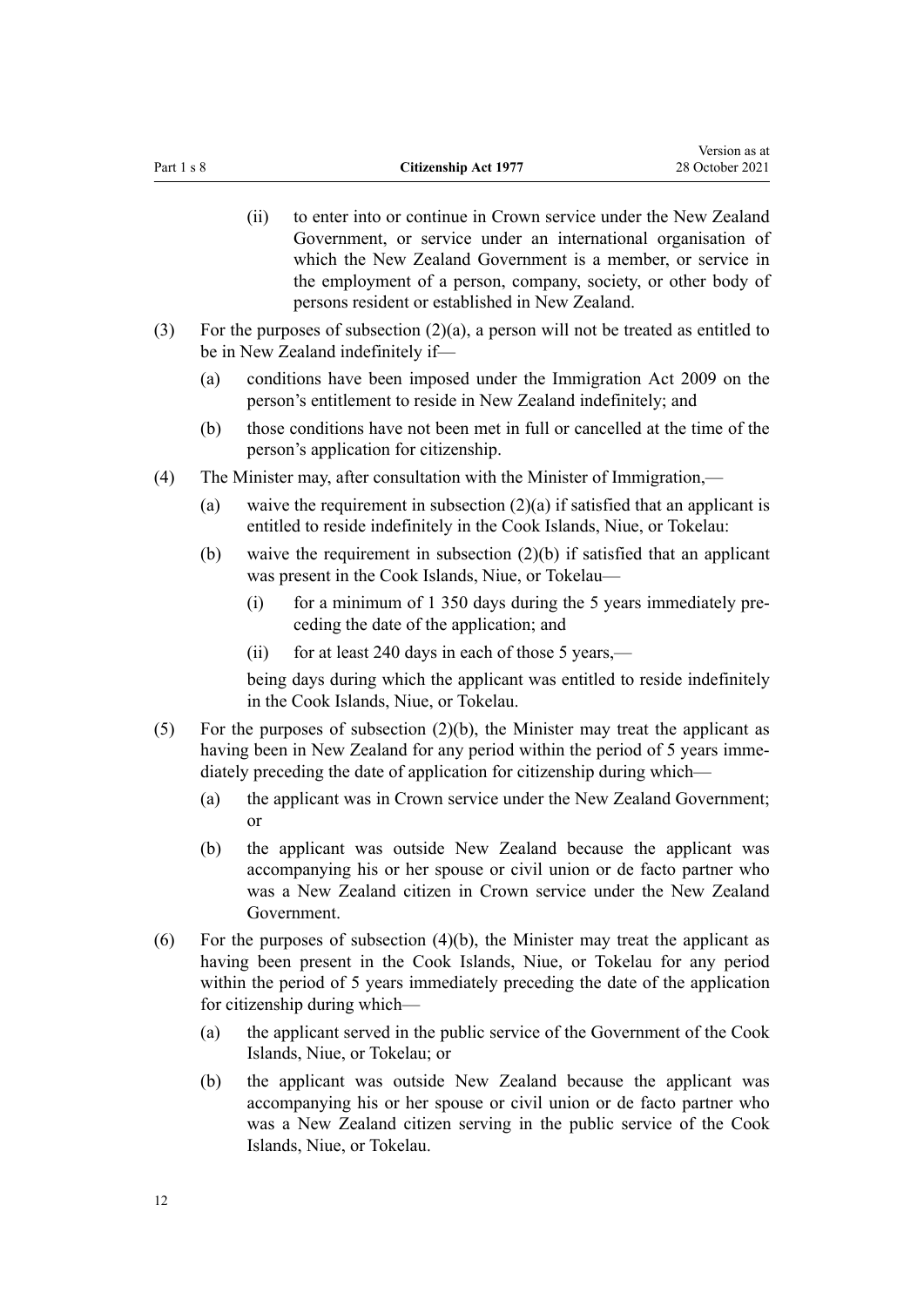- (ii) to enter into or continue in Crown service under the New Zealand Government, or service under an international organisation of which the New Zealand Government is a member, or service in the employment of a person, company, society, or other body of persons resident or established in New Zealand.
- (3) For the purposes of subsection (2)(a), a person will not be treated as entitled to be in New Zealand indefinitely if—
	- (a) conditions have been imposed under the [Immigration Act 2009](http://legislation.govt.nz/pdflink.aspx?id=DLM1440300) on the person's entitlement to reside in New Zealand indefinitely; and
	- (b) those conditions have not been met in full or cancelled at the time of the person's application for citizenship.
- (4) The Minister may, after consultation with the Minister of Immigration,—
	- (a) waive the requirement in subsection  $(2)(a)$  if satisfied that an applicant is entitled to reside indefinitely in the Cook Islands, Niue, or Tokelau:
	- (b) waive the requirement in subsection (2)(b) if satisfied that an applicant was present in the Cook Islands, Niue, or Tokelau—
		- (i) for a minimum of 1 350 days during the 5 years immediately preceding the date of the application; and
		- (ii) for at least 240 days in each of those 5 years,—

being days during which the applicant was entitled to reside indefinitely in the Cook Islands, Niue, or Tokelau.

- (5) For the purposes of subsection  $(2)(b)$ , the Minister may treat the applicant as having been in New Zealand for any period within the period of 5 years immediately preceding the date of application for citizenship during which—
	- (a) the applicant was in Crown service under the New Zealand Government; or
	- (b) the applicant was outside New Zealand because the applicant was accompanying his or her spouse or civil union or de facto partner who was a New Zealand citizen in Crown service under the New Zealand Government.
- (6) For the purposes of subsection  $(4)(b)$ , the Minister may treat the applicant as having been present in the Cook Islands, Niue, or Tokelau for any period within the period of 5 years immediately preceding the date of the application for citizenship during which—
	- (a) the applicant served in the public service of the Government of the Cook Islands, Niue, or Tokelau; or
	- (b) the applicant was outside New Zealand because the applicant was accompanying his or her spouse or civil union or de facto partner who was a New Zealand citizen serving in the public service of the Cook Islands, Niue, or Tokelau.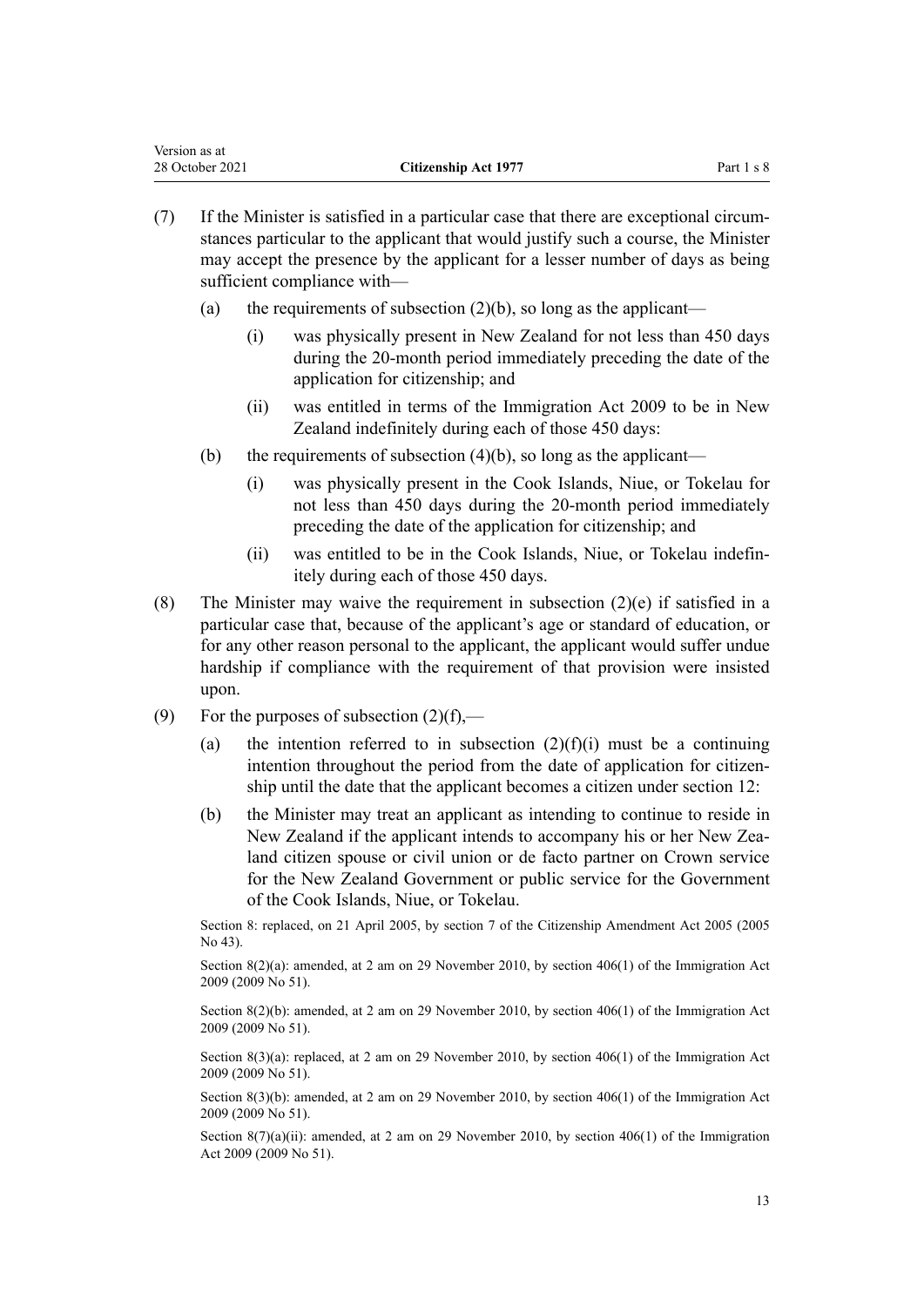| Version as at   |                             |            |
|-----------------|-----------------------------|------------|
| 28 October 2021 | <b>Citizenship Act 1977</b> | Part 1 s 8 |

- $(7)$  If the Minister is satisfied in a particular case that there are exceptional circumstances particular to the applicant that would justify such a course, the Minister may accept the presence by the applicant for a lesser number of days as being sufficient compliance with—
	- (a) the requirements of subsection  $(2)(b)$ , so long as the applicant—
		- (i) was physically present in New Zealand for not less than 450 days during the 20-month period immediately preceding the date of the application for citizenship; and
		- (ii) was entitled in terms of the [Immigration Act 2009](http://legislation.govt.nz/pdflink.aspx?id=DLM1440300) to be in New Zealand indefinitely during each of those 450 days:
	- (b) the requirements of subsection  $(4)(b)$ , so long as the applicant—
		- (i) was physically present in the Cook Islands, Niue, or Tokelau for not less than 450 days during the 20-month period immediately preceding the date of the application for citizenship; and
		- (ii) was entitled to be in the Cook Islands, Niue, or Tokelau indefin‐ itely during each of those 450 days.
- (8) The Minister may waive the requirement in subsection (2)(e) if satisfied in a particular case that, because of the applicant's age or standard of education, or for any other reason personal to the applicant, the applicant would suffer undue hardship if compliance with the requirement of that provision were insisted upon.
- (9) For the purposes of subsection  $(2)(f)$ ,—
	- (a) the intention referred to in subsection  $(2)(f)(i)$  must be a continuing intention throughout the period from the date of application for citizenship until the date that the applicant becomes a citizen under [section 12:](#page-14-0)
	- (b) the Minister may treat an applicant as intending to continue to reside in New Zealand if the applicant intends to accompany his or her New Zea‐ land citizen spouse or civil union or de facto partner on Crown service for the New Zealand Government or public service for the Government of the Cook Islands, Niue, or Tokelau.

Section 8: replaced, on 21 April 2005, by [section 7](http://legislation.govt.nz/pdflink.aspx?id=DLM346747) of the Citizenship Amendment Act 2005 (2005 No 43).

Section 8(2)(a): amended, at 2 am on 29 November 2010, by [section 406\(1\)](http://legislation.govt.nz/pdflink.aspx?id=DLM1441347) of the Immigration Act 2009 (2009 No 51).

Section 8(2)(b): amended, at 2 am on 29 November 2010, by [section 406\(1\)](http://legislation.govt.nz/pdflink.aspx?id=DLM1441347) of the Immigration Act 2009 (2009 No 51).

Section 8(3)(a): replaced, at 2 am on 29 November 2010, by [section 406\(1\)](http://legislation.govt.nz/pdflink.aspx?id=DLM1441347) of the Immigration Act 2009 (2009 No 51).

Section 8(3)(b): amended, at 2 am on 29 November 2010, by [section 406\(1\)](http://legislation.govt.nz/pdflink.aspx?id=DLM1441347) of the Immigration Act 2009 (2009 No 51).

Section  $8(7)(a)(ii)$ : amended, at 2 am on 29 November 2010, by [section 406\(1\)](http://legislation.govt.nz/pdflink.aspx?id=DLM1441347) of the Immigration Act 2009 (2009 No 51).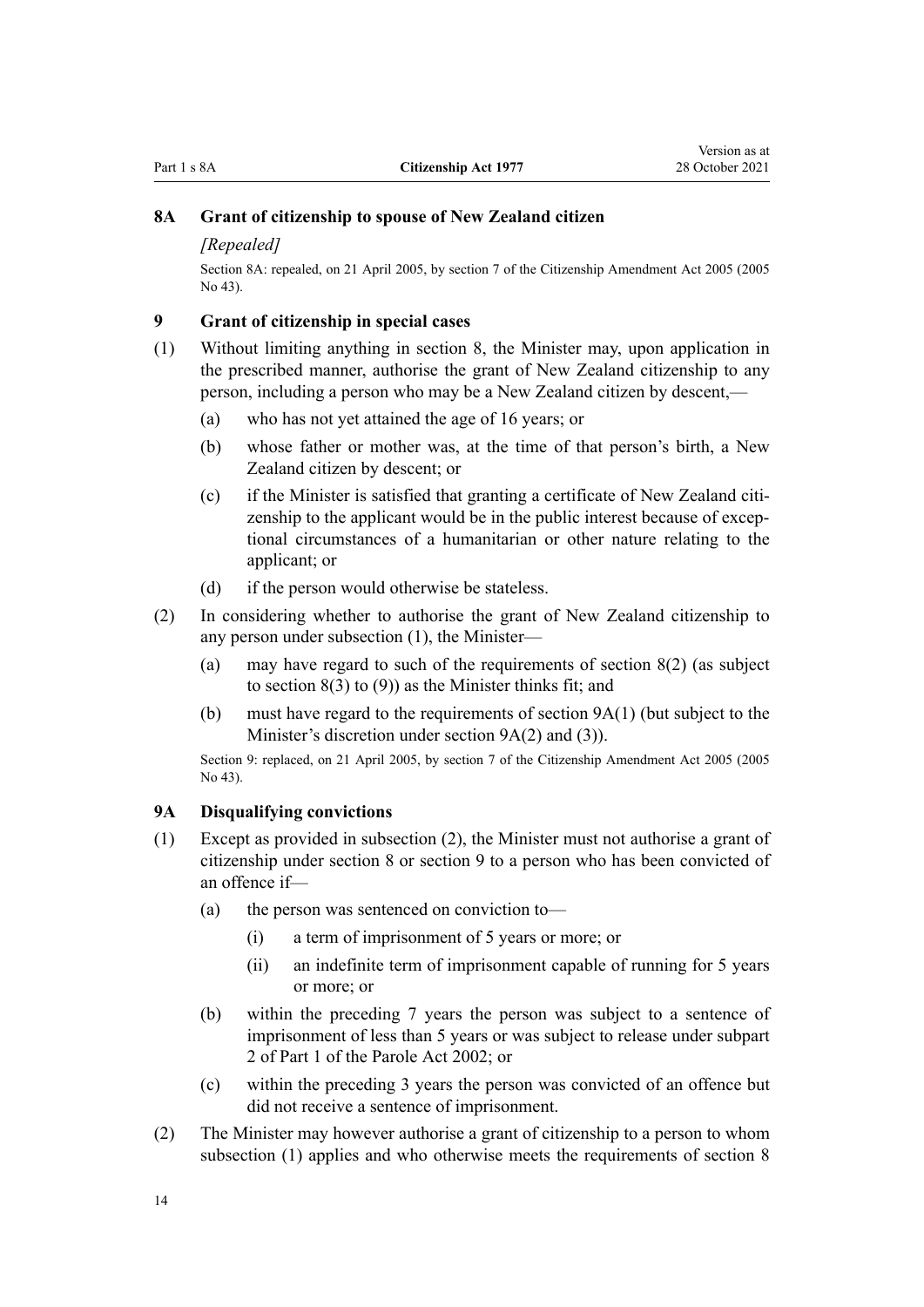# <span id="page-13-0"></span>**8A Grant of citizenship to spouse of New Zealand citizen**

#### *[Repealed]*

Section 8A: repealed, on 21 April 2005, by [section 7](http://legislation.govt.nz/pdflink.aspx?id=DLM346747) of the Citizenship Amendment Act 2005 (2005  $No$  43).

#### **9 Grant of citizenship in special cases**

- (1) Without limiting anything in [section 8,](#page-10-0) the Minister may, upon application in the prescribed manner, authorise the grant of New Zealand citizenship to any person, including a person who may be a New Zealand citizen by descent,—
	- (a) who has not yet attained the age of 16 years; or
	- (b) whose father or mother was, at the time of that person's birth, a New Zealand citizen by descent; or
	- $(c)$  if the Minister is satisfied that granting a certificate of New Zealand citizenship to the applicant would be in the public interest because of exceptional circumstances of a humanitarian or other nature relating to the applicant; or
	- (d) if the person would otherwise be stateless.
- (2) In considering whether to authorise the grant of New Zealand citizenship to any person under subsection (1), the Minister—
	- (a) may have regard to such of the requirements of [section 8\(2\)](#page-10-0) (as subject to section  $8(3)$  to  $(9)$ ) as the Minister thinks fit; and
	- (b) must have regard to the requirements of section 9A(1) (but subject to the Minister's discretion under section 9A(2) and (3)).

Section 9: replaced, on 21 April 2005, by [section 7](http://legislation.govt.nz/pdflink.aspx?id=DLM346747) of the Citizenship Amendment Act 2005 (2005 No 43).

### **9A Disqualifying convictions**

- (1) Except as provided in subsection (2), the Minister must not authorise a grant of citizenship under [section 8](#page-10-0) or section 9 to a person who has been convicted of an offence if—
	- (a) the person was sentenced on conviction to—
		- (i) a term of imprisonment of 5 years or more; or
		- (ii) an indefinite term of imprisonment capable of running for 5 years or more; or
	- (b) within the preceding 7 years the person was subject to a sentence of imprisonment of less than 5 years or was subject to release under subpart 2 of [Part 1](http://legislation.govt.nz/pdflink.aspx?id=DLM137638) of the Parole Act 2002; or
	- (c) within the preceding 3 years the person was convicted of an offence but did not receive a sentence of imprisonment.
- (2) The Minister may however authorise a grant of citizenship to a person to whom subsection (1) applies and who otherwise meets the requirements of [section 8](#page-10-0)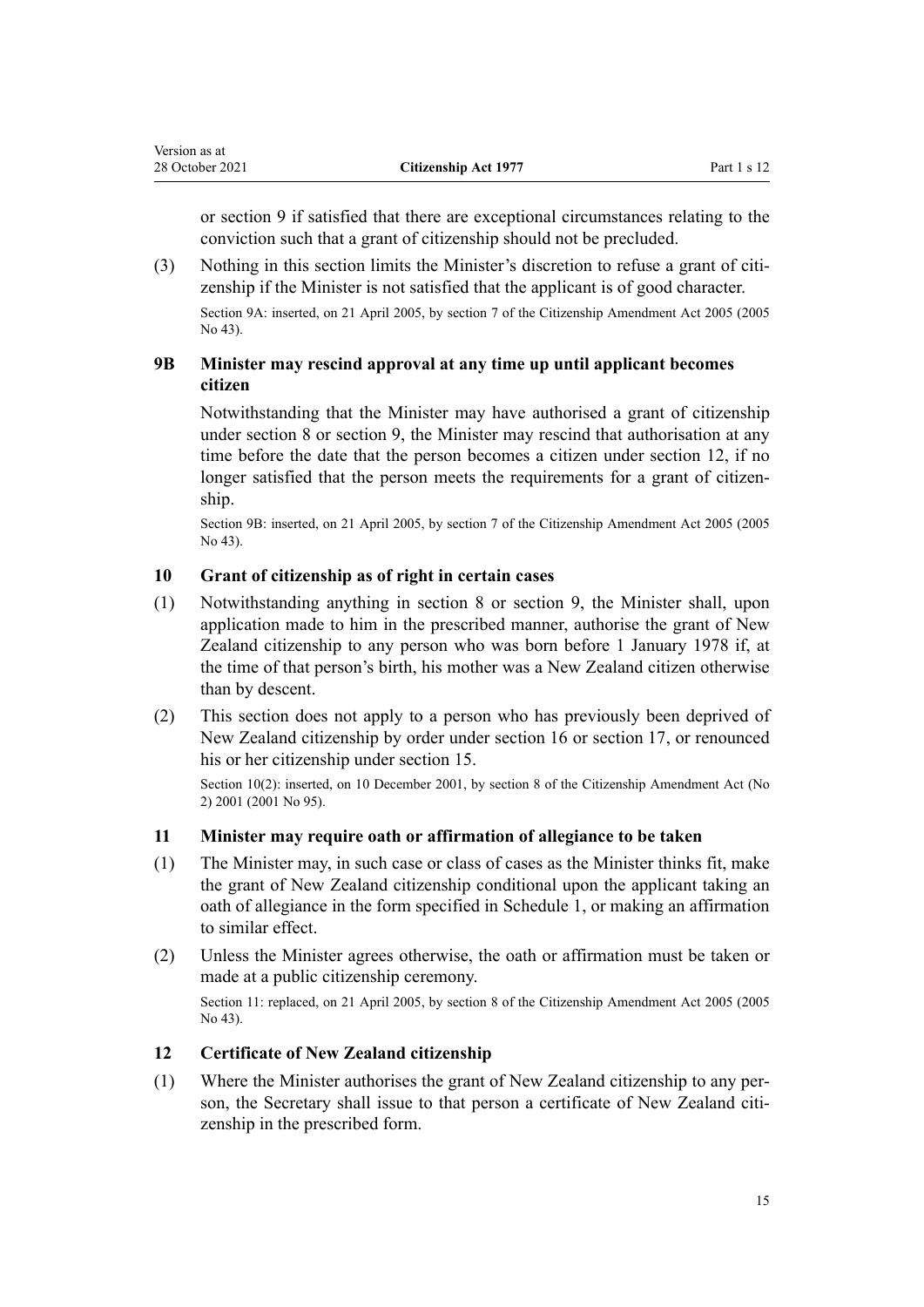<span id="page-14-0"></span>or [section 9](#page-13-0) if satisfied that there are exceptional circumstances relating to the conviction such that a grant of citizenship should not be precluded.

 $(3)$  Nothing in this section limits the Minister's discretion to refuse a grant of citizenship if the Minister is not satisfied that the applicant is of good character.

Section 9A: inserted, on 21 April 2005, by [section 7](http://legislation.govt.nz/pdflink.aspx?id=DLM346747) of the Citizenship Amendment Act 2005 (2005 No 43).

# **9B Minister may rescind approval at any time up until applicant becomes citizen**

Notwithstanding that the Minister may have authorised a grant of citizenship under [section 8](#page-10-0) or [section 9](#page-13-0), the Minister may rescind that authorisation at any time before the date that the person becomes a citizen under section 12, if no longer satisfied that the person meets the requirements for a grant of citizenship.

Section 9B: inserted, on 21 April 2005, by [section 7](http://legislation.govt.nz/pdflink.aspx?id=DLM346747) of the Citizenship Amendment Act 2005 (2005 No 43).

# **10 Grant of citizenship as of right in certain cases**

- (1) Notwithstanding anything in [section 8](#page-10-0) or [section 9,](#page-13-0) the Minister shall, upon application made to him in the prescribed manner, authorise the grant of New Zealand citizenship to any person who was born before 1 January 1978 if, at the time of that person's birth, his mother was a New Zealand citizen otherwise than by descent.
- (2) This section does not apply to a person who has previously been deprived of New Zealand citizenship by order under [section 16](#page-17-0) or [section 17](#page-17-0), or renounced his or her citizenship under [section 15](#page-16-0).

Section 10(2): inserted, on 10 December 2001, by [section 8](http://legislation.govt.nz/pdflink.aspx?id=DLM121278) of the Citizenship Amendment Act (No 2) 2001 (2001 No 95).

## **11 Minister may require oath or affirmation of allegiance to be taken**

- (1) The Minister may, in such case or class of cases as the Minister thinks fit, make the grant of New Zealand citizenship conditional upon the applicant taking an oath of allegiance in the form specified in [Schedule 1](#page-29-0), or making an affirmation to similar effect.
- (2) Unless the Minister agrees otherwise, the oath or affirmation must be taken or made at a public citizenship ceremony.

Section 11: replaced, on 21 April 2005, by [section 8](http://legislation.govt.nz/pdflink.aspx?id=DLM346752) of the Citizenship Amendment Act 2005 (2005 No 43).

# **12 Certificate of New Zealand citizenship**

(1) Where the Minister authorises the grant of New Zealand citizenship to any per‐ son, the Secretary shall issue to that person a certificate of New Zealand citizenship in the prescribed form.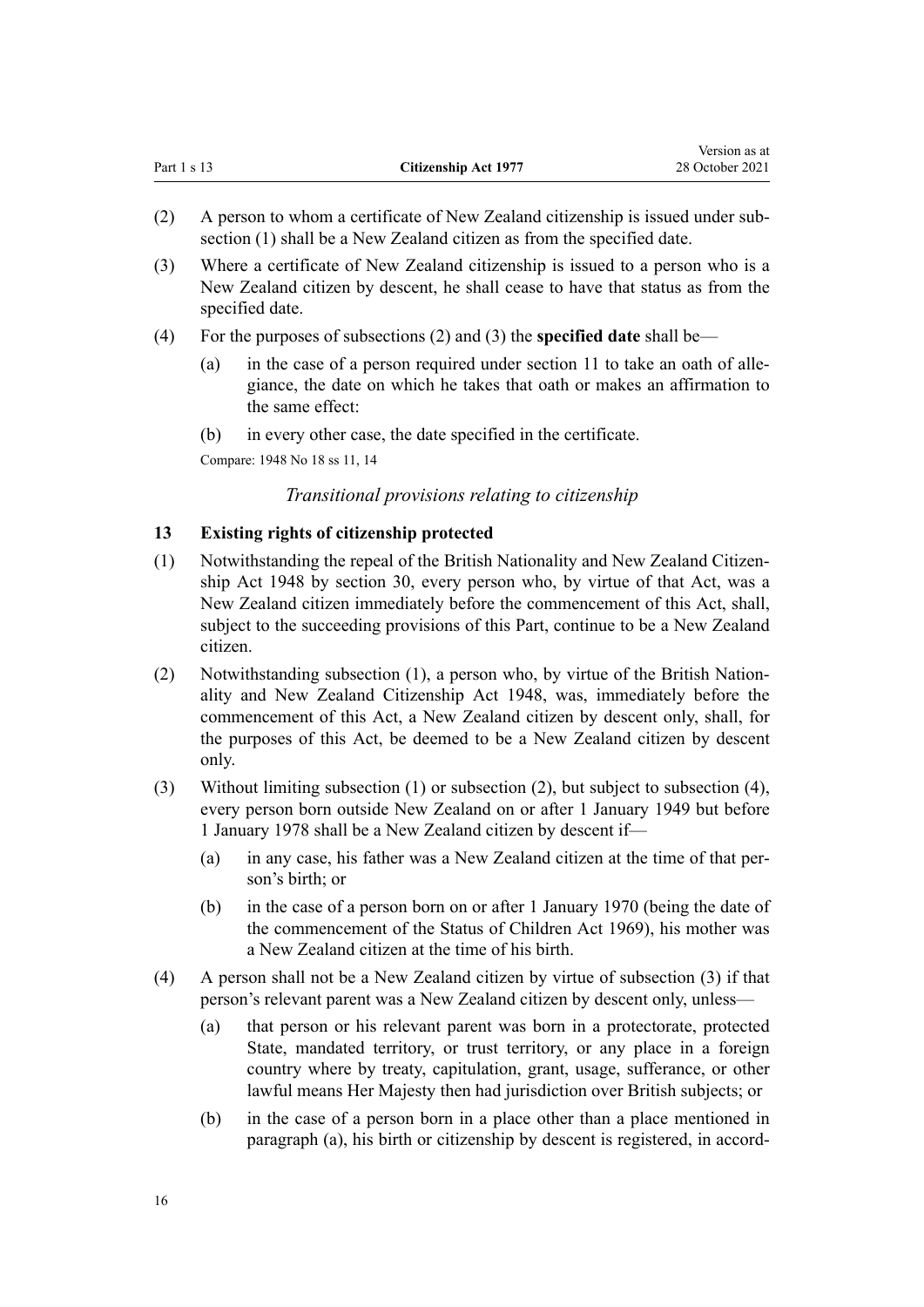<span id="page-15-0"></span>

|               |                             | 1.9191011.00000 |
|---------------|-----------------------------|-----------------|
| Part $1 s 13$ | <b>Citizenship Act 1977</b> | 28 October 2021 |

Version as at

- (2) A person to whom a certificate of New Zealand citizenship is issued under sub‐ section (1) shall be a New Zealand citizen as from the specified date.
- (3) Where a certificate of New Zealand citizenship is issued to a person who is a New Zealand citizen by descent, he shall cease to have that status as from the specified date.
- (4) For the purposes of subsections (2) and (3) the **specified date** shall be
	- (a) in the case of a person required under [section 11](#page-14-0) to take an oath of allegiance, the date on which he takes that oath or makes an affirmation to the same effect:
	- (b) in every other case, the date specified in the certificate.

Compare: 1948 No 18 ss 11, 14

# *Transitional provisions relating to citizenship*

### **13 Existing rights of citizenship protected**

- (1) Notwithstanding the repeal of the British Nationality and New Zealand Citizenship Act 1948 by [section 30,](#page-27-0) every person who, by virtue of that Act, was a New Zealand citizen immediately before the commencement of this Act, shall, subject to the succeeding provisions of this Part, continue to be a New Zealand citizen.
- (2) Notwithstanding subsection  $(1)$ , a person who, by virtue of the British Nationality and New Zealand Citizenship Act 1948, was, immediately before the commencement of this Act, a New Zealand citizen by descent only, shall, for the purposes of this Act, be deemed to be a New Zealand citizen by descent only.
- (3) Without limiting subsection (1) or subsection (2), but subject to subsection (4), every person born outside New Zealand on or after 1 January 1949 but before 1 January 1978 shall be a New Zealand citizen by descent if—
	- (a) in any case, his father was a New Zealand citizen at the time of that per‐ son's birth; or
	- (b) in the case of a person born on or after 1 January 1970 (being the date of the commencement of the [Status of Children Act 1969](http://legislation.govt.nz/pdflink.aspx?id=DLM390653)), his mother was a New Zealand citizen at the time of his birth.
- (4) A person shall not be a New Zealand citizen by virtue of subsection (3) if that person's relevant parent was a New Zealand citizen by descent only, unless—
	- (a) that person or his relevant parent was born in a protectorate, protected State, mandated territory, or trust territory, or any place in a foreign country where by treaty, capitulation, grant, usage, sufferance, or other lawful means Her Majesty then had jurisdiction over British subjects; or
	- (b) in the case of a person born in a place other than a place mentioned in paragraph (a), his birth or citizenship by descent is registered, in accord-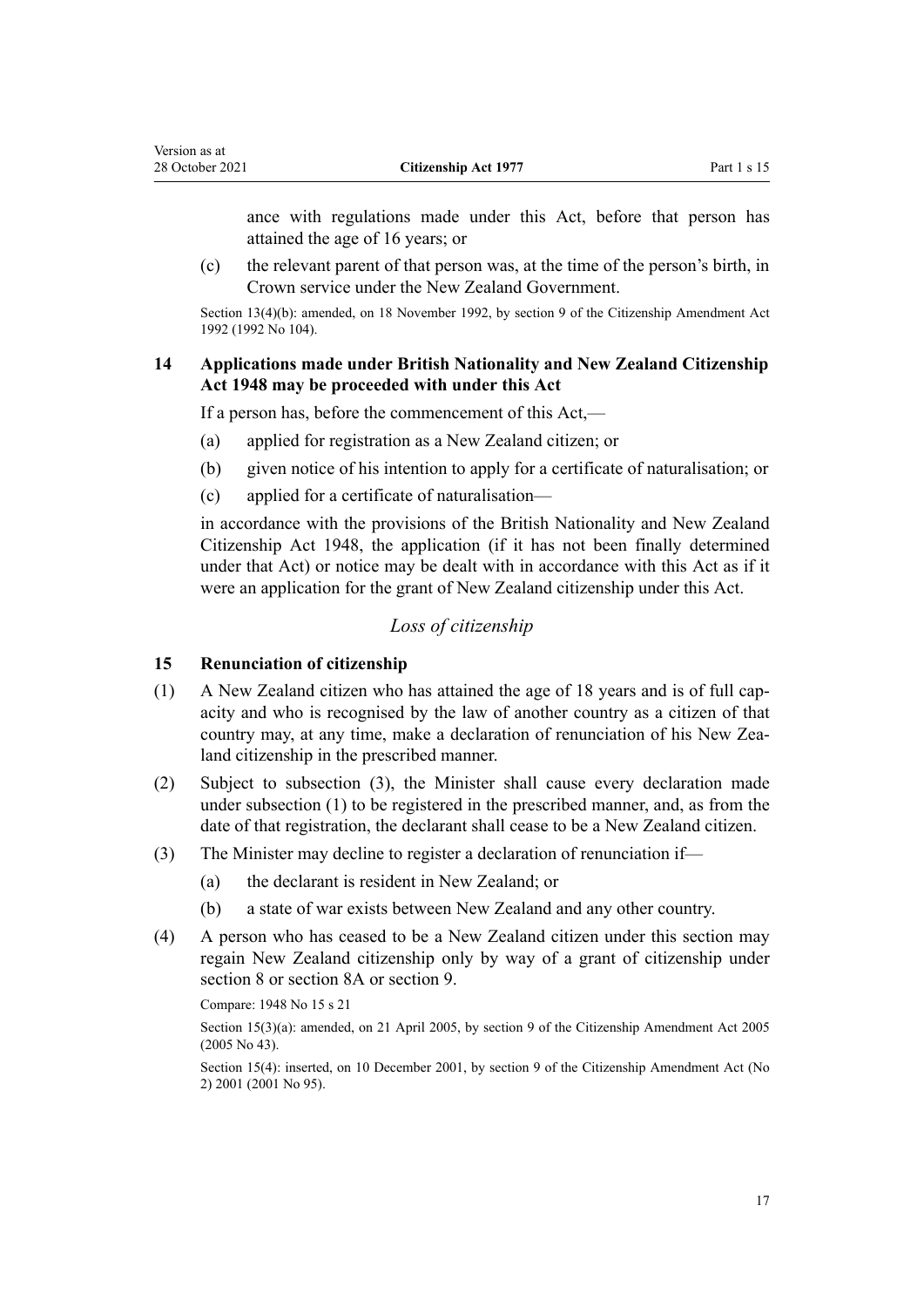<span id="page-16-0"></span>Version as at

ance with regulations made under this Act, before that person has attained the age of 16 years; or

(c) the relevant parent of that person was, at the time of the person's birth, in Crown service under the New Zealand Government.

Section 13(4)(b): amended, on 18 November 1992, by [section 9](http://legislation.govt.nz/pdflink.aspx?id=DLM280680) of the Citizenship Amendment Act 1992 (1992 No 104).

# **14 Applications made under British Nationality and New Zealand Citizenship Act 1948 may be proceeded with under this Act**

If a person has, before the commencement of this Act,—

- (a) applied for registration as a New Zealand citizen; or
- (b) given notice of his intention to apply for a certificate of naturalisation; or
- (c) applied for a certificate of naturalisation—

in accordance with the provisions of the British Nationality and New Zealand Citizenship Act 1948, the application (if it has not been finally determined under that Act) or notice may be dealt with in accordance with this Act as if it were an application for the grant of New Zealand citizenship under this Act.

# *Loss of citizenship*

# **15 Renunciation of citizenship**

- $(1)$  A New Zealand citizen who has attained the age of 18 years and is of full capacity and who is recognised by the law of another country as a citizen of that country may, at any time, make a declaration of renunciation of his New Zealand citizenship in the prescribed manner.
- (2) Subject to subsection (3), the Minister shall cause every declaration made under subsection (1) to be registered in the prescribed manner, and, as from the date of that registration, the declarant shall cease to be a New Zealand citizen.
- (3) The Minister may decline to register a declaration of renunciation if—
	- (a) the declarant is resident in New Zealand; or
	- (b) a state of war exists between New Zealand and any other country.
- (4) A person who has ceased to be a New Zealand citizen under this section may regain New Zealand citizenship only by way of a grant of citizenship under [section 8](#page-10-0) or [section 8A](#page-13-0) or [section 9.](#page-13-0)

Compare: 1948 No 15 s 21

Section 15(3)(a): amended, on 21 April 2005, by [section 9](http://legislation.govt.nz/pdflink.aspx?id=DLM346754) of the Citizenship Amendment Act 2005 (2005 No 43).

Section 15(4): inserted, on 10 December 2001, by [section 9](http://legislation.govt.nz/pdflink.aspx?id=DLM121279) of the Citizenship Amendment Act (No 2) 2001 (2001 No 95).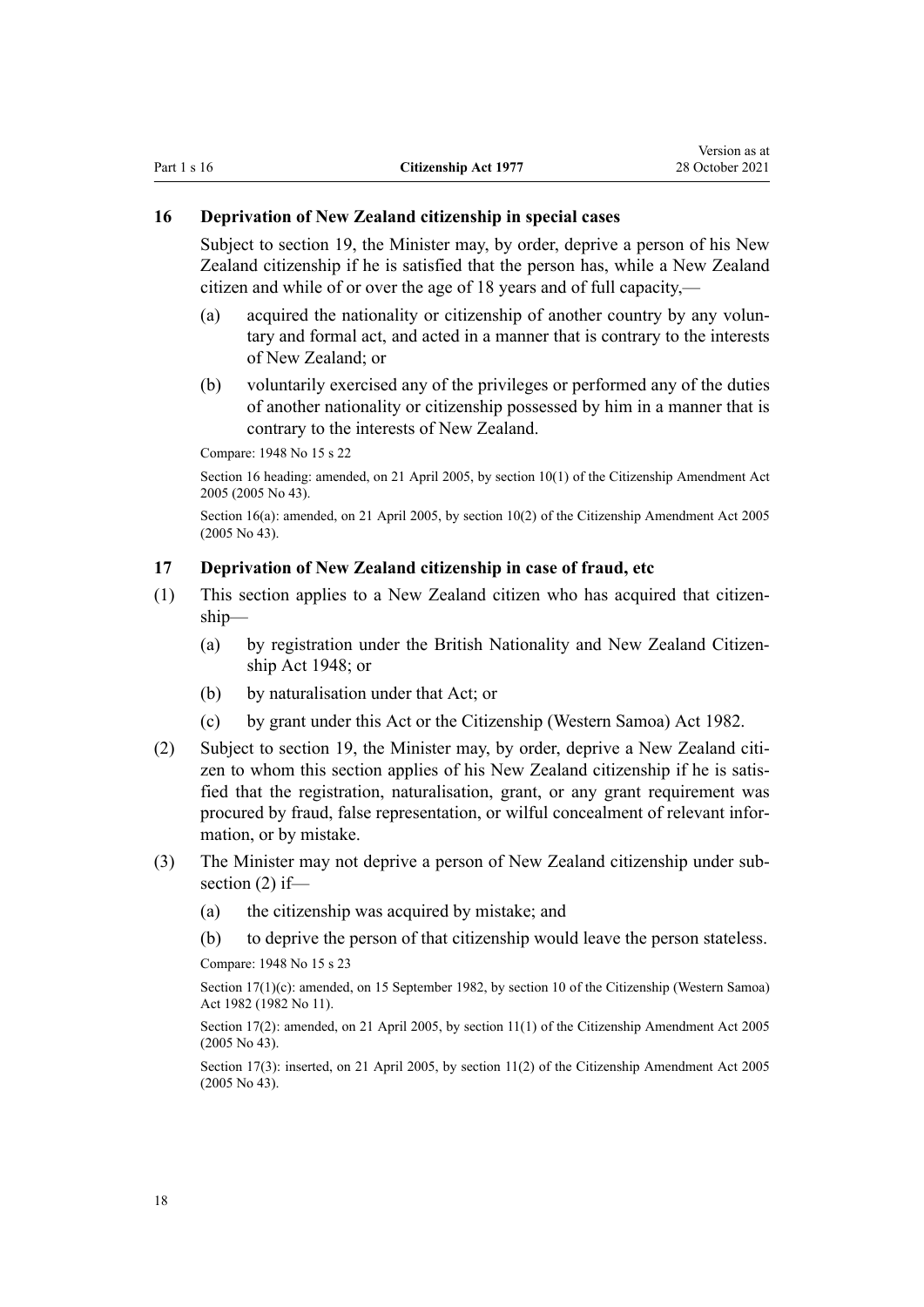# <span id="page-17-0"></span>**16 Deprivation of New Zealand citizenship in special cases**

Subject to [section 19](#page-18-0), the Minister may, by order, deprive a person of his New Zealand citizenship if he is satisfied that the person has, while a New Zealand citizen and while of or over the age of 18 years and of full capacity,—

- (a) acquired the nationality or citizenship of another country by any voluntary and formal act, and acted in a manner that is contrary to the interests of New Zealand; or
- (b) voluntarily exercised any of the privileges or performed any of the duties of another nationality or citizenship possessed by him in a manner that is contrary to the interests of New Zealand.

Compare: 1948 No 15 s 22

Section 16 heading: amended, on 21 April 2005, by [section 10\(1\)](http://legislation.govt.nz/pdflink.aspx?id=DLM346755) of the Citizenship Amendment Act 2005 (2005 No 43).

Section 16(a): amended, on 21 April 2005, by [section 10\(2\)](http://legislation.govt.nz/pdflink.aspx?id=DLM346755) of the Citizenship Amendment Act 2005 (2005 No 43).

# **17 Deprivation of New Zealand citizenship in case of fraud, etc**

- (1) This section applies to a New Zealand citizen who has acquired that citizen‐ ship—
	- (a) by registration under the British Nationality and New Zealand Citizen‐ ship Act 1948; or
	- (b) by naturalisation under that Act; or
	- (c) by grant under this Act or the [Citizenship \(Western Samoa\) Act 1982](http://legislation.govt.nz/pdflink.aspx?id=DLM59015).
- (2) Subject to [section 19](#page-18-0), the Minister may, by order, deprive a New Zealand citizen to whom this section applies of his New Zealand citizenship if he is satisfied that the registration, naturalisation, grant, or any grant requirement was procured by fraud, false representation, or wilful concealment of relevant information, or by mistake.
- (3) The Minister may not deprive a person of New Zealand citizenship under sub‐ section (2) if—
	- (a) the citizenship was acquired by mistake; and
	- (b) to deprive the person of that citizenship would leave the person stateless.

Compare: 1948 No 15 s 23

Section 17(1)(c): amended, on 15 September 1982, by [section 10](http://legislation.govt.nz/pdflink.aspx?id=DLM59033) of the Citizenship (Western Samoa) Act 1982 (1982 No 11).

Section 17(2): amended, on 21 April 2005, by [section 11\(1\)](http://legislation.govt.nz/pdflink.aspx?id=DLM346756) of the Citizenship Amendment Act 2005 (2005 No 43).

Section 17(3): inserted, on 21 April 2005, by [section 11\(2\)](http://legislation.govt.nz/pdflink.aspx?id=DLM346756) of the Citizenship Amendment Act 2005 (2005 No 43).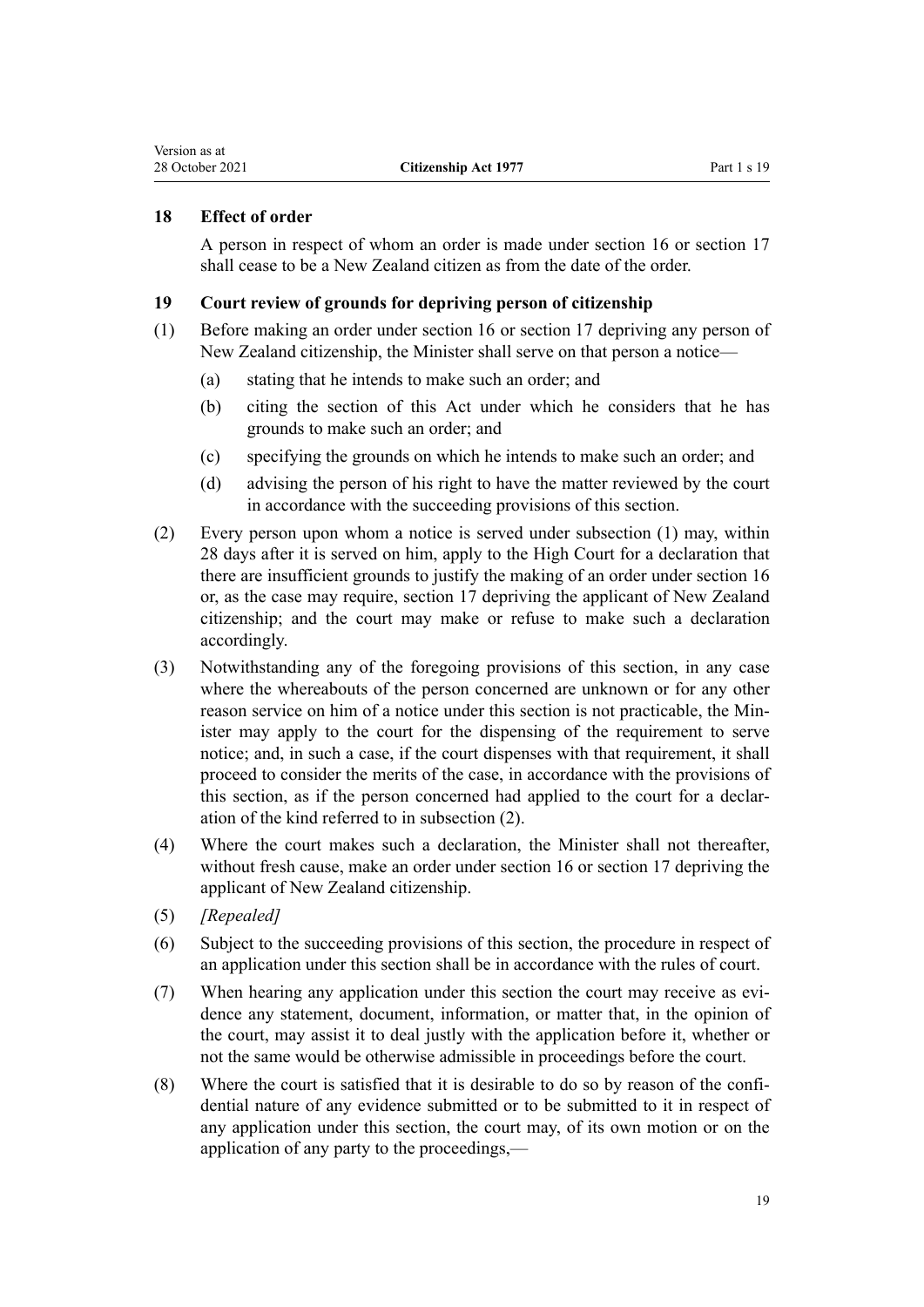# <span id="page-18-0"></span>**18 Effect of order**

A person in respect of whom an order is made under [section 16](#page-17-0) or [section 17](#page-17-0) shall cease to be a New Zealand citizen as from the date of the order.

# **19 Court review of grounds for depriving person of citizenship**

- (1) Before making an order under [section 16](#page-17-0) or [section 17](#page-17-0) depriving any person of New Zealand citizenship, the Minister shall serve on that person a notice—
	- (a) stating that he intends to make such an order; and
	- (b) citing the section of this Act under which he considers that he has grounds to make such an order; and
	- (c) specifying the grounds on which he intends to make such an order; and
	- (d) advising the person of his right to have the matter reviewed by the court in accordance with the succeeding provisions of this section.
- (2) Every person upon whom a notice is served under subsection (1) may, within 28 days after it is served on him, apply to the High Court for a declaration that there are insufficient grounds to justify the making of an order under section 16 or, as the case may require, [section 17](#page-17-0) depriving the applicant of New Zealand citizenship; and the court may make or refuse to make such a declaration accordingly.
- (3) Notwithstanding any of the foregoing provisions of this section, in any case where the whereabouts of the person concerned are unknown or for any other reason service on him of a notice under this section is not practicable, the Min‐ ister may apply to the court for the dispensing of the requirement to serve notice; and, in such a case, if the court dispenses with that requirement, it shall proceed to consider the merits of the case, in accordance with the provisions of this section, as if the person concerned had applied to the court for a declar‐ ation of the kind referred to in subsection (2).
- (4) Where the court makes such a declaration, the Minister shall not thereafter, without fresh cause, make an order under [section 16](#page-17-0) or [section 17](#page-17-0) depriving the applicant of New Zealand citizenship.
- (5) *[Repealed]*
- (6) Subject to the succeeding provisions of this section, the procedure in respect of an application under this section shall be in accordance with the rules of court.
- (7) When hearing any application under this section the court may receive as evidence any statement, document, information, or matter that, in the opinion of the court, may assist it to deal justly with the application before it, whether or not the same would be otherwise admissible in proceedings before the court.
- (8) Where the court is satisfied that it is desirable to do so by reason of the confi‐ dential nature of any evidence submitted or to be submitted to it in respect of any application under this section, the court may, of its own motion or on the application of any party to the proceedings,—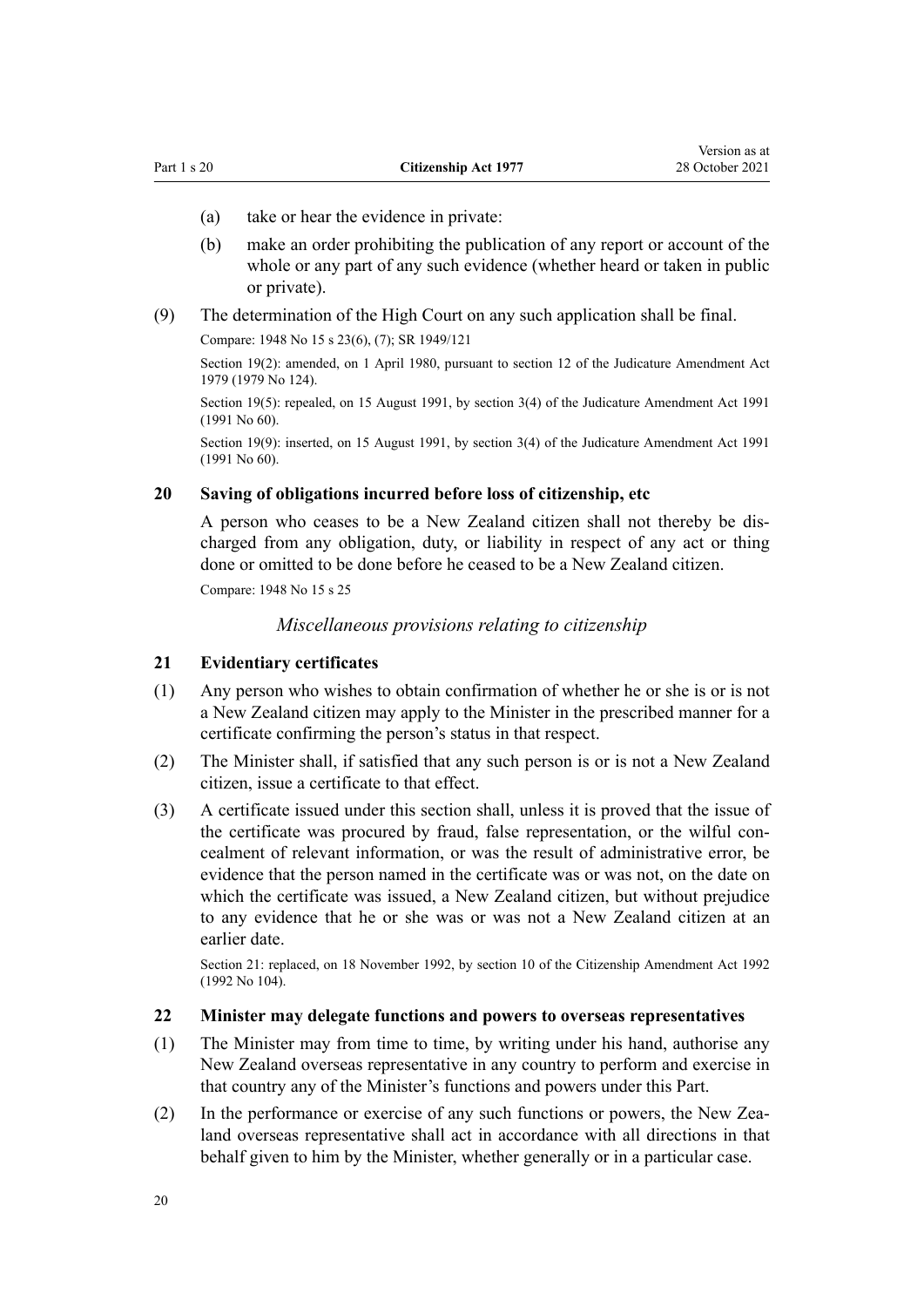- <span id="page-19-0"></span>(a) take or hear the evidence in private:
- (b) make an order prohibiting the publication of any report or account of the whole or any part of any such evidence (whether heard or taken in public or private).

Version as at

(9) The determination of the High Court on any such application shall be final. Compare: 1948 No 15 s 23(6), (7); SR 1949/121

Section 19(2): amended, on 1 April 1980, pursuant to [section 12](http://legislation.govt.nz/pdflink.aspx?id=DLM35049) of the Judicature Amendment Act 1979 (1979 No 124).

Section 19(5): repealed, on 15 August 1991, by [section 3\(4\)](http://legislation.govt.nz/pdflink.aspx?id=DLM230219) of the Judicature Amendment Act 1991 (1991 No 60).

Section 19(9): inserted, on 15 August 1991, by [section 3\(4\)](http://legislation.govt.nz/pdflink.aspx?id=DLM230219) of the Judicature Amendment Act 1991 (1991 No 60).

# **20 Saving of obligations incurred before loss of citizenship, etc**

A person who ceases to be a New Zealand citizen shall not thereby be dis‐ charged from any obligation, duty, or liability in respect of any act or thing done or omitted to be done before he ceased to be a New Zealand citizen.

Compare: 1948 No 15 s 25

*Miscellaneous provisions relating to citizenship*

#### **21 Evidentiary certificates**

- (1) Any person who wishes to obtain confirmation of whether he or she is or is not a New Zealand citizen may apply to the Minister in the prescribed manner for a certificate confirming the person's status in that respect.
- (2) The Minister shall, if satisfied that any such person is or is not a New Zealand citizen, issue a certificate to that effect.
- (3) A certificate issued under this section shall, unless it is proved that the issue of the certificate was procured by fraud, false representation, or the wilful concealment of relevant information, or was the result of administrative error, be evidence that the person named in the certificate was or was not, on the date on which the certificate was issued, a New Zealand citizen, but without prejudice to any evidence that he or she was or was not a New Zealand citizen at an earlier date.

Section 21: replaced, on 18 November 1992, by [section 10](http://legislation.govt.nz/pdflink.aspx?id=DLM280681) of the Citizenship Amendment Act 1992 (1992 No 104).

# **22 Minister may delegate functions and powers to overseas representatives**

- (1) The Minister may from time to time, by writing under his hand, authorise any New Zealand overseas representative in any country to perform and exercise in that country any of the Minister's functions and powers under this Part.
- (2) In the performance or exercise of any such functions or powers, the New Zea‐ land overseas representative shall act in accordance with all directions in that behalf given to him by the Minister, whether generally or in a particular case.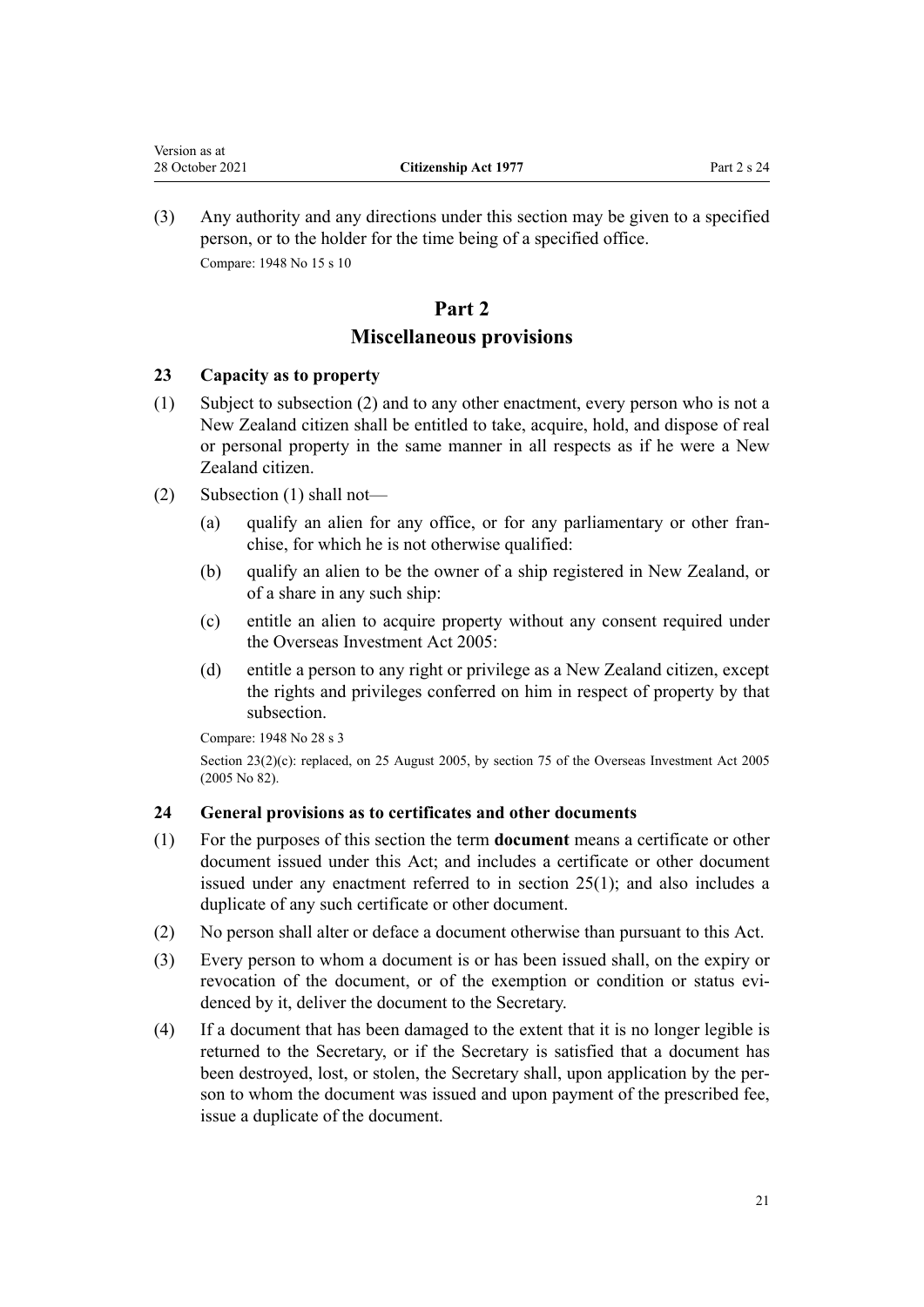<span id="page-20-0"></span>(3) Any authority and any directions under this section may be given to a specified person, or to the holder for the time being of a specified office. Compare: 1948 No 15 s 10

# **Part 2 Miscellaneous provisions**

# **23 Capacity as to property**

- (1) Subject to subsection (2) and to any other enactment, every person who is not a New Zealand citizen shall be entitled to take, acquire, hold, and dispose of real or personal property in the same manner in all respects as if he were a New Zealand citizen.
- (2) Subsection (1) shall not—
	- (a) qualify an alien for any office, or for any parliamentary or other franchise, for which he is not otherwise qualified:
	- (b) qualify an alien to be the owner of a ship registered in New Zealand, or of a share in any such ship:
	- (c) entitle an alien to acquire property without any consent required under the [Overseas Investment Act 2005:](http://legislation.govt.nz/pdflink.aspx?id=DLM356880)
	- (d) entitle a person to any right or privilege as a New Zealand citizen, except the rights and privileges conferred on him in respect of property by that subsection.

Compare: 1948 No 28 s 3

Section 23(2)(c): replaced, on 25 August 2005, by [section 75](http://legislation.govt.nz/pdflink.aspx?id=DLM358540) of the Overseas Investment Act 2005 (2005 No 82).

# **24 General provisions as to certificates and other documents**

- (1) For the purposes of this section the term **document** means a certificate or other document issued under this Act; and includes a certificate or other document issued under any enactment referred to in [section 25\(1\)](#page-21-0); and also includes a duplicate of any such certificate or other document.
- (2) No person shall alter or deface a document otherwise than pursuant to this Act.
- (3) Every person to whom a document is or has been issued shall, on the expiry or revocation of the document, or of the exemption or condition or status evidenced by it, deliver the document to the Secretary.
- (4) If a document that has been damaged to the extent that it is no longer legible is returned to the Secretary, or if the Secretary is satisfied that a document has been destroyed, lost, or stolen, the Secretary shall, upon application by the person to whom the document was issued and upon payment of the prescribed fee, issue a duplicate of the document.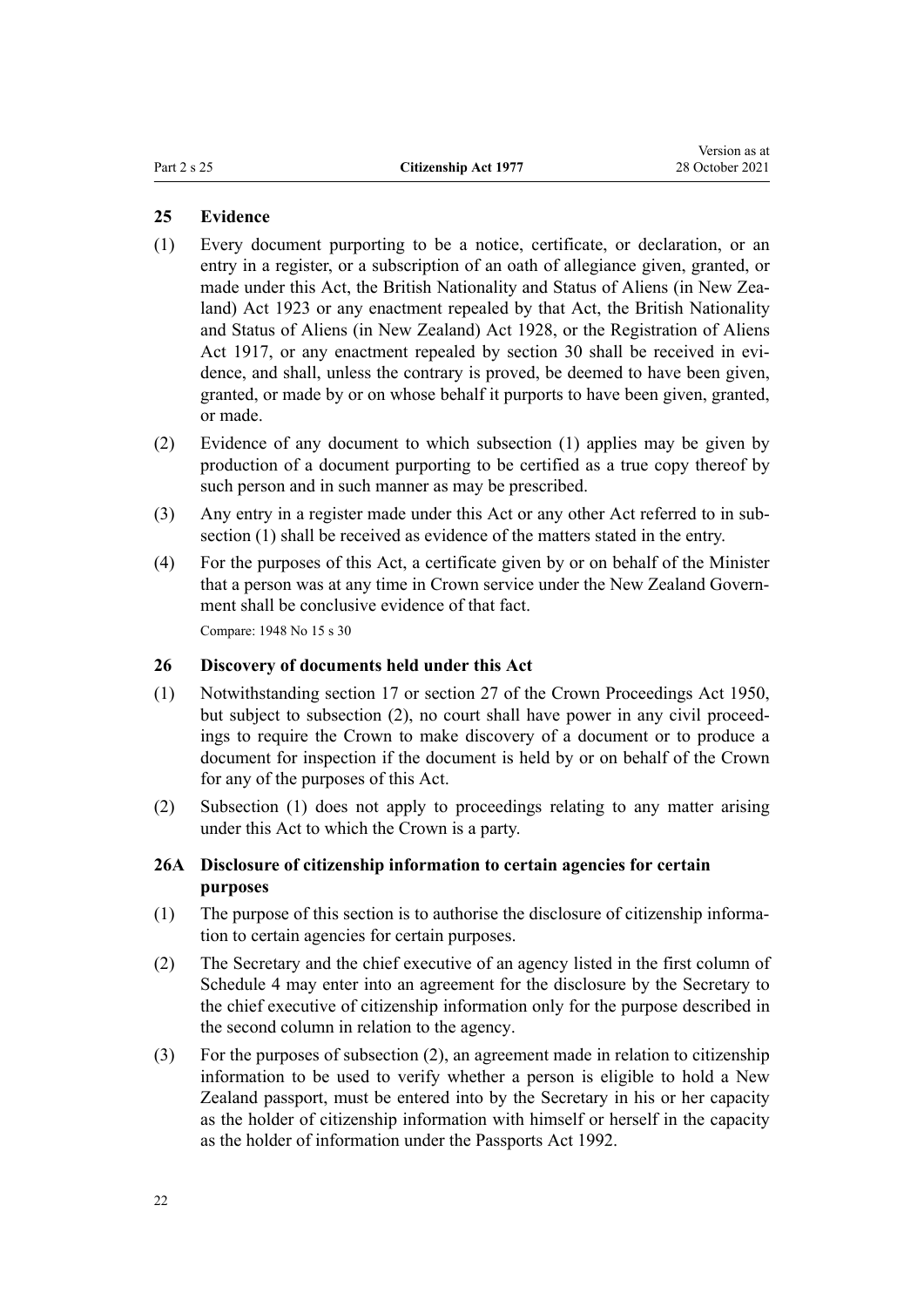# <span id="page-21-0"></span>**25 Evidence**

- (1) Every document purporting to be a notice, certificate, or declaration, or an entry in a register, or a subscription of an oath of allegiance given, granted, or made under this Act, the British Nationality and Status of Aliens (in New Zealand) Act 1923 or any enactment repealed by that Act, the British Nationality and Status of Aliens (in New Zealand) Act 1928, or the Registration of Aliens Act 1917, or any enactment repealed by [section 30](#page-27-0) shall be received in evidence, and shall, unless the contrary is proved, be deemed to have been given, granted, or made by or on whose behalf it purports to have been given, granted, or made.
- (2) Evidence of any document to which subsection (1) applies may be given by production of a document purporting to be certified as a true copy thereof by such person and in such manner as may be prescribed.
- (3) Any entry in a register made under this Act or any other Act referred to in sub‐ section (1) shall be received as evidence of the matters stated in the entry.
- (4) For the purposes of this Act, a certificate given by or on behalf of the Minister that a person was at any time in Crown service under the New Zealand Government shall be conclusive evidence of that fact. Compare: 1948 No 15 s 30

## **26 Discovery of documents held under this Act**

- (1) Notwithstanding [section 17](http://legislation.govt.nz/pdflink.aspx?id=DLM261954) or [section 27](http://legislation.govt.nz/pdflink.aspx?id=DLM261978) of the Crown Proceedings Act 1950, but subject to subsection (2), no court shall have power in any civil proceedings to require the Crown to make discovery of a document or to produce a document for inspection if the document is held by or on behalf of the Crown for any of the purposes of this Act.
- (2) Subsection (1) does not apply to proceedings relating to any matter arising under this Act to which the Crown is a party.

# **26A Disclosure of citizenship information to certain agencies for certain purposes**

- $(1)$  The purpose of this section is to authorise the disclosure of citizenship information to certain agencies for certain purposes.
- (2) The Secretary and the chief executive of an agency listed in the first column of [Schedule 4](#page-32-0) may enter into an agreement for the disclosure by the Secretary to the chief executive of citizenship information only for the purpose described in the second column in relation to the agency.
- (3) For the purposes of subsection (2), an agreement made in relation to citizenship information to be used to verify whether a person is eligible to hold a New Zealand passport, must be entered into by the Secretary in his or her capacity as the holder of citizenship information with himself or herself in the capacity as the holder of information under the [Passports Act 1992](http://legislation.govt.nz/pdflink.aspx?id=DLM277432).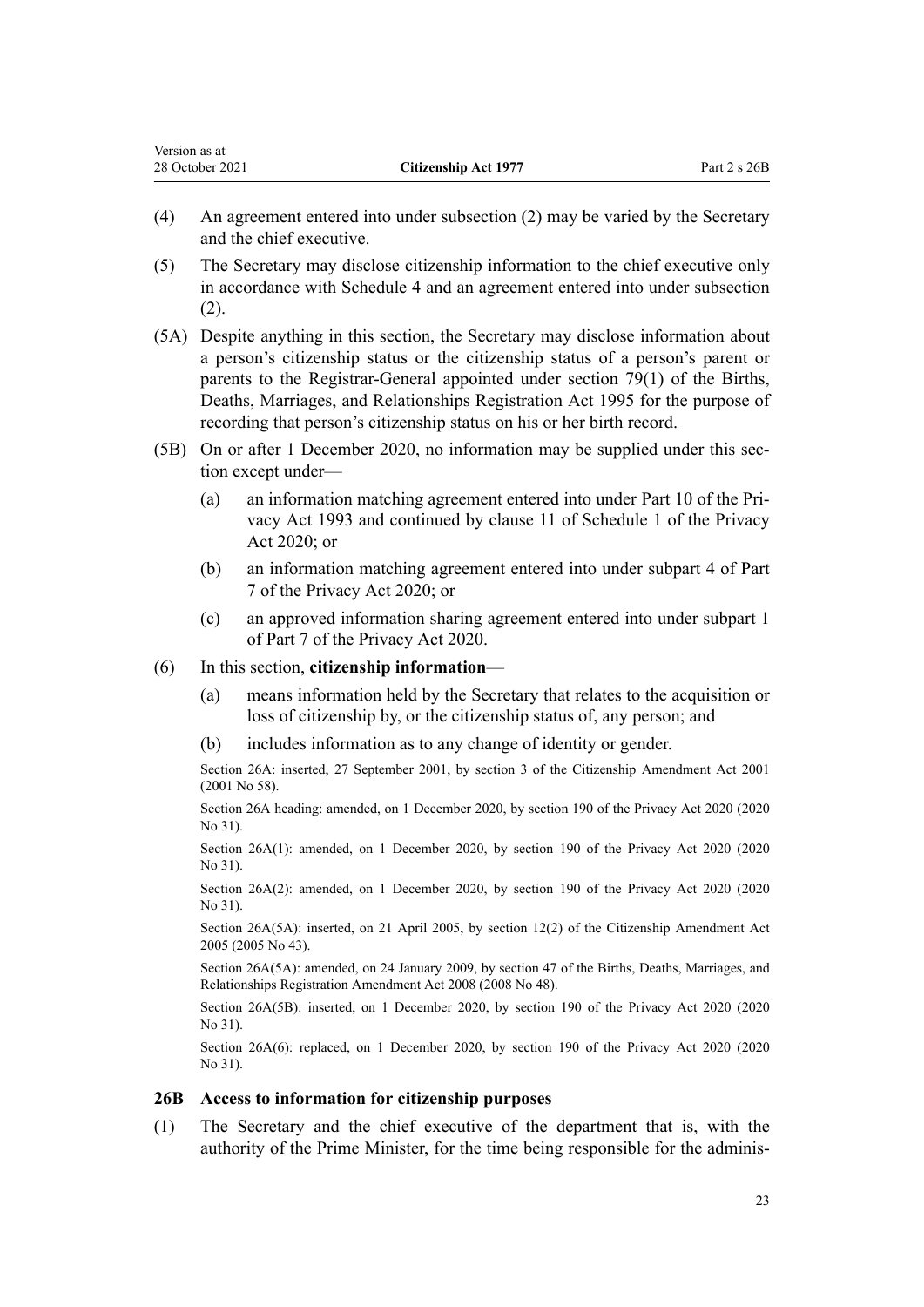- (4) An agreement entered into under subsection (2) may be varied by the Secretary and the chief executive.
- (5) The Secretary may disclose citizenship information to the chief executive only in accordance with [Schedule 4](#page-32-0) and an agreement entered into under subsection (2).
- (5A) Despite anything in this section, the Secretary may disclose information about a person's citizenship status or the citizenship status of a person's parent or parents to the Registrar-General appointed under [section 79\(1\)](http://legislation.govt.nz/pdflink.aspx?id=DLM364757) of the Births, Deaths, Marriages, and Relationships Registration Act 1995 for the purpose of recording that person's citizenship status on his or her birth record.
- (5B) On or after 1 December 2020, no information may be supplied under this section except under—
	- (a) an information matching agreement entered into under [Part 10](http://legislation.govt.nz/pdflink.aspx?id=DLM297914) of the Pri‐ vacy Act 1993 and continued by [clause 11](http://legislation.govt.nz/pdflink.aspx?id=LMS261719) of Schedule 1 of the Privacy Act 2020; or
	- (b) an information matching agreement entered into under [subpart 4](http://legislation.govt.nz/pdflink.aspx?id=LMS23666) of Part 7 of the Privacy Act 2020; or
	- (c) an approved information sharing agreement entered into under [subpart 1](http://legislation.govt.nz/pdflink.aspx?id=LMS23595) of Part 7 of the Privacy Act 2020.

## (6) In this section, **citizenship information**—

<span id="page-22-0"></span>Version as at

- (a) means information held by the Secretary that relates to the acquisition or loss of citizenship by, or the citizenship status of, any person; and
- (b) includes information as to any change of identity or gender.

Section 26A: inserted, 27 September 2001, by [section 3](http://legislation.govt.nz/pdflink.aspx?id=DLM110985) of the Citizenship Amendment Act 2001 (2001 No 58).

Section 26A heading: amended, on 1 December 2020, by [section 190](http://legislation.govt.nz/pdflink.aspx?id=LMS23664) of the Privacy Act 2020 (2020 No 31).

Section 26A(1): amended, on 1 December 2020, by [section 190](http://legislation.govt.nz/pdflink.aspx?id=LMS23664) of the Privacy Act 2020 (2020 No 31).

Section 26A(2): amended, on 1 December 2020, by [section 190](http://legislation.govt.nz/pdflink.aspx?id=LMS23664) of the Privacy Act 2020 (2020 No 31).

Section 26A(5A): inserted, on 21 April 2005, by [section 12\(2\)](http://legislation.govt.nz/pdflink.aspx?id=DLM346757) of the Citizenship Amendment Act 2005 (2005 No 43).

Section 26A(5A): amended, on 24 January 2009, by [section 47](http://legislation.govt.nz/pdflink.aspx?id=DLM1048943) of the Births, Deaths, Marriages, and Relationships Registration Amendment Act 2008 (2008 No 48).

Section 26A(5B): inserted, on 1 December 2020, by [section 190](http://legislation.govt.nz/pdflink.aspx?id=LMS23664) of the Privacy Act 2020 (2020 No 31).

Section 26A(6): replaced, on 1 December 2020, by [section 190](http://legislation.govt.nz/pdflink.aspx?id=LMS23664) of the Privacy Act 2020 (2020 No 31).

## **26B Access to information for citizenship purposes**

(1) The Secretary and the chief executive of the department that is, with the authority of the Prime Minister, for the time being responsible for the adminis‐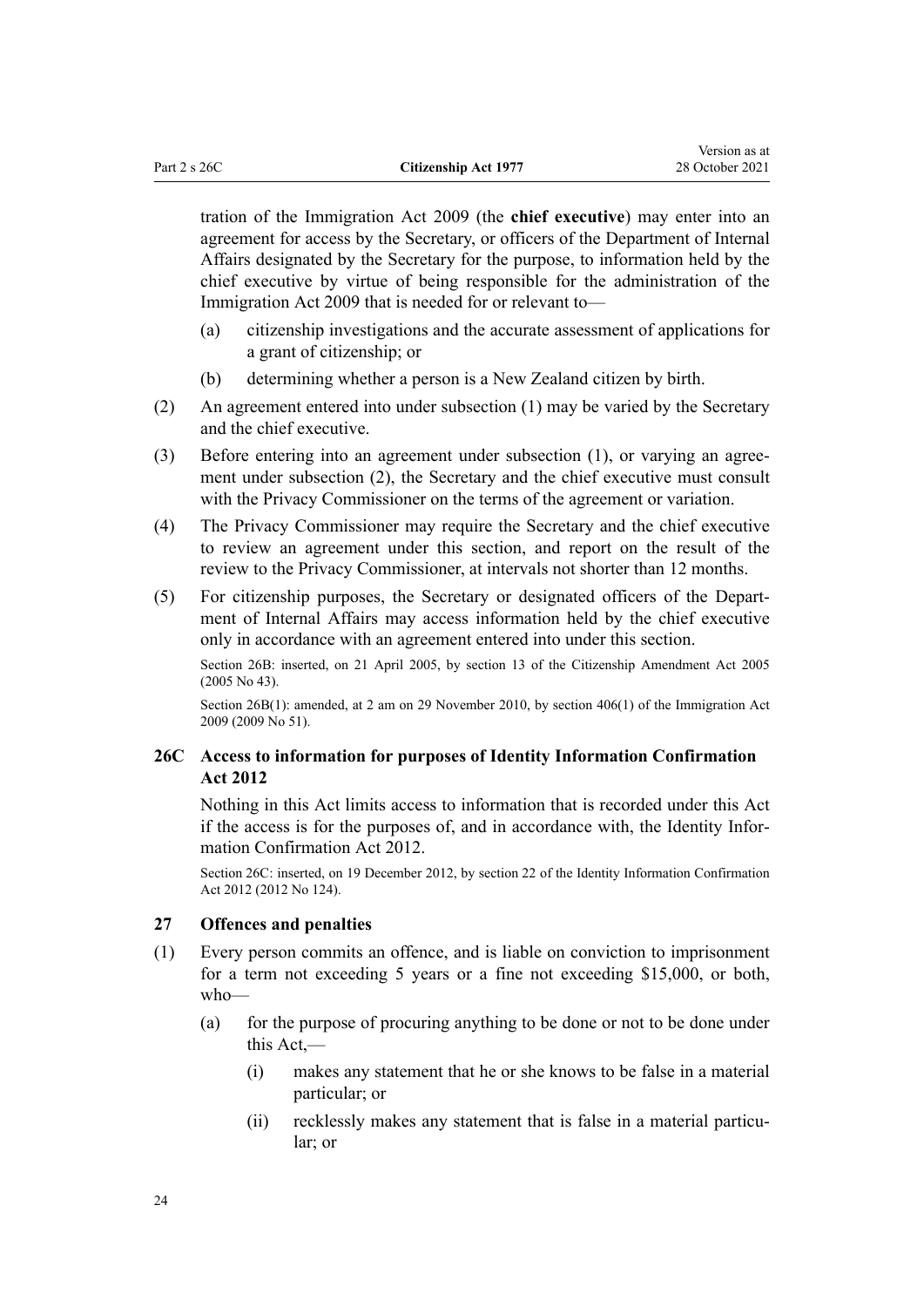<span id="page-23-0"></span>tration of the [Immigration Act 2009](http://legislation.govt.nz/pdflink.aspx?id=DLM1440300) (the **chief executive**) may enter into an agreement for access by the Secretary, or officers of the Department of Internal Affairs designated by the Secretary for the purpose, to information held by the chief executive by virtue of being responsible for the administration of the [Immigration Act 2009](http://legislation.govt.nz/pdflink.aspx?id=DLM1440300) that is needed for or relevant to—

- (a) citizenship investigations and the accurate assessment of applications for a grant of citizenship; or
- (b) determining whether a person is a New Zealand citizen by birth.
- (2) An agreement entered into under subsection (1) may be varied by the Secretary and the chief executive.
- (3) Before entering into an agreement under subsection (1), or varying an agreement under subsection (2), the Secretary and the chief executive must consult with the Privacy Commissioner on the terms of the agreement or variation.
- (4) The Privacy Commissioner may require the Secretary and the chief executive to review an agreement under this section, and report on the result of the review to the Privacy Commissioner, at intervals not shorter than 12 months.
- (5) For citizenship purposes, the Secretary or designated officers of the Depart‐ ment of Internal Affairs may access information held by the chief executive only in accordance with an agreement entered into under this section.

Section 26B: inserted, on 21 April 2005, by [section 13](http://legislation.govt.nz/pdflink.aspx?id=DLM346758) of the Citizenship Amendment Act 2005 (2005 No 43).

Section 26B(1): amended, at 2 am on 29 November 2010, by [section 406\(1\)](http://legislation.govt.nz/pdflink.aspx?id=DLM1441347) of the Immigration Act 2009 (2009 No 51).

# **26C Access to information for purposes of Identity Information Confirmation Act 2012**

Nothing in this Act limits access to information that is recorded under this Act if the access is for the purposes of, and in accordance with, the [Identity Infor‐](http://legislation.govt.nz/pdflink.aspx?id=DLM3136800) [mation Confirmation Act 2012](http://legislation.govt.nz/pdflink.aspx?id=DLM3136800).

Section 26C: inserted, on 19 December 2012, by [section 22](http://legislation.govt.nz/pdflink.aspx?id=DLM3136868) of the Identity Information Confirmation Act 2012 (2012 No 124).

## **27 Offences and penalties**

- (1) Every person commits an offence, and is liable on conviction to imprisonment for a term not exceeding 5 years or a fine not exceeding \$15,000, or both, who—
	- (a) for the purpose of procuring anything to be done or not to be done under this Act,—
		- (i) makes any statement that he or she knows to be false in a material particular; or
		- (ii) recklessly makes any statement that is false in a material particular; or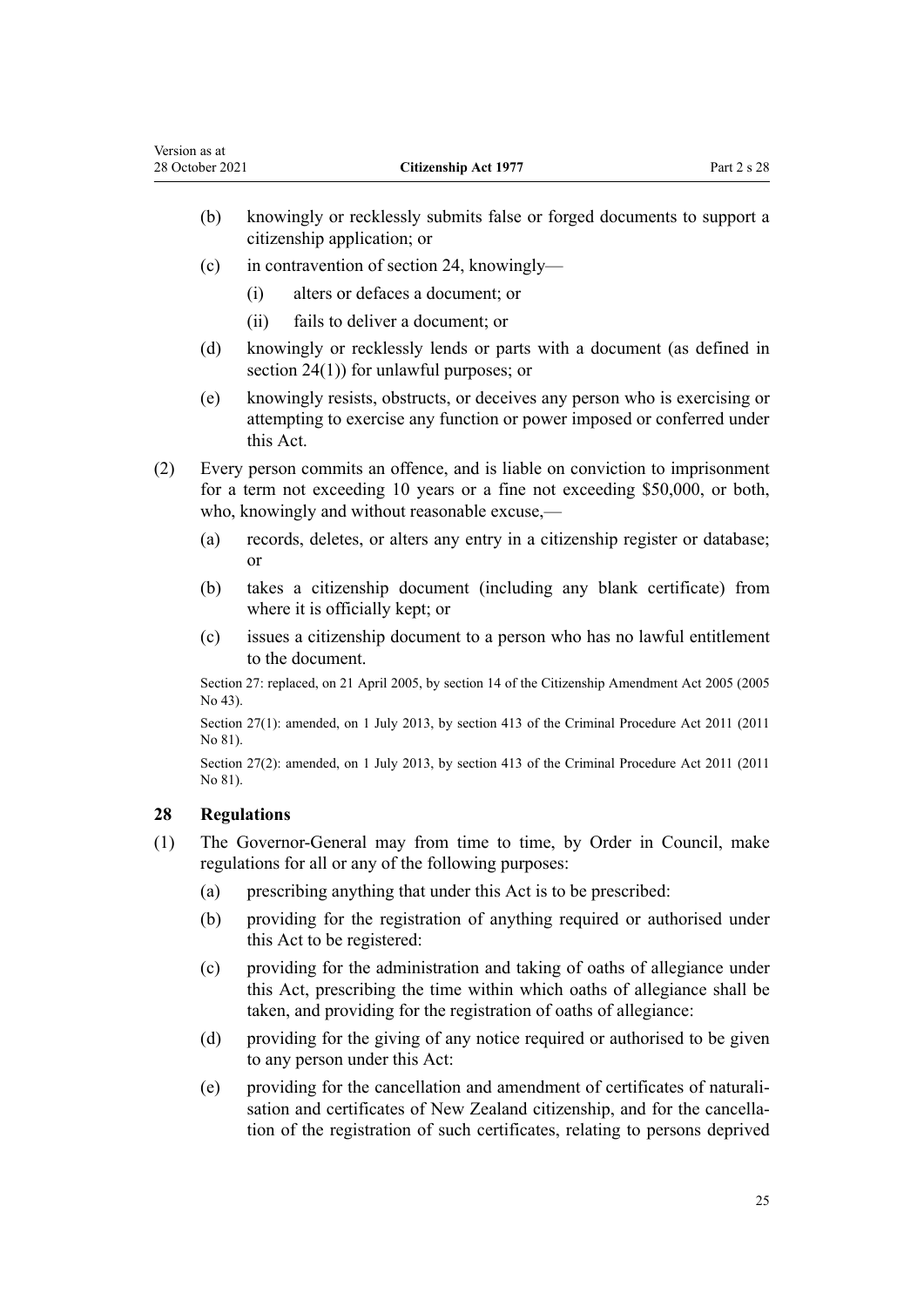- <span id="page-24-0"></span>(b) knowingly or recklessly submits false or forged documents to support a citizenship application; or
- (c) in contravention of [section 24,](#page-20-0) knowingly—
	- (i) alters or defaces a document; or
	- (ii) fails to deliver a document; or
- (d) knowingly or recklessly lends or parts with a document (as defined in [section 24\(1\)\)](#page-20-0) for unlawful purposes; or
- (e) knowingly resists, obstructs, or deceives any person who is exercising or attempting to exercise any function or power imposed or conferred under this Act.
- (2) Every person commits an offence, and is liable on conviction to imprisonment for a term not exceeding 10 years or a fine not exceeding \$50,000, or both, who, knowingly and without reasonable excuse,—
	- (a) records, deletes, or alters any entry in a citizenship register or database; or
	- (b) takes a citizenship document (including any blank certificate) from where it is officially kept; or
	- (c) issues a citizenship document to a person who has no lawful entitlement to the document.

Section 27: replaced, on 21 April 2005, by [section 14](http://legislation.govt.nz/pdflink.aspx?id=DLM346761) of the Citizenship Amendment Act 2005 (2005 No 43).

Section 27(1): amended, on 1 July 2013, by [section 413](http://legislation.govt.nz/pdflink.aspx?id=DLM3360714) of the Criminal Procedure Act 2011 (2011 No 81).

Section 27(2): amended, on 1 July 2013, by [section 413](http://legislation.govt.nz/pdflink.aspx?id=DLM3360714) of the Criminal Procedure Act 2011 (2011 No 81).

# **28 Regulations**

- (1) The Governor-General may from time to time, by Order in Council, make regulations for all or any of the following purposes:
	- (a) prescribing anything that under this Act is to be prescribed:
	- (b) providing for the registration of anything required or authorised under this Act to be registered:
	- (c) providing for the administration and taking of oaths of allegiance under this Act, prescribing the time within which oaths of allegiance shall be taken, and providing for the registration of oaths of allegiance:
	- (d) providing for the giving of any notice required or authorised to be given to any person under this Act:
	- (e) providing for the cancellation and amendment of certificates of naturali‐ sation and certificates of New Zealand citizenship, and for the cancellation of the registration of such certificates, relating to persons deprived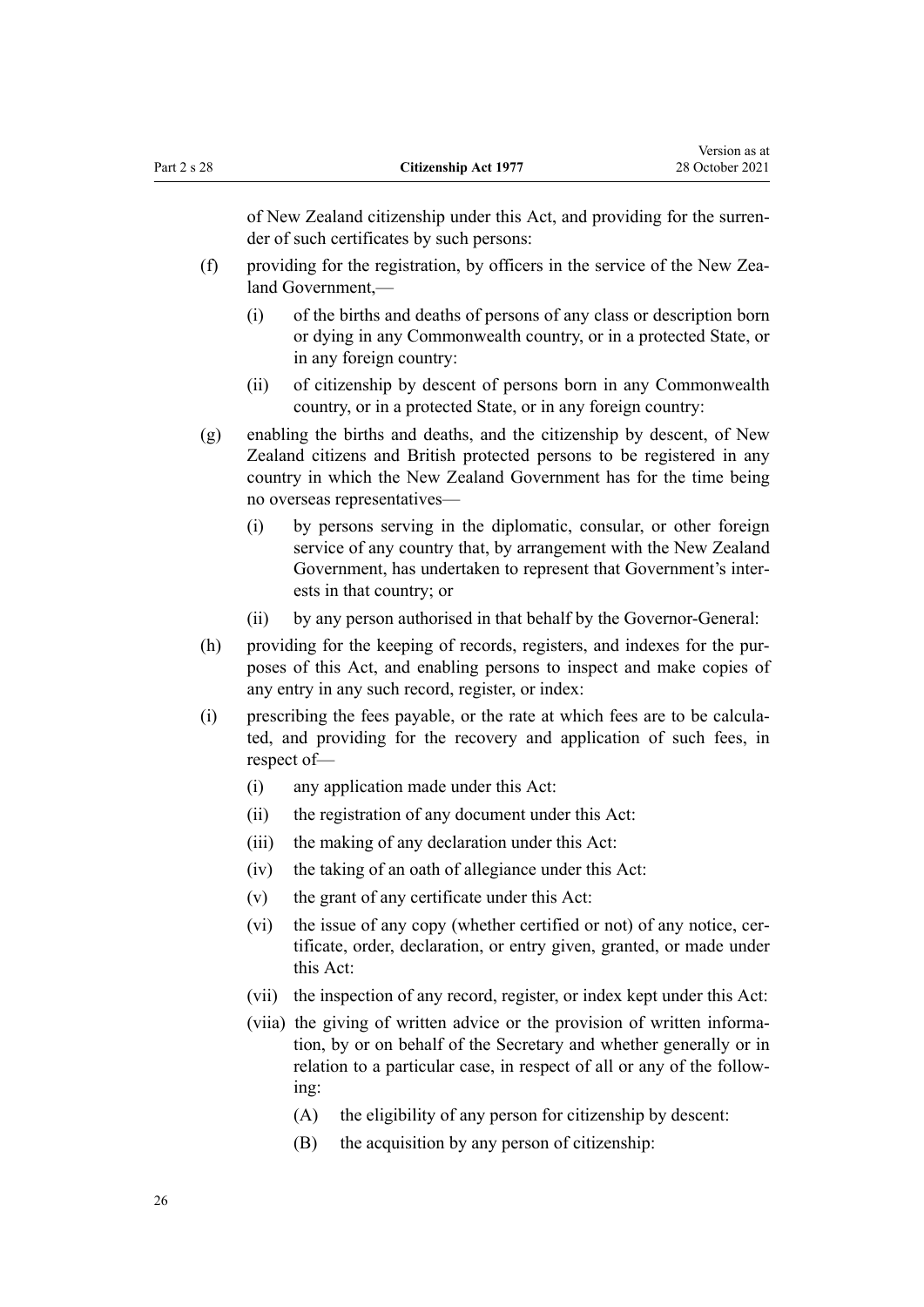of New Zealand citizenship under this Act, and providing for the surren‐ der of such certificates by such persons:

- (f) providing for the registration, by officers in the service of the New Zealand Government,—
	- (i) of the births and deaths of persons of any class or description born or dying in any Commonwealth country, or in a protected State, or in any foreign country:
	- (ii) of citizenship by descent of persons born in any Commonwealth country, or in a protected State, or in any foreign country:
- (g) enabling the births and deaths, and the citizenship by descent, of New Zealand citizens and British protected persons to be registered in any country in which the New Zealand Government has for the time being no overseas representatives—
	- (i) by persons serving in the diplomatic, consular, or other foreign service of any country that, by arrangement with the New Zealand Government, has undertaken to represent that Government's inter‐ ests in that country; or
	- (ii) by any person authorised in that behalf by the Governor-General:
- (h) providing for the keeping of records, registers, and indexes for the purposes of this Act, and enabling persons to inspect and make copies of any entry in any such record, register, or index:
- (i) prescribing the fees payable, or the rate at which fees are to be calcula‐ ted, and providing for the recovery and application of such fees, in respect of—
	- (i) any application made under this Act:
	- (ii) the registration of any document under this Act:
	- (iii) the making of any declaration under this Act:
	- (iv) the taking of an oath of allegiance under this Act:
	- (v) the grant of any certificate under this Act:
	- (vi) the issue of any copy (whether certified or not) of any notice, certificate, order, declaration, or entry given, granted, or made under this Act:
	- (vii) the inspection of any record, register, or index kept under this Act:
	- (viia) the giving of written advice or the provision of written informa‐ tion, by or on behalf of the Secretary and whether generally or in relation to a particular case, in respect of all or any of the follow‐ ing:
		- (A) the eligibility of any person for citizenship by descent:
		- (B) the acquisition by any person of citizenship: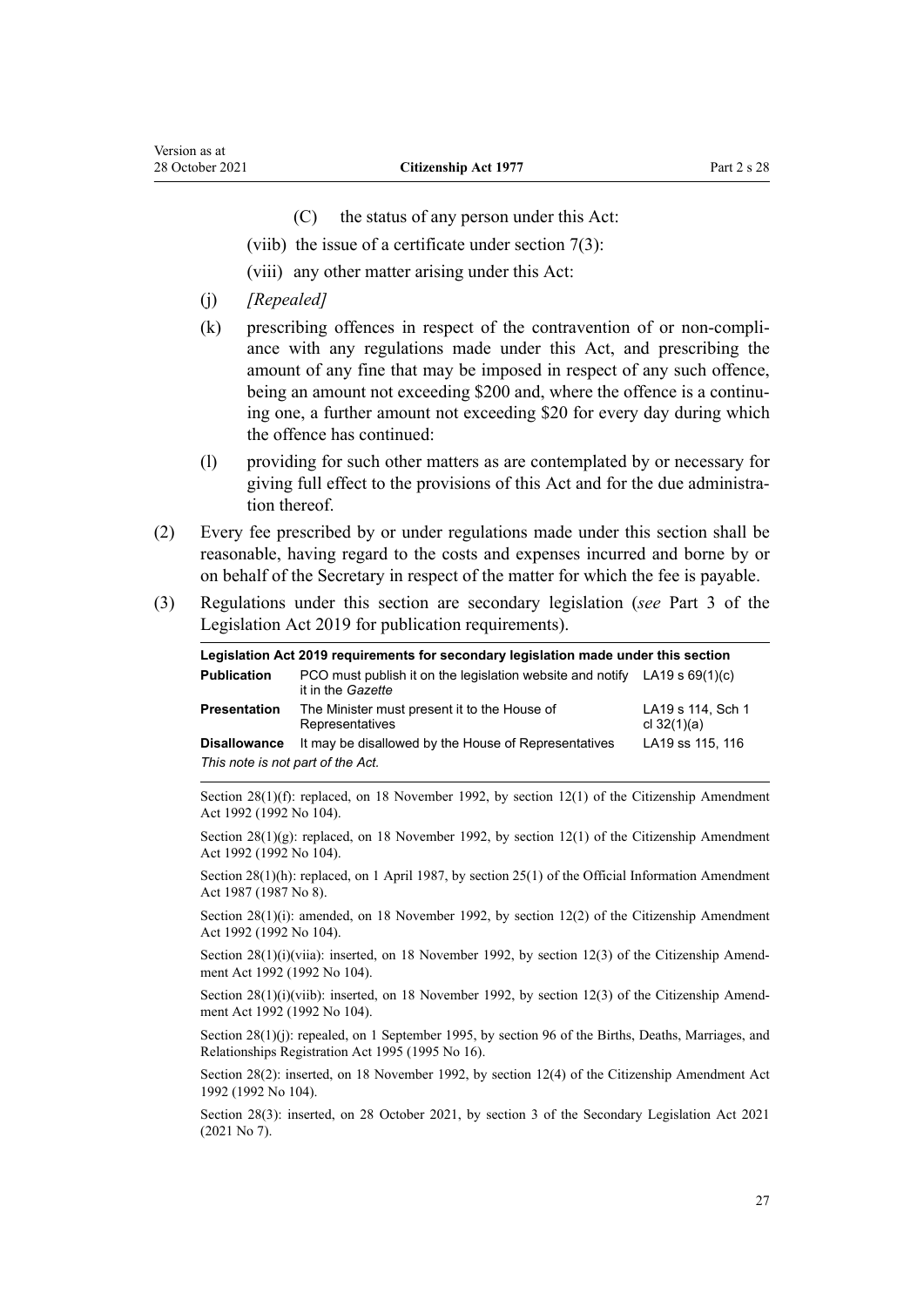- (C) the status of any person under this Act:
- (viib) the issue of a certificate under [section 7\(3\)](#page-9-0):
- (viii) any other matter arising under this Act:
- (j) *[Repealed]*
- (k) prescribing offences in respect of the contravention of or non-compli‐ ance with any regulations made under this Act, and prescribing the amount of any fine that may be imposed in respect of any such offence, being an amount not exceeding \$200 and, where the offence is a continuing one, a further amount not exceeding \$20 for every day during which the offence has continued:
- (l) providing for such other matters as are contemplated by or necessary for giving full effect to the provisions of this Act and for the due administra‐ tion thereof.
- (2) Every fee prescribed by or under regulations made under this section shall be reasonable, having regard to the costs and expenses incurred and borne by or on behalf of the Secretary in respect of the matter for which the fee is payable.
- (3) Regulations under this section are secondary legislation (*see* [Part 3](http://legislation.govt.nz/pdflink.aspx?id=DLM7298343) of the Legislation Act 2019 for publication requirements).

| Legislation Act 2019 requirements for secondary legislation made under this section |                                                                                                  |                                    |
|-------------------------------------------------------------------------------------|--------------------------------------------------------------------------------------------------|------------------------------------|
| <b>Publication</b>                                                                  | PCO must publish it on the legislation website and notify LA19 s $69(1)(c)$<br>it in the Gazette |                                    |
| <b>Presentation</b>                                                                 | The Minister must present it to the House of<br>Representatives                                  | LA19 s 114, Sch 1<br>cl $32(1)(a)$ |
| <b>Disallowance</b>                                                                 | It may be disallowed by the House of Representatives                                             | LA19 ss 115, 116                   |
| This note is not part of the Act.                                                   |                                                                                                  |                                    |

Section 28(1)(f): replaced, on 18 November 1992, by [section 12\(1\)](http://legislation.govt.nz/pdflink.aspx?id=DLM280683) of the Citizenship Amendment Act 1992 (1992 No 104).

Section 28(1)(g): replaced, on 18 November 1992, by [section 12\(1\)](http://legislation.govt.nz/pdflink.aspx?id=DLM280683) of the Citizenship Amendment Act 1992 (1992 No 104).

Section 28(1)(h): replaced, on 1 April 1987, by [section 25\(1\)](http://legislation.govt.nz/pdflink.aspx?id=DLM101353) of the Official Information Amendment Act 1987 (1987 No 8).

Section 28(1)(i): amended, on 18 November 1992, by [section 12\(2\)](http://legislation.govt.nz/pdflink.aspx?id=DLM280683) of the Citizenship Amendment Act 1992 (1992 No 104).

Section  $28(1)(i)(via)$ : inserted, on 18 November 1992, by [section 12\(3\)](http://legislation.govt.nz/pdflink.aspx?id=DLM280683) of the Citizenship Amendment Act 1992 (1992 No 104).

Section  $28(1)(i)(vib)$ : inserted, on 18 November 1992, by [section 12\(3\)](http://legislation.govt.nz/pdflink.aspx?id=DLM280683) of the Citizenship Amendment Act 1992 (1992 No 104).

Section 28(1)(j): repealed, on 1 September 1995, by [section 96](http://legislation.govt.nz/pdflink.aspx?id=DLM364791) of the Births, Deaths, Marriages, and Relationships Registration Act 1995 (1995 No 16).

Section 28(2): inserted, on 18 November 1992, by [section 12\(4\)](http://legislation.govt.nz/pdflink.aspx?id=DLM280683) of the Citizenship Amendment Act 1992 (1992 No 104).

Section 28(3): inserted, on 28 October 2021, by [section 3](http://legislation.govt.nz/pdflink.aspx?id=LMS268932) of the Secondary Legislation Act 2021 (2021 No 7).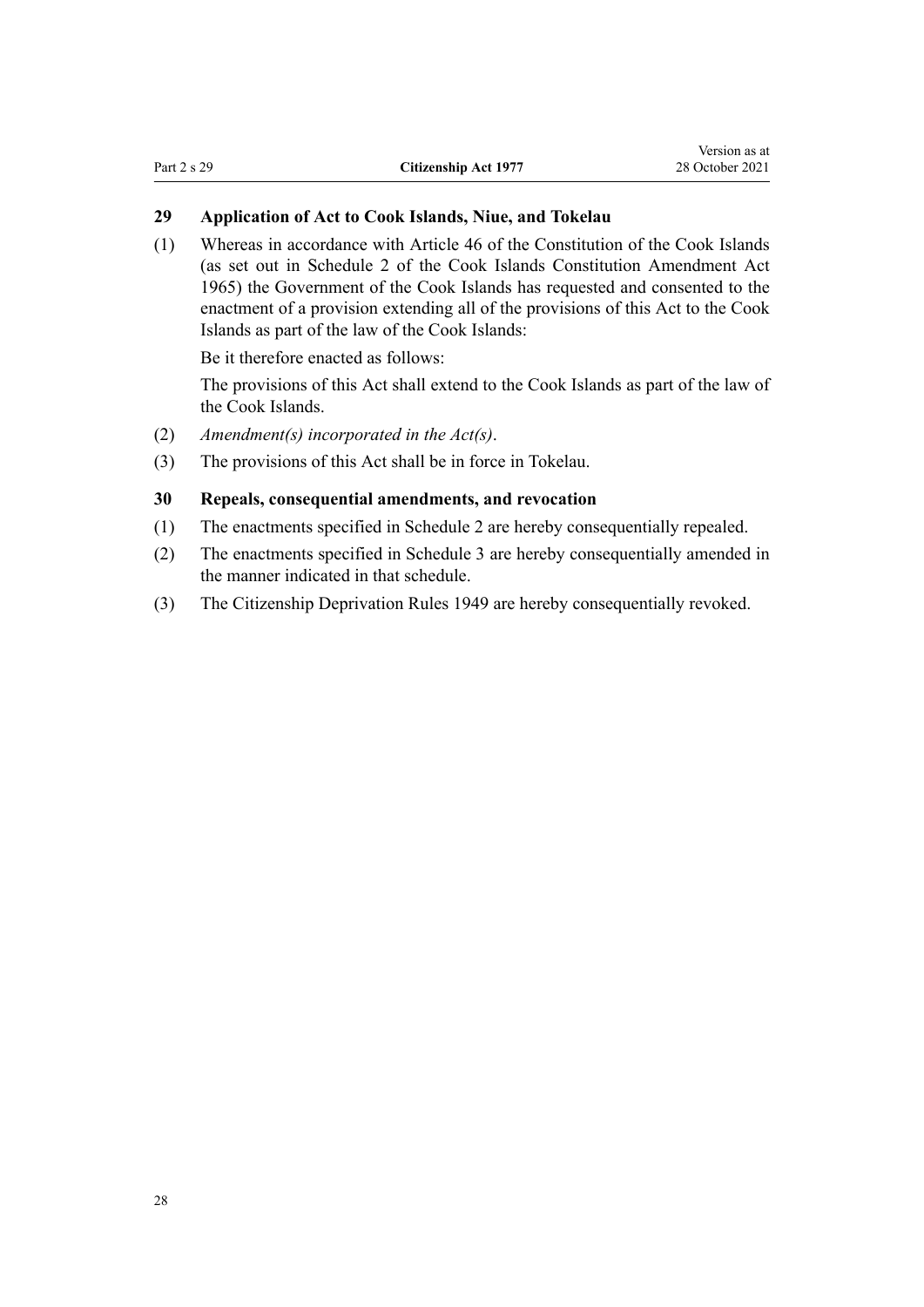# <span id="page-27-0"></span>**29 Application of Act to Cook Islands, Niue, and Tokelau**

(1) Whereas in accordance with Article 46 of the Constitution of the Cook Islands (as set out in Schedule 2 of the Cook Islands Constitution Amendment Act 1965) the Government of the Cook Islands has requested and consented to the enactment of a provision extending all of the provisions of this Act to the Cook Islands as part of the law of the Cook Islands:

Be it therefore enacted as follows:

The provisions of this Act shall extend to the Cook Islands as part of the law of the Cook Islands.

- (2) *Amendment(s) incorporated in the [Act\(s\)](http://legislation.govt.nz/pdflink.aspx?id=DLM374780)*.
- (3) The provisions of this Act shall be in force in Tokelau.

# **30 Repeals, consequential amendments, and revocation**

- (1) The enactments specified in [Schedule 2](#page-30-0) are hereby consequentially repealed.
- (2) The enactments specified in [Schedule 3](#page-31-0) are hereby consequentially amended in the manner indicated in that schedule.
- (3) The Citizenship Deprivation Rules 1949 are hereby consequentially revoked.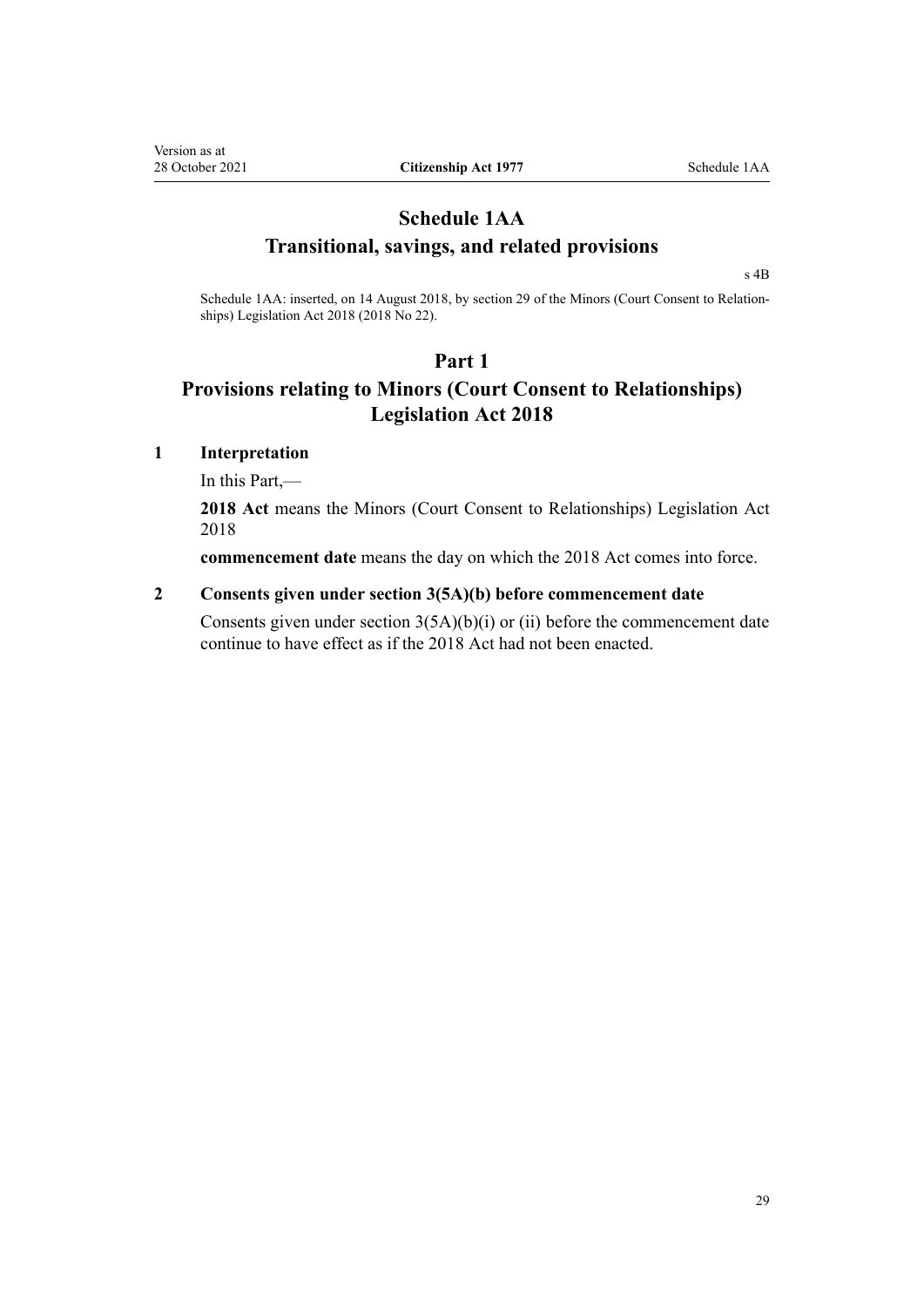# <span id="page-28-0"></span>**Schedule 1AA Transitional, savings, and related provisions**

[s 4B](#page-7-0)

Schedule 1AA: inserted, on 14 August 2018, by [section 29](http://legislation.govt.nz/pdflink.aspx?id=LMS34380) of the Minors (Court Consent to Relationships) Legislation Act 2018 (2018 No 22).

# **Part 1**

# **Provisions relating to Minors (Court Consent to Relationships) Legislation Act 2018**

# **1 Interpretation**

In this Part,—

**2018 Act** means the [Minors \(Court Consent to Relationships\) Legislation Act](http://legislation.govt.nz/pdflink.aspx?id=DLM4704100) [2018](http://legislation.govt.nz/pdflink.aspx?id=DLM4704100)

**commencement date** means the day on which the 2018 Act comes into force.

# **2 Consents given under section 3(5A)(b) before commencement date**

Consents given under section  $3(5A)(b)(i)$  or (ii) before the commencement date continue to have effect as if the 2018 Act had not been enacted.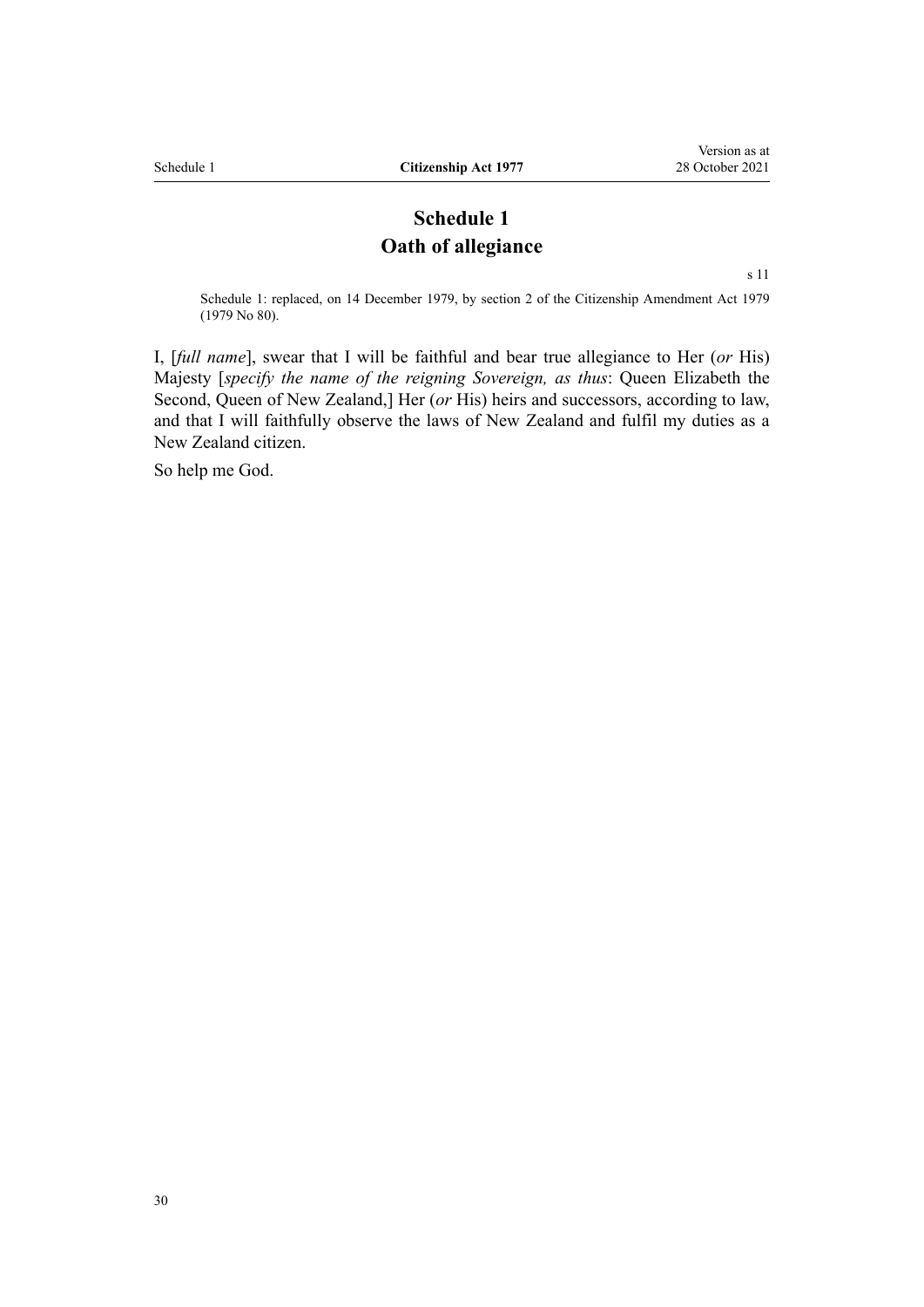# **Schedule 1 Oath of allegiance**

[s 11](#page-14-0)

<span id="page-29-0"></span>Schedule 1: replaced, on 14 December 1979, by section 2 of the Citizenship Amendment Act 1979 (1979 No 80).

I, [*full name*], swear that I will be faithful and bear true allegiance to Her (*or* His) Majesty [*specify the name of the reigning Sovereign, as thus*: Queen Elizabeth the Second, Queen of New Zealand,] Her (*or* His) heirs and successors, according to law, and that I will faithfully observe the laws of New Zealand and fulfil my duties as a New Zealand citizen.

So help me God.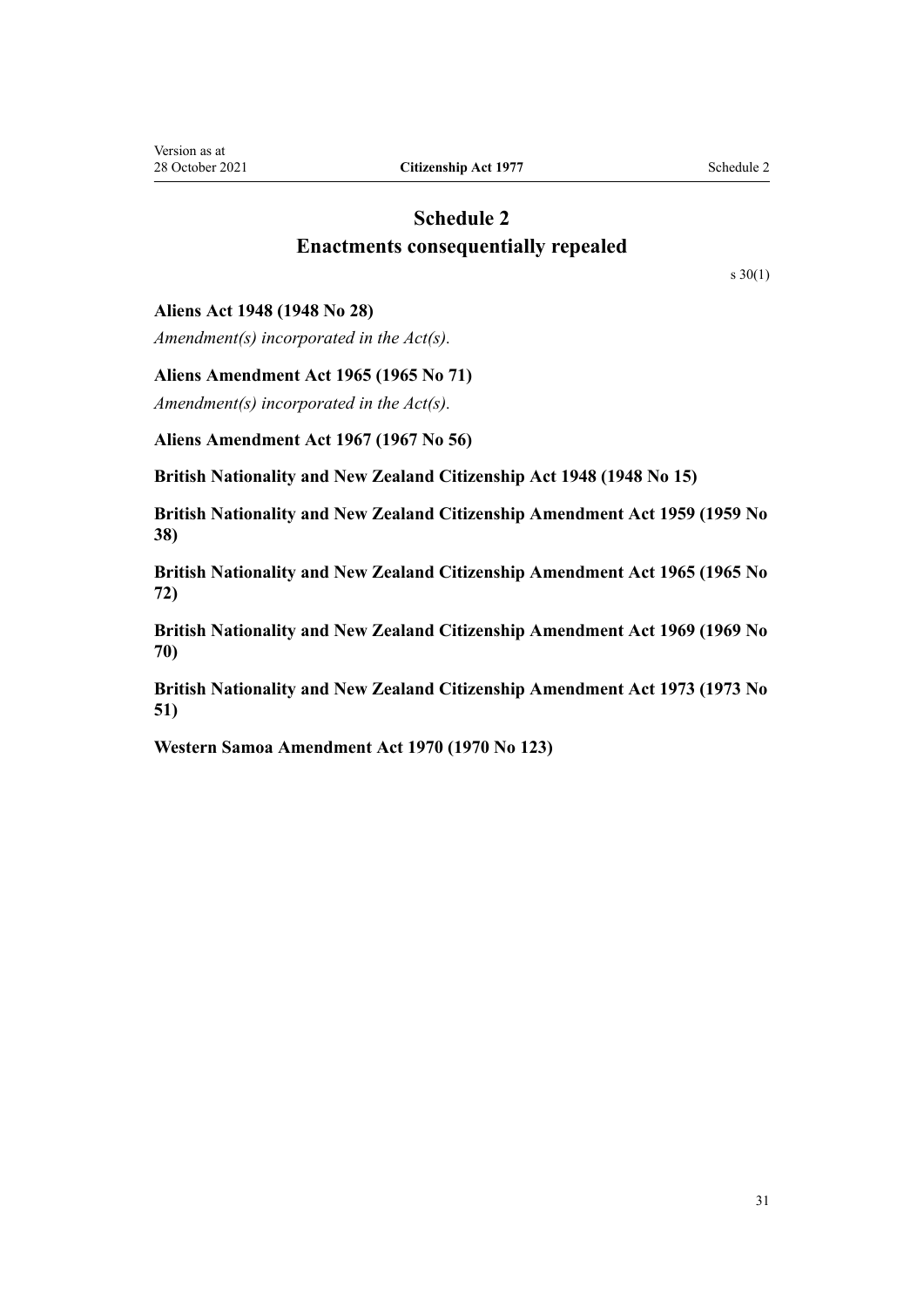# **Schedule 2 Enactments consequentially repealed**

[s 30\(1\)](#page-27-0)

## <span id="page-30-0"></span>**Aliens Act 1948 (1948 No 28)**

*Amendment(s) incorporated in the Act(s).*

#### **Aliens Amendment Act 1965 (1965 No 71)**

*Amendment(s) incorporated in the Act(s).*

**Aliens Amendment Act 1967 (1967 No 56)**

**British Nationality and New Zealand Citizenship Act 1948 (1948 No 15)**

**British Nationality and New Zealand Citizenship Amendment Act 1959 (1959 No 38)**

**British Nationality and New Zealand Citizenship Amendment Act 1965 (1965 No 72)**

**British Nationality and New Zealand Citizenship Amendment Act 1969 (1969 No 70)**

**British Nationality and New Zealand Citizenship Amendment Act 1973 (1973 No 51)**

**Western Samoa Amendment Act 1970 (1970 No 123)**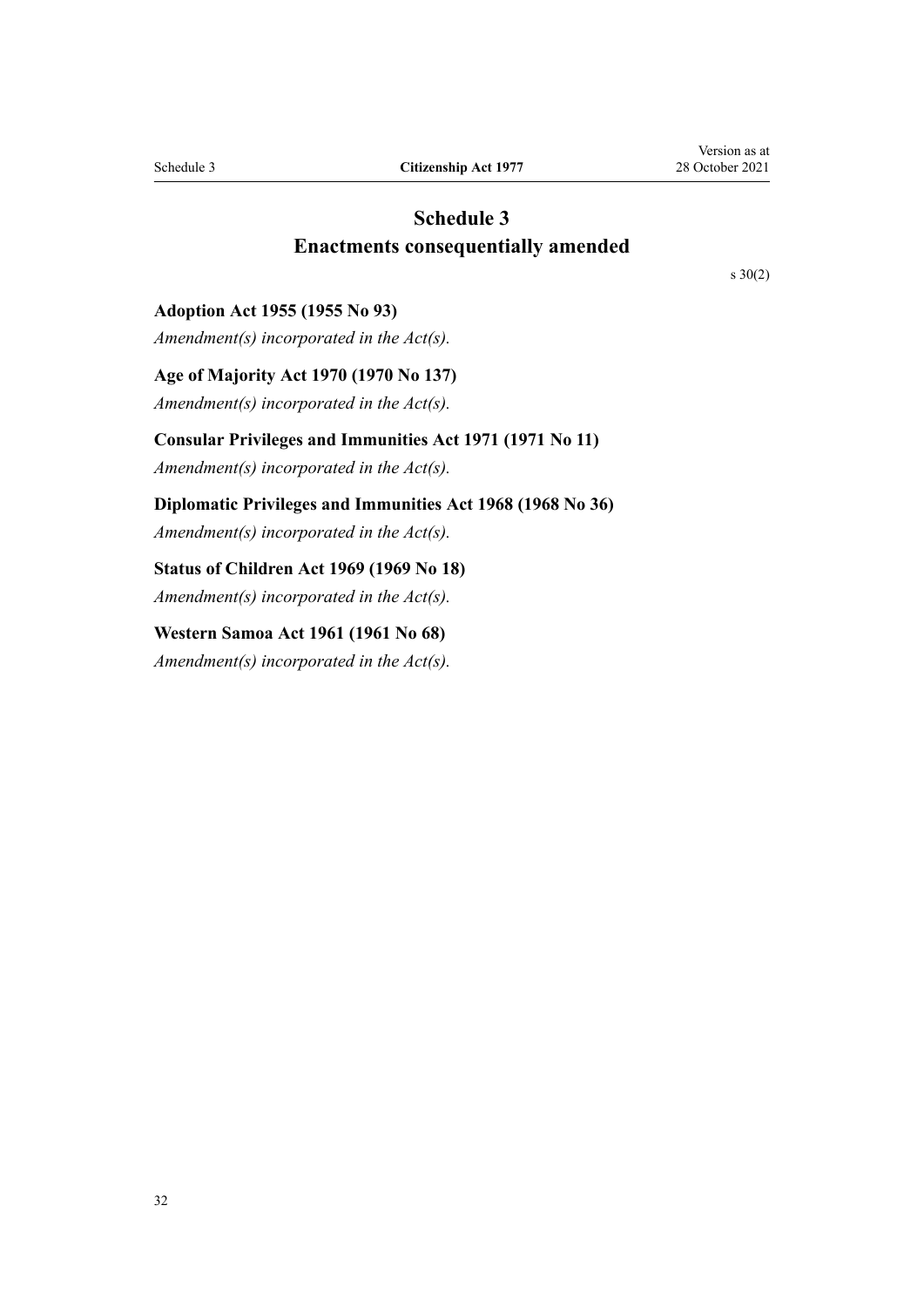# **Schedule 3 Enactments consequentially amended**

[s 30\(2\)](#page-27-0)

#### <span id="page-31-0"></span>**Adoption Act 1955 (1955 No 93)**

*Amendment(s) incorporated in the [Act\(s\).](http://legislation.govt.nz/pdflink.aspx?id=DLM292660)*

**Age of Majority Act 1970 (1970 No 137)**

*Amendment(s) incorporated in the [Act\(s\).](http://legislation.govt.nz/pdflink.aspx?id=DLM396478)*

# **Consular Privileges and Immunities Act 1971 (1971 No 11)**

*Amendment(s) incorporated in the [Act\(s\).](http://legislation.govt.nz/pdflink.aspx?id=DLM397288)*

**Diplomatic Privileges and Immunities Act 1968 (1968 No 36)**

*Amendment(s) incorporated in the [Act\(s\).](http://legislation.govt.nz/pdflink.aspx?id=DLM387495)*

# **Status of Children Act 1969 (1969 No 18)**

*Amendment(s) incorporated in the [Act\(s\).](http://legislation.govt.nz/pdflink.aspx?id=DLM390653)*

# **Western Samoa Act 1961 (1961 No 68)**

*Amendment(s) incorporated in the [Act\(s\).](http://legislation.govt.nz/pdflink.aspx?id=DLM336804)*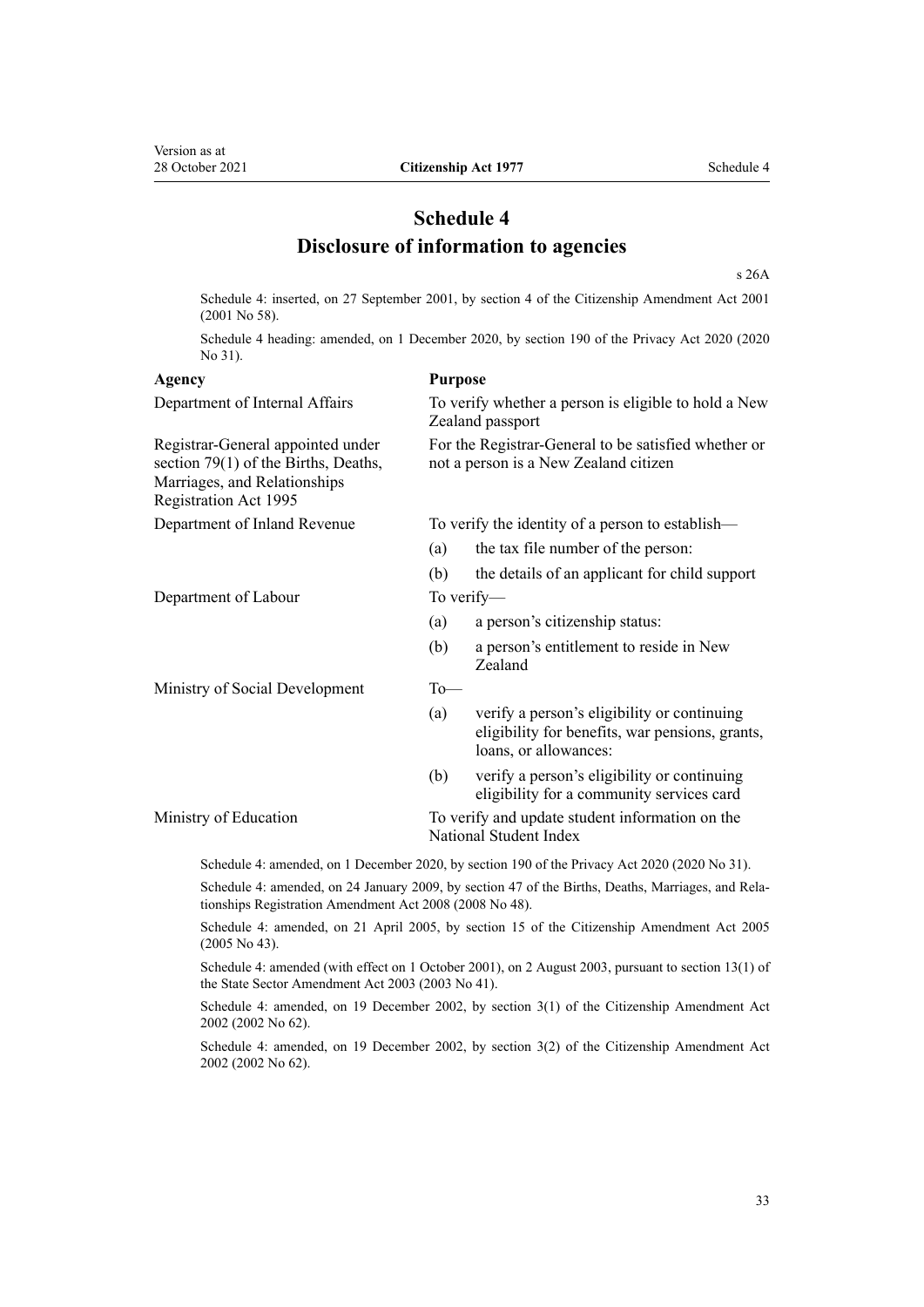# **Schedule 4 Disclosure of information to agencies**

[s 26A](#page-21-0)

<span id="page-32-0"></span>Schedule 4: inserted, on 27 September 2001, by [section 4](http://legislation.govt.nz/pdflink.aspx?id=DLM110991) of the Citizenship Amendment Act 2001 (2001 No 58).

Schedule 4 heading: amended, on 1 December 2020, by [section 190](http://legislation.govt.nz/pdflink.aspx?id=LMS23664) of the Privacy Act 2020 (2020 No 31).

#### **Agency Purpose**

Department of Internal Affairs To verify whether a person is eligible to hold a New Zealand passport Registrar-General appointed under [section 79\(1\)](http://legislation.govt.nz/pdflink.aspx?id=DLM364757) of the Births, Deaths, Marriages, and Relationships Registration Act 1995 For the Registrar-General to be satisfied whether or not a person is a New Zealand citizen Department of Inland Revenue To verify the identity of a person to establish— (a) the tax file number of the person: (b) the details of an applicant for child support Department of Labour To verify— (a) a person's citizenship status: (b) a person's entitlement to reside in New Zealand Ministry of Social Development To-(a) verify a person's eligibility or continuing eligibility for benefits, war pensions, grants, loans, or allowances: (b) verify a person's eligibility or continuing eligibility for a community services card Ministry of Education To verify and update student information on the National Student Index Schedule 4: amended, on 1 December 2020, by [section 190](http://legislation.govt.nz/pdflink.aspx?id=LMS23664) of the Privacy Act 2020 (2020 No 31).

Schedule 4: amended, on 24 January 2009, by [section 47](http://legislation.govt.nz/pdflink.aspx?id=DLM1048943) of the Births, Deaths, Marriages, and Rela‐ tionships Registration Amendment Act 2008 (2008 No 48).

Schedule 4: amended, on 21 April 2005, by [section 15](http://legislation.govt.nz/pdflink.aspx?id=DLM346763) of the Citizenship Amendment Act 2005 (2005 No 43).

Schedule 4: amended (with effect on 1 October 2001), on 2 August 2003, pursuant to [section 13\(1\)](http://legislation.govt.nz/pdflink.aspx?id=DLM201377) of the State Sector Amendment Act 2003 (2003 No 41).

Schedule 4: amended, on 19 December 2002, by [section 3\(1\)](http://legislation.govt.nz/pdflink.aspx?id=DLM167883) of the Citizenship Amendment Act 2002 (2002 No 62).

Schedule 4: amended, on 19 December 2002, by [section 3\(2\)](http://legislation.govt.nz/pdflink.aspx?id=DLM167883) of the Citizenship Amendment Act 2002 (2002 No 62).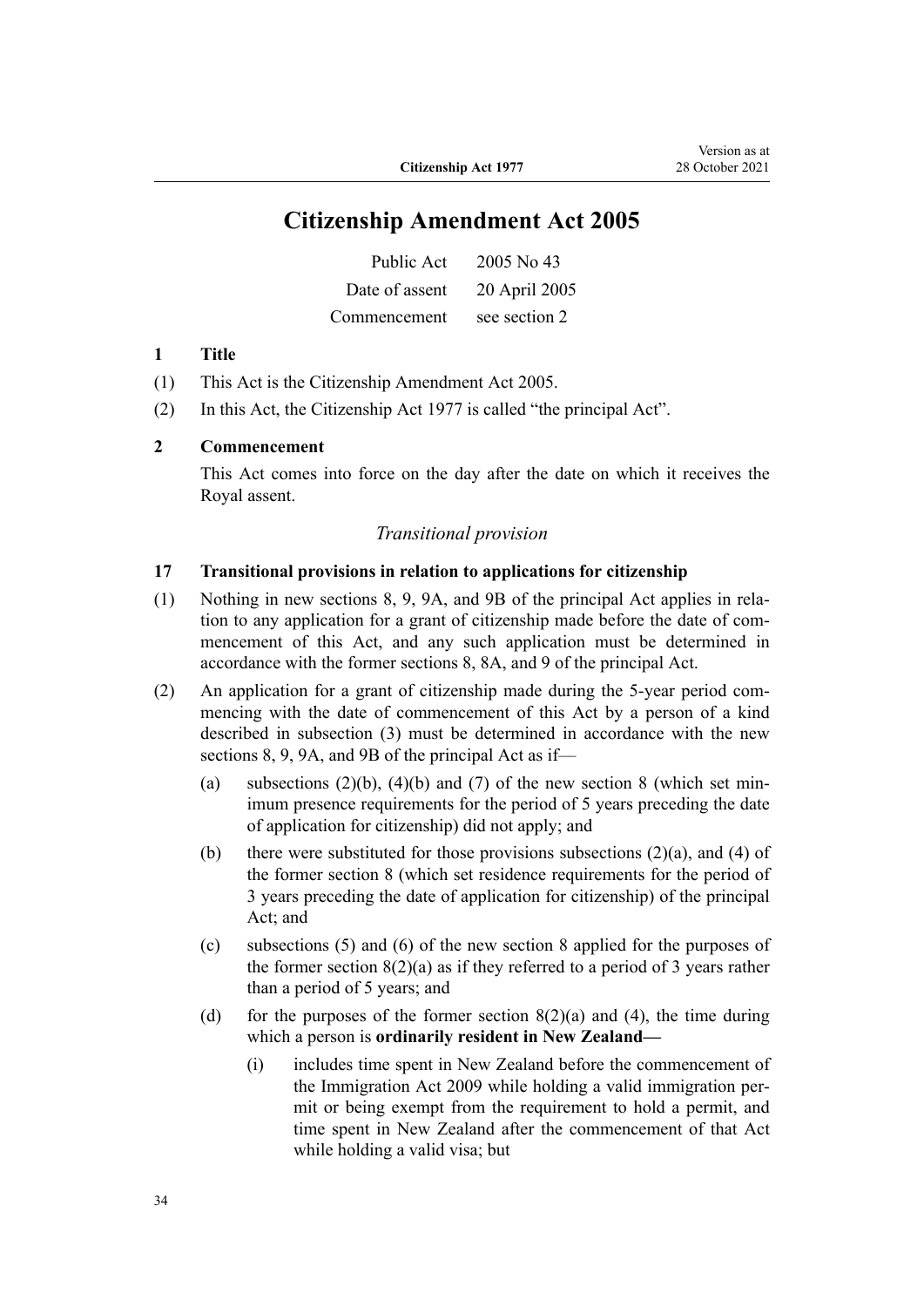# **Citizenship Amendment Act 2005**

| Public Act     | 2005 No 43    |
|----------------|---------------|
| Date of assent | 20 April 2005 |
| Commencement   | see section 2 |

#### **1 Title**

- (1) This Act is the [Citizenship Amendment Act 2005.](http://legislation.govt.nz/pdflink.aspx?id=DLM346733)
- (2) In this Act, the Citizenship Act 1977 is called "the principal Act".

#### **2 Commencement**

This Act comes into force on the day after the date on which it receives the Royal assent.

### *Transitional provision*

#### **17 Transitional provisions in relation to applications for citizenship**

- (1) Nothing in new sections 8, 9, 9A, and 9B of the principal Act applies in rela‐ tion to any application for a grant of citizenship made before the date of commencement of this Act, and any such application must be determined in accordance with the former sections 8, 8A, and 9 of the principal Act.
- (2) An application for a grant of citizenship made during the 5-year period commencing with the date of commencement of this Act by a person of a kind described in subsection (3) must be determined in accordance with the new sections 8, 9, 9A, and 9B of the principal Act as if—
	- (a) subsections  $(2)(b)$ ,  $(4)(b)$  and  $(7)$  of the new section 8 (which set minimum presence requirements for the period of 5 years preceding the date of application for citizenship) did not apply; and
	- (b) there were substituted for those provisions subsections  $(2)(a)$ , and  $(4)$  of the former section 8 (which set residence requirements for the period of 3 years preceding the date of application for citizenship) of the principal Act; and
	- (c) subsections (5) and (6) of the new section 8 applied for the purposes of the former section  $8(2)(a)$  as if they referred to a period of 3 years rather than a period of 5 years; and
	- (d) for the purposes of the former section  $8(2)(a)$  and (4), the time during which a person is **ordinarily resident in New Zealand—**
		- (i) includes time spent in New Zealand before the commencement of the Immigration Act 2009 while holding a valid immigration per‐ mit or being exempt from the requirement to hold a permit, and time spent in New Zealand after the commencement of that Act while holding a valid visa; but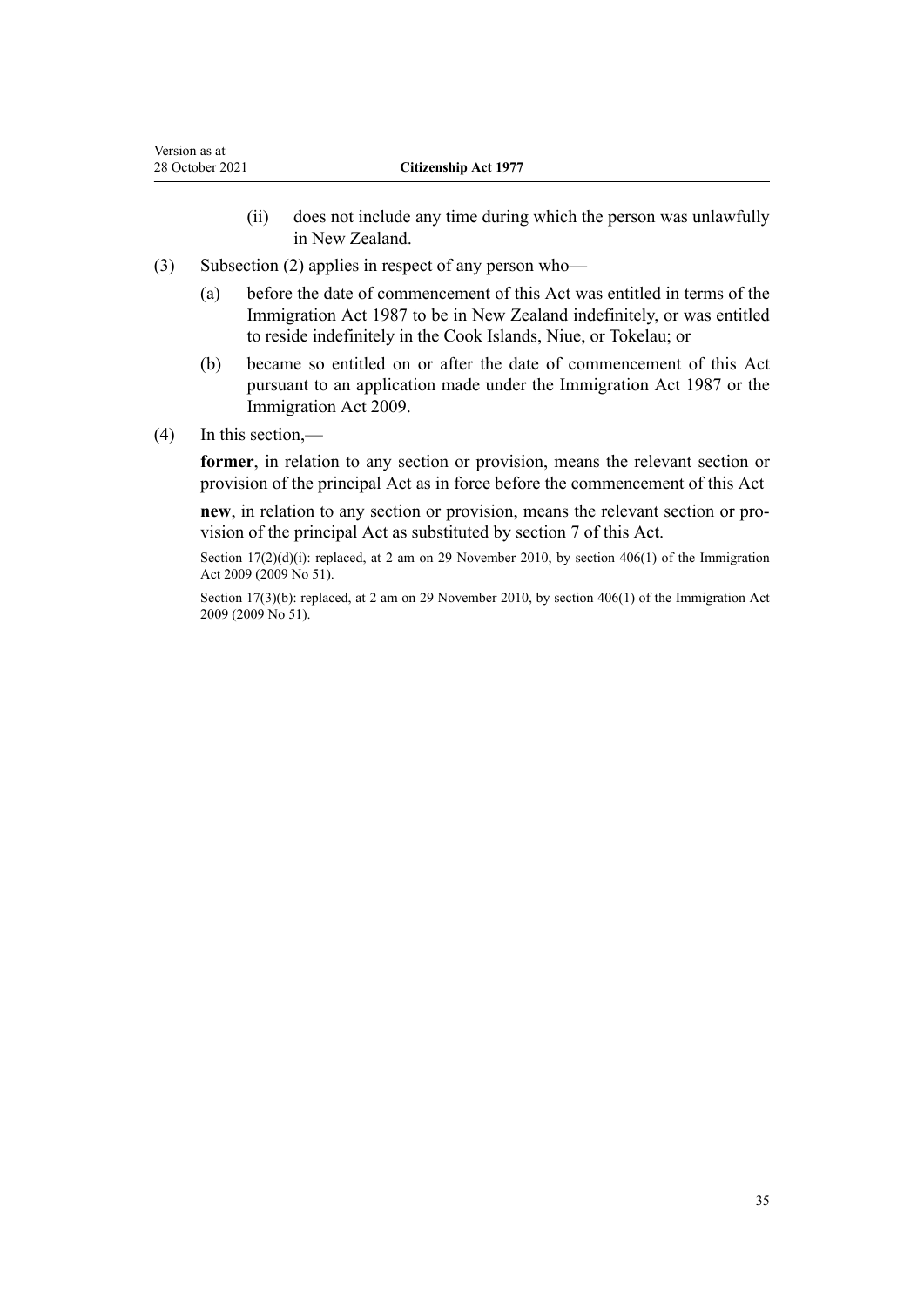- (ii) does not include any time during which the person was unlawfully in New Zealand.
- (3) Subsection (2) applies in respect of any person who—
	- (a) before the date of commencement of this Act was entitled in terms of the Immigration Act 1987 to be in New Zealand indefinitely, or was entitled to reside indefinitely in the Cook Islands, Niue, or Tokelau; or
	- (b) became so entitled on or after the date of commencement of this Act pursuant to an application made under the Immigration Act 1987 or the Immigration Act 2009.
- (4) In this section,—

**former**, in relation to any section or provision, means the relevant section or provision of the principal Act as in force before the commencement of this Act

**new**, in relation to any section or provision, means the relevant section or pro‐ vision of the principal Act as substituted by section 7 of this Act.

Section  $17(2)(d)(i)$ : replaced, at 2 am on 29 November 2010, by [section 406\(1\)](http://legislation.govt.nz/pdflink.aspx?id=DLM1441347) of the Immigration Act 2009 (2009 No 51).

Section 17(3)(b): replaced, at 2 am on 29 November 2010, by [section 406\(1\)](http://legislation.govt.nz/pdflink.aspx?id=DLM1441347) of the Immigration Act 2009 (2009 No 51).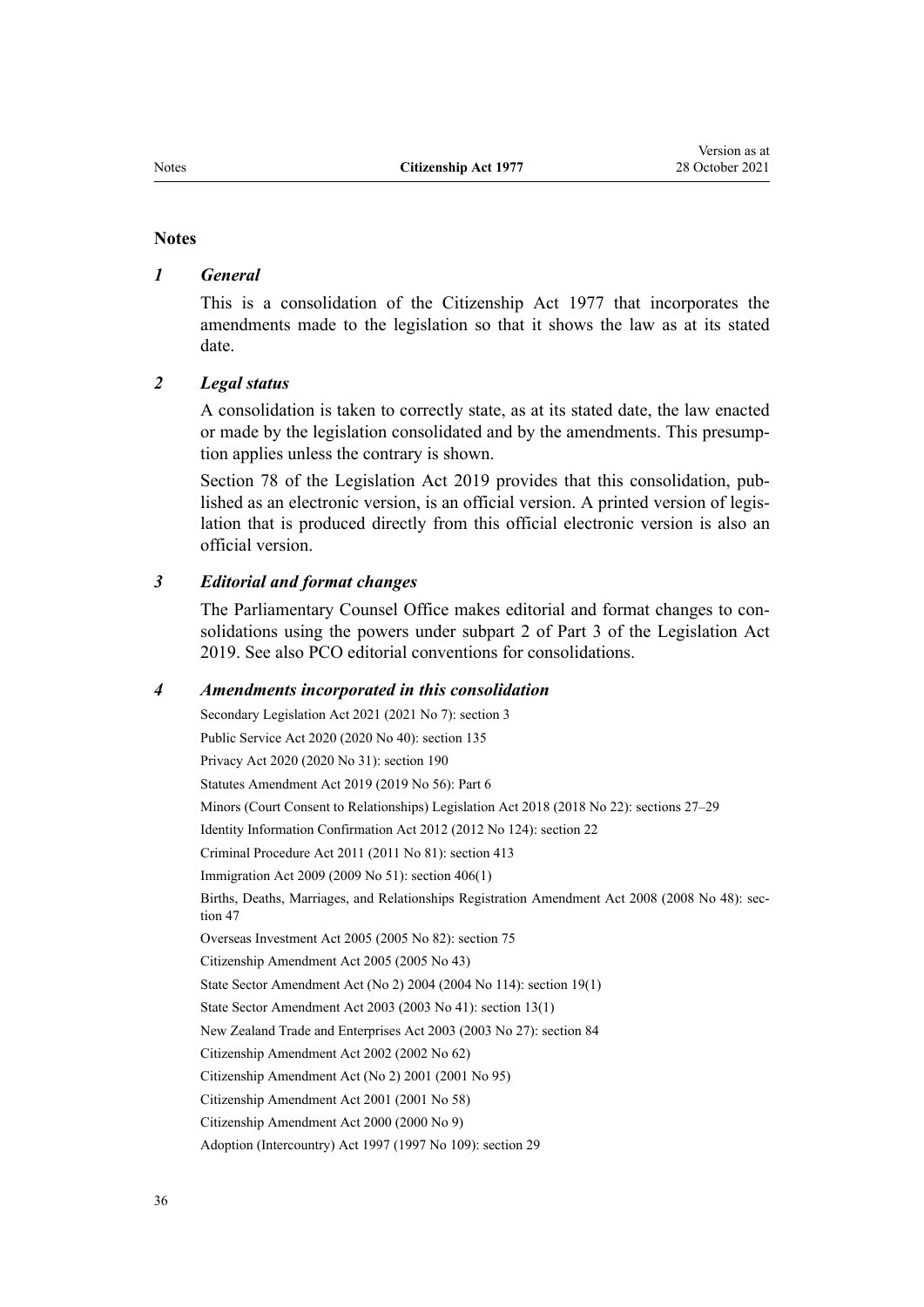#### **Notes**

# *1 General*

This is a consolidation of the Citizenship Act 1977 that incorporates the amendments made to the legislation so that it shows the law as at its stated date.

### *2 Legal status*

A consolidation is taken to correctly state, as at its stated date, the law enacted or made by the legislation consolidated and by the amendments. This presump‐ tion applies unless the contrary is shown.

[Section 78](http://legislation.govt.nz/pdflink.aspx?id=DLM7298365) of the Legislation Act 2019 provides that this consolidation, published as an electronic version, is an official version. A printed version of legis‐ lation that is produced directly from this official electronic version is also an official version.

# *3 Editorial and format changes*

The Parliamentary Counsel Office makes editorial and format changes to consolidations using the powers under [subpart 2](http://legislation.govt.nz/pdflink.aspx?id=DLM7298371) of Part 3 of the Legislation Act 2019. See also [PCO editorial conventions for consolidations](http://www.pco.govt.nz/editorial-conventions/).

#### *4 Amendments incorporated in this consolidation*

Secondary Legislation Act 2021 (2021 No 7): [section 3](http://legislation.govt.nz/pdflink.aspx?id=LMS268932) Public Service Act 2020 (2020 No 40): [section 135](http://legislation.govt.nz/pdflink.aspx?id=LMS176959) Privacy Act 2020 (2020 No 31): [section 190](http://legislation.govt.nz/pdflink.aspx?id=LMS23664) Statutes Amendment Act 2019 (2019 No 56): [Part 6](http://legislation.govt.nz/pdflink.aspx?id=LMS58908) Minors (Court Consent to Relationships) Legislation Act 2018 (2018 No 22): [sections 27–29](http://legislation.govt.nz/pdflink.aspx?id=LMS25406) Identity Information Confirmation Act 2012 (2012 No 124): [section 22](http://legislation.govt.nz/pdflink.aspx?id=DLM3136868) Criminal Procedure Act 2011 (2011 No 81): [section 413](http://legislation.govt.nz/pdflink.aspx?id=DLM3360714) Immigration Act 2009 (2009 No 51): [section 406\(1\)](http://legislation.govt.nz/pdflink.aspx?id=DLM1441347) Births, Deaths, Marriages, and Relationships Registration Amendment Act 2008 (2008 No 48): sec[tion 47](http://legislation.govt.nz/pdflink.aspx?id=DLM1048943) Overseas Investment Act 2005 (2005 No 82): [section 75](http://legislation.govt.nz/pdflink.aspx?id=DLM358540) [Citizenship Amendment Act 2005](http://legislation.govt.nz/pdflink.aspx?id=DLM346733) (2005 No 43) State Sector Amendment Act (No 2) 2004 (2004 No 114): [section 19\(1\)](http://legislation.govt.nz/pdflink.aspx?id=DLM329600) State Sector Amendment Act 2003 (2003 No 41): [section 13\(1\)](http://legislation.govt.nz/pdflink.aspx?id=DLM201377) New Zealand Trade and Enterprises Act 2003 (2003 No 27): [section 84](http://legislation.govt.nz/pdflink.aspx?id=DLM197801) [Citizenship Amendment Act 2002](http://legislation.govt.nz/pdflink.aspx?id=DLM167877) (2002 No 62) [Citizenship Amendment Act \(No 2\) 2001](http://legislation.govt.nz/pdflink.aspx?id=DLM121266) (2001 No 95) [Citizenship Amendment Act 2001](http://legislation.govt.nz/pdflink.aspx?id=DLM110979) (2001 No 58) [Citizenship Amendment Act 2000](http://legislation.govt.nz/pdflink.aspx?id=DLM54921) (2000 No 9) Adoption (Intercountry) Act 1997 (1997 No 109): [section 29](http://legislation.govt.nz/pdflink.aspx?id=DLM423065)